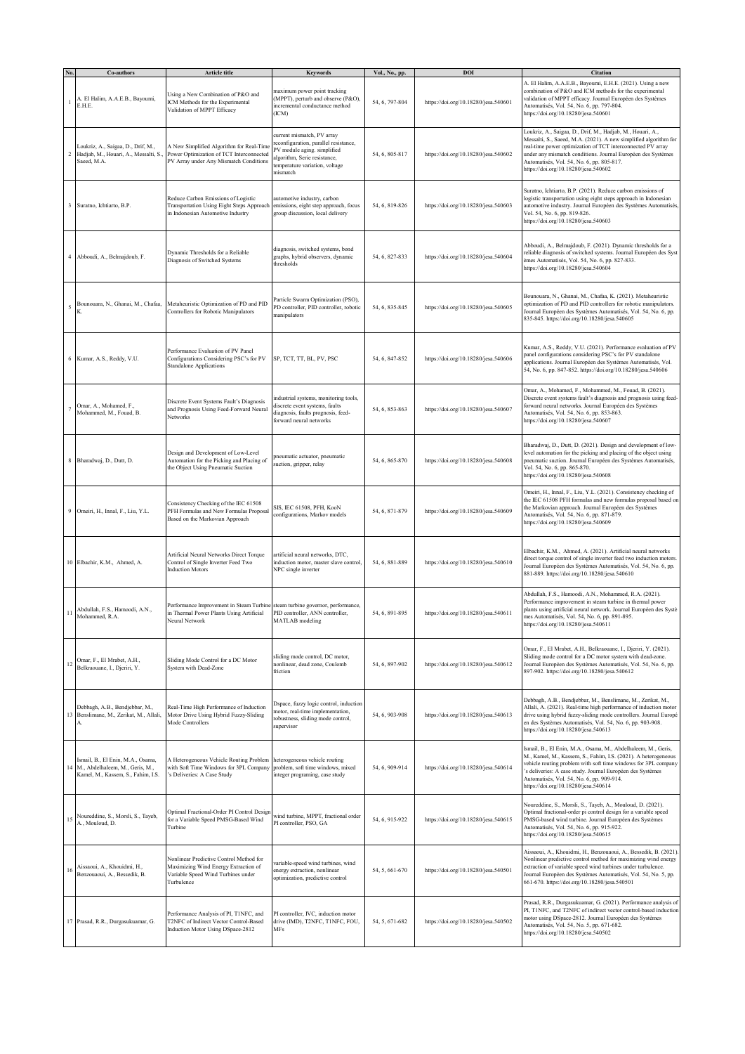|    | Co-authors                                                                                                    | Article title                                                                                                                       | <b>Keywords</b>                                                                                                                                                                  | Vol., No., pp. | DOI                                  | <b>Citation</b>                                                                                                                                                                                                                                                                                                                                     |
|----|---------------------------------------------------------------------------------------------------------------|-------------------------------------------------------------------------------------------------------------------------------------|----------------------------------------------------------------------------------------------------------------------------------------------------------------------------------|----------------|--------------------------------------|-----------------------------------------------------------------------------------------------------------------------------------------------------------------------------------------------------------------------------------------------------------------------------------------------------------------------------------------------------|
|    | A. El Halim, A.A.E.B., Bayoumi,<br>E.H.E.                                                                     | Using a New Combination of P&O and<br>ICM Methods for the Experimental<br>Validation of MPPT Efficacy                               | naximum power point tracking<br>(MPPT), perturb and observe (P&O),<br>ncremental conductance method<br>(ICM)                                                                     | 54, 6, 797-804 | https://doi.org/10.18280/jesa.540601 | A. El Halim, A.A.E.B., Bayoumi, E.H.E. (2021). Using a new<br>combination of P&O and ICM methods for the experimental<br>validation of MPPT efficacy. Journal Européen des Systèmes<br>Automatisés, Vol. 54, No. 6, pp. 797-804.<br>https://doi.org/10.18280/jesa.540601                                                                            |
|    | Loukriz, A., Saigaa, D., Drif, M.,<br>2 Hadjab, M., Houari, A., Messalti, S.<br>Saeed, M.A.                   | A New Simplified Algorithm for Real-Time<br>Power Optimization of TCT Interconnected<br>PV Array under Any Mismatch Conditions      | current mismatch, PV array<br>reconfiguration, parallel resistance,<br>PV module aging. simplified<br>algorithm, Serie resistance,<br>temperature variation, voltage<br>mismatch | 54, 6, 805-817 | https://doi.org/10.18280/jesa.540602 | Loukriz, A., Saigaa, D., Drif, M., Hadjab, M., Houari, A.,<br>Messalti, S., Saeed, M.A. (2021). A new simplified algorithm for<br>real-time power optimization of TCT interconnected PV array<br>under any mismatch conditions. Journal Européen des Systèmes<br>Automatisés, Vol. 54, No. 6, pp. 805-817.<br>https://doi.org/10.18280/jesa.540602  |
|    | 3 Suratno, Ichtiarto, B.P.                                                                                    | Reduce Carbon Emissions of Logistic<br>Transportation Using Eight Steps Approach<br>in Indonesian Automotive Industry               | automotive industry, carbon<br>emissions, eight step approach, focus<br>group discussion, local delivery                                                                         | 54, 6, 819-826 | https://doi.org/10.18280/jesa.540603 | Suratno, Ichtiarto, B.P. (2021). Reduce carbon emissions of<br>ogistic transportation using eight steps approach in Indonesian<br>automotive industry. Journal Européen des Systèmes Automatisés,<br>Vol. 54, No. 6, pp. 819-826.<br>https://doi.org/10.18280/jesa.540603                                                                           |
|    | 4 Abboudi, A., Belmajdoub, F.                                                                                 | Dynamic Thresholds for a Reliable<br>Diagnosis of Switched Systems                                                                  | diagnosis, switched systems, bond<br>graphs, hybrid observers, dynamic<br>thresholds                                                                                             | 54, 6, 827-833 | https://doi.org/10.18280/jesa.540604 | Abboudi, A., Belmajdoub, F. (2021). Dynamic thresholds for a<br>reliable diagnosis of switched systems. Journal Européen des Syst<br>emes Automatisés, Vol. 54, No. 6, pp. 827-833.<br>https://doi.org/10.18280/jesa.540604                                                                                                                         |
| 5  | Bounouara, N., Ghanai, M., Chafaa,                                                                            | Metaheuristic Optimization of PD and PID<br>Controllers for Robotic Manipulators                                                    | Particle Swarm Optimization (PSO),<br>PD controller, PID controller, robotic<br>manipulators                                                                                     | 54, 6, 835-845 | https://doi.org/10.18280/jesa.540605 | Bounouara, N., Ghanai, M., Chafaa, K. (2021). Metaheuristic<br>optimization of PD and PID controllers for robotic manipulators.<br>ournal Européen des Systèmes Automatisés, Vol. 54, No. 6, pp.<br>835-845. https://doi.org/10.18280/jesa.540605                                                                                                   |
|    | 6 Kumar, A.S., Reddy, V.U.                                                                                    | Performance Evaluation of PV Panel<br>Configurations Considering PSC's for PV<br><b>Standalone Applications</b>                     | SP, TCT, TT, BL, PV, PSC                                                                                                                                                         | 54, 6, 847-852 | https://doi.org/10.18280/jesa.540606 | Kumar, A.S., Reddy, V.U. (2021). Performance evaluation of PV<br>panel configurations considering PSC's for PV standalone<br>applications. Journal Européen des Systèmes Automatisés, Vol.<br>54, No. 6, pp. 847-852. https://doi.org/10.18280/jesa.540606                                                                                          |
|    | Omar, A., Mohamed, F.,<br>Mohammed, M., Fouad, B.                                                             | Discrete Event Systems Fault's Diagnosis<br>and Prognosis Using Feed-Forward Neural<br>Networks                                     | ndustrial systems, monitoring tools,<br>discrete event systems, faults<br>diagnosis, faults prognosis, feed-<br>forward neural networks                                          | 54, 6, 853-863 | https://doi.org/10.18280/jesa.540607 | Omar, A., Mohamed, F., Mohammed, M., Fouad, B. (2021).<br>Discrete event systems fault's diagnosis and prognosis using feed-<br>orward neural networks. Journal Européen des Systèmes<br>Automatisés, Vol. 54, No. 6, pp. 853-863.<br>https://doi.org/10.18280/jesa.540607                                                                          |
|    | 8 Bharadwaj, D., Dutt, D.                                                                                     | Design and Development of Low-Level<br>Automation for the Picking and Placing of<br>the Object Using Pneumatic Suction              | oneumatic actuator, pneumatic<br>suction, gripper, relay                                                                                                                         | 54, 6, 865-870 | https://doi.org/10.18280/jesa.540608 | Bharadwaj, D., Dutt, D. (2021). Design and development of low-<br>level automation for the picking and placing of the object using<br>oneumatic suction. Journal Européen des Systèmes Automatisés,<br>Vol. 54, No. 6, pp. 865-870.<br>https://doi.org/10.18280/jesa.540608                                                                         |
|    | 9 Omeiri, H., Innal, F., Liu, Y.L.                                                                            | Consistency Checking of the IEC 61508<br>PFH Formulas and New Formulas Proposal<br>Based on the Markovian Approach                  | SIS, IEC 61508, PFH, KooN<br>configurations, Markov models                                                                                                                       | 54, 6, 871-879 | https://doi.org/10.18280/jesa.540609 | Omeiri, H., Innal, F., Liu, Y.L. (2021). Consistency checking of<br>the IEC 61508 PFH formulas and new formulas proposal based on<br>the Markovian approach. Journal Européen des Systèmes<br>Automatisés, Vol. 54, No. 6, pp. 871-879.<br>https://doi.org/10.18280/jesa.540609                                                                     |
|    | 10 Elbachir, K.M., Ahmed, A.                                                                                  | Artificial Neural Networks Direct Torque<br>Control of Single Inverter Feed Two<br><b>Induction Motors</b>                          | artificial neural networks, DTC,<br>induction motor, master slave control,<br>NPC single inverter                                                                                | 54, 6, 881-889 | https://doi.org/10.18280/jesa.540610 | Elbachir, K.M., Ahmed, A. (2021). Artificial neural networks<br>direct torque control of single inverter feed two induction motors.<br>Journal Européen des Systèmes Automatisés, Vol. 54, No. 6, pp.<br>881-889. https://doi.org/10.18280/jesa.540610                                                                                              |
| 11 | Abdullah, F.S., Hamoodi, A.N.,<br>Mohammed, R.A.                                                              | Performance Improvement in Steam Turbine<br>in Thermal Power Plants Using Artificial<br>Neural Network                              | steam turbine governor, performance,<br>PID controller, ANN controller,<br>MATLAB modeling                                                                                       | 54, 6, 891-895 | https://doi.org/10.18280/jesa.540611 | Abdullah, F.S., Hamoodi, A.N., Mohammed, R.A. (2021).<br>Performance improvement in steam turbine in thermal power<br>plants using artificial neural network. Journal Européen des Systè<br>mes Automatisés, Vol. 54, No. 6, pp. 891-895.<br>https://doi.org/10.18280/jesa.540611                                                                   |
|    | $\frac{1}{2}$ Omar, F., El Mrabet, A.H.,<br>Belkraouane, I., Djeriri, Y.                                      | Sliding Mode Control for a DC Motor<br>System with Dead-Zone                                                                        | sliding mode control, DC motor,<br>nonlinear, dead zone, Coulomb<br>friction                                                                                                     | 54, 6, 897-902 | https://doi.org/10.18280/jesa.540612 | Omar, F., El Mrabet, A.H., Belkraouane, I., Djeriri, Y. (2021).<br>Sliding mode control for a DC motor system with dead-zone.<br>Journal Européen des Systèmes Automatisés, Vol. 54, No. 6, pp.<br>897-902. https://doi.org/10.18280/jesa.540612                                                                                                    |
|    | Debbagh, A.B., Bendjebbar, M.,<br>13 Benslimane, M., Zerikat, M., Allali,<br>A.                               | Real-Time High Performance of Induction<br>Motor Drive Using Hybrid Fuzzy-Sliding<br>Mode Controllers                               | Dspace, fuzzy logic control, induction<br>motor, real-time implementation,<br>robustness, sliding mode control,<br>supervisor                                                    | 54, 6, 903-908 | https://doi.org/10.18280/jesa.540613 | Debbagh, A.B., Bendjebbar, M., Benslimane, M., Zerikat, M.,<br>Allali, A. (2021). Real-time high performance of induction motor<br>drive using hybrid fuzzy-sliding mode controllers. Journal Europé<br>en des Systèmes Automatisés, Vol. 54, No. 6, pp. 903-908.<br>https://doi.org/10.18280/jesa.540613                                           |
|    | Ismail, B., El Enin, M.A., Osama,<br>14 M., Abdelhaleem, M., Geris, M.,<br>Kamel, M., Kassem, S., Fahim, I.S. | A Heterogeneous Vehicle Routing Problem<br>with Soft Time Windows for 3PL Company<br>'s Deliveries: A Case Study                    | heterogeneous vehicle routing<br>problem, soft time windows, mixed<br>integer programing, case study                                                                             | 54, 6, 909-914 | https://doi.org/10.18280/jesa.540614 | Ismail, B., El Enin, M.A., Osama, M., Abdelhaleem, M., Geris,<br>M., Kamel, M., Kassem, S., Fahim, I.S. (2021). A heterogeneous<br>vehicle routing problem with soft time windows for 3PL company<br>s deliveries: A case study. Journal Européen des Systèmes<br>Automatisés, Vol. 54, No. 6, pp. 909-914.<br>https://doi.org/10.18280/jesa.540614 |
|    | 15 Noureddine, S., Morsli, S., Tayeb,<br>A., Mouloud, D.                                                      | Optimal Fractional-Order PI Control Design<br>for a Variable Speed PMSG-Based Wind<br>Turbine                                       | wind turbine, MPPT, fractional order<br>PI controller, PSO, GA                                                                                                                   | 54, 6, 915-922 | https://doi.org/10.18280/jesa.540615 | Noureddine, S., Morsli, S., Tayeb, A., Mouloud, D. (2021).<br>Optimal fractional-order pi control design for a variable speed<br>PMSG-based wind turbine. Journal Européen des Systèmes<br>Automatisés, Vol. 54, No. 6, pp. 915-922.<br>https://doi.org/10.18280/jesa.540615                                                                        |
| 16 | Aissaoui, A., Khouidmi, H.,<br>Benzouaoui, A., Bessedik, B.                                                   | Nonlinear Predictive Control Method for<br>Maximizing Wind Energy Extraction of<br>Variable Speed Wind Turbines under<br>Turbulence | variable-speed wind turbines, wind<br>energy extraction, nonlinear<br>optimization, predictive control                                                                           | 54, 5, 661-670 | https://doi.org/10.18280/jesa.540501 | Aissaoui, A., Khouidmi, H., Benzouaoui, A., Bessedik, B. (2021).<br>Nonlinear predictive control method for maximizing wind energy<br>extraction of variable speed wind turbines under turbulence.<br>Journal Européen des Systèmes Automatisés, Vol. 54, No. 5, pp.<br>661-670. https://doi.org/10.18280/jesa.540501                               |
|    | 17 Prasad, R.R., Durgasukuamar, G.                                                                            | Performance Analysis of PI, T1NFC, and<br>T2NFC of Indirect Vector Control-Based<br>Induction Motor Using DSpace-2812               | PI controller, IVC, induction motor<br>drive (IMD), T2NFC, T1NFC, FOU,<br>MFs                                                                                                    | 54, 5, 671-682 | https://doi.org/10.18280/jesa.540502 | Prasad, R.R., Durgasukuamar, G. (2021). Performance analysis of<br>PI, T1NFC, and T2NFC of indirect vector control-based induction<br>notor using DSpace-2812. Journal Européen des Systèmes<br>Automatisés, Vol. 54, No. 5, pp. 671-682.<br>https://doi.org/10.18280/jesa.540502                                                                   |
|    |                                                                                                               |                                                                                                                                     |                                                                                                                                                                                  |                |                                      |                                                                                                                                                                                                                                                                                                                                                     |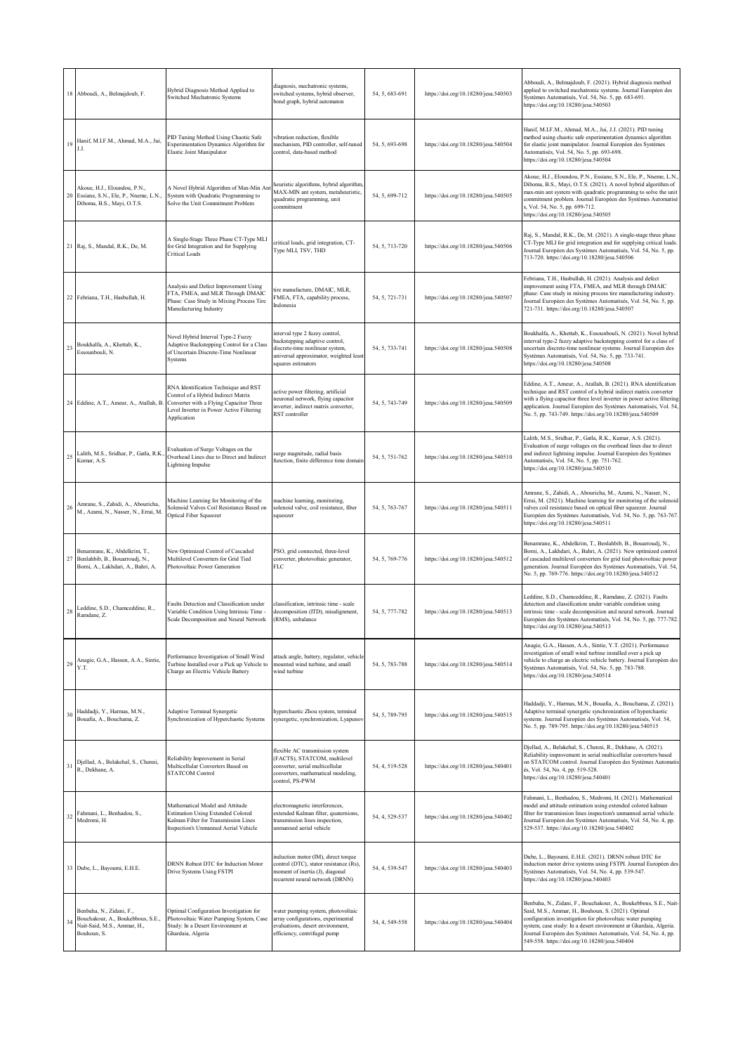|             | 18 Abboudi, A., Belmajdoub, F.                                                                              | Hybrid Diagnosis Method Applied to<br>Switched Mechatronic Systems                                                                                                                | diagnosis, mechatronic systems,<br>switched systems, hybrid observer,<br>bond graph, hybrid automaton                                                              | 54, 5, 683-691 | https://doi.org/10.18280/jesa.540503 | Abboudi, A., Belmajdoub, F. (2021). Hybrid diagnosis method<br>applied to switched mechatronic systems. Journal Européen des<br>Systèmes Automatisés, Vol. 54, No. 5, pp. 683-691.<br>1ttps://doi.org/10.18280/jesa.540503                                                                                                                                                   |
|-------------|-------------------------------------------------------------------------------------------------------------|-----------------------------------------------------------------------------------------------------------------------------------------------------------------------------------|--------------------------------------------------------------------------------------------------------------------------------------------------------------------|----------------|--------------------------------------|------------------------------------------------------------------------------------------------------------------------------------------------------------------------------------------------------------------------------------------------------------------------------------------------------------------------------------------------------------------------------|
| 19          | Hanif, M.I.F.M., Ahmad, M.A., Jui,<br>J.J.                                                                  | PID Tuning Method Using Chaotic Safe<br>Experimentation Dynamics Algorithm for<br>Elastic Joint Manipulator                                                                       | vibration reduction, flexible<br>nechanism. PID controller, self-tuned<br>control, data-based method                                                               | 54, 5, 693-698 | https://doi.org/10.18280/jesa.540504 | Hanif, M.I.F.M., Ahmad, M.A., Jui, J.J. (2021). PID tuning<br>method using chaotic safe experimentation dynamics algorithm<br>for elastic joint manipulator. Journal Européen des Systèmes<br>Automatisés, Vol. 54, No. 5, pp. 693-698.<br>https://doi.org/10.18280/jesa.540504                                                                                              |
| 20          | Akoue, H.J., Eloundou, P.N.,<br>Essiane, S.N., Ele, P., Nneme, L.N.,<br>Diboma, B.S., Mayi, O.T.S.          | A Novel Hybrid Algorithm of Max-Min An<br>System with Quadratic Programming to<br>Solve the Unit Commitment Problem                                                               | neuristic algorithms, hybrid algorithm,<br>MAX-MIN ant system, metaheuristic,<br>quadratic programming, unit<br>commitment                                         | 54, 5, 699-712 | https://doi.org/10.18280/jesa.540505 | Akoue, H.J., Eloundou, P.N., Essiane, S.N., Ele, P., Nneme, L.N.,<br>Diboma, B.S., Mayi, O.T.S. (2021). A novel hybrid algorithm of<br>max-min ant system with quadratic programming to solve the unit<br>commitment problem. Journal Européen des Systèmes Automatisé<br>i, Vol. 54, No. 5, pp. 699-712.<br>https://doi.org/10.18280/jesa.540505                            |
|             | 21 Raj, S., Mandal, R.K., De, M.                                                                            | A Single-Stage Three Phase CT-Type MLI<br>for Grid Integration and for Supplying<br><b>Critical Loads</b>                                                                         | critical loads, grid integration, CT-<br>Type MLI, TSV, THD                                                                                                        | 54, 5, 713-720 | https://doi.org/10.18280/jesa.540506 | Raj, S., Mandal, R.K., De, M. (2021). A single-stage three phase<br>CT-Type MLI for grid integration and for supplying critical loads.<br>Journal Européen des Systèmes Automatisés, Vol. 54, No. 5, pp.<br>713-720. https://doi.org/10.18280/jesa.540506                                                                                                                    |
|             | 22 Febriana, T.H., Hasbullah, H.                                                                            | Analysis and Defect Improvement Using<br>FTA, FMEA, and MLR Through DMAIC<br>Phase: Case Study in Mixing Process Tire<br>Manufacturing Industry                                   | ire manufacture, DMAIC, MLR,<br>FMEA, FTA, capability process,<br>Indonesia                                                                                        | 54, 5, 721-731 | https://doi.org/10.18280/jesa.540507 | Febriana, T.H., Hasbullah, H. (2021). Analysis and defect<br>improvement using FTA, FMEA, and MLR through DMAIC<br>phase: Case study in mixing process tire manufacturing industry.<br>Journal Européen des Systèmes Automatisés, Vol. 54, No. 5, pp.<br>721-731. https://doi.org/10.18280/jesa.540507                                                                       |
|             | 23 Boukhalfa, A., Khettab, K.,<br>Essounbouli, N.                                                           | Novel Hybrid Interval Type-2 Fuzzy<br>Adaptive Backstepping Control for a Class<br>of Uncertain Discrete-Time Nonlinear<br>Systems                                                | nterval type 2 fuzzy control,<br>vackstepping adaptive control,<br>discrete-time nonlinear system,<br>universal approximator, weighted least<br>squares estimators | 54, 5, 733-741 | https://doi.org/10.18280/jesa.540508 | Boukhalfa, A., Khettab, K., Essounbouli, N. (2021). Novel hybrid<br>interval type-2 fuzzy adaptive backstepping control for a class of<br>ancertain discrete-time nonlinear systems. Journal Européen des<br>Systèmes Automatisés, Vol. 54, No. 5, pp. 733-741.<br>https://doi.org/10.18280/jesa.540508                                                                      |
|             | 24 Eddine, A.T., Ameur, A., Atallah, B.                                                                     | RNA Identification Technique and RST<br>Control of a Hybrid Indirect Matrix<br>Converter with a Flying Capacitor Three<br>Level Inverter in Power Active Filtering<br>Application | active power filtering, artificial<br>neuronal network, flying capacitor<br>inverter, indirect matrix converter,<br>RST controller                                 | 54, 5, 743-749 | https://doi.org/10.18280/jesa.540509 | Eddine, A.T., Ameur, A., Atallah, B. (2021). RNA identification<br>technique and RST control of a hybrid indirect matrix converter<br>with a flying capacitor three level inverter in power active filtering<br>application. Journal Européen des Systèmes Automatisés, Vol. 54,<br>No. 5, pp. 743-749. https://doi.org/10.18280/jesa.540509                                 |
|             | 25 Lalith, M.S., Sridhar, P., Gatla, R.K.<br>Kumar, A.S.                                                    | Evaluation of Surge Voltages on the<br>Overhead Lines due to Direct and Indirect<br>Lightning Impulse                                                                             | surge magnitude, radial basis<br>function, finite difference time domain                                                                                           | 54, 5, 751-762 | https://doi.org/10.18280/jesa.540510 | Lalith, M.S., Sridhar, P., Gatla, R.K., Kumar, A.S. (2021).<br>Evaluation of surge voltages on the overhead lines due to direct<br>and indirect lightning impulse. Journal Européen des Systèmes<br>Automatisés, Vol. 54, No. 5, pp. 751-762.<br>https://doi.org/10.18280/jesa.540510                                                                                        |
| $26\,$      | Amrane, S., Zahidi, A., Abouricha,<br>M., Azami, N., Nasser, N., Errai, M.                                  | Machine Learning for Monitoring of the<br>Solenoid Valves Coil Resistance Based on<br>Optical Fiber Squeezer                                                                      | nachine learning, monitoring,<br>solenoid valve, coil resistance, fiber<br>squeezer                                                                                | 54, 5, 763-767 | https://doi.org/10.18280/jesa.540511 | Amrane, S., Zahidi, A., Abouricha, M., Azami, N., Nasser, N.,<br>Errai, M. (2021). Machine learning for monitoring of the solenoid<br>valves coil resistance based on optical fiber squeezer. Journal<br>Européen des Systèmes Automatisés, Vol. 54, No. 5, pp. 763-767.<br>https://doi.org/10.18280/jesa.540511                                                             |
|             | Benamrane, K., Abdelkrim, T.,<br>27 Benlahbib, B., Bouarroudj, N.,<br>Borni, A., Lakhdari, A., Bahri, A.    | New Optimized Control of Cascaded<br>Multilevel Converters for Grid Tied<br>Photovoltaic Power Generation                                                                         | PSO, grid connected, three-level<br>converter, photovoltaic generator,<br>FLC                                                                                      | 54, 5, 769-776 | https://doi.org/10.18280/jesa.540512 | Benamrane, K., Abdelkrim, T., Benlahbib, B., Bouarroudj, N.,<br>Borni, A., Lakhdari, A., Bahri, A. (2021). New optimized control<br>of cascaded multilevel converters for grid tied photovoltaic power<br>generation. Journal Européen des Systèmes Automatisés, Vol. 54,<br>No. 5, pp. 769-776. https://doi.org/10.18280/jesa.540512                                        |
| $\sqrt{28}$ | Leddine, S.D., Chamceddine, R.,<br>Ramdane, Z.                                                              | Faults Detection and Classification under<br>Variable Condition Using Intrinsic Time -<br>Scale Decomposition and Neural Network                                                  | classification, intrinsic time - scale<br>decomposition (ITD), misalignment,<br>(RMS), unbalance                                                                   | 54, 5, 777-782 | https://doi.org/10.18280/jesa.540513 | Leddine, S.D., Chamceddine, R., Ramdane, Z. (2021). Faults<br>letection and classification under variable condition using<br>intrinsic time - scale decomposition and neural network. Journal<br>Européen des Systèmes Automatisés, Vol. 54, No. 5, pp. 777-782.<br>https://doi.org/10.18280/jesa.540513                                                                     |
| 29          | Anagie, G.A., Hassen, A.A., Sintie,<br>Y.T.                                                                 | Performance Investigation of Small Wind<br>Turbine Installed over a Pick up Vehicle to<br>Charge an Electric Vehicle Battery                                                      | attack angle, battery, regulator, vehicle<br>nounted wind turbine, and small<br>wind turbine                                                                       | 54, 5, 783-788 | https://doi.org/10.18280/jesa.540514 | Anagie, G.A., Hassen, A.A., Sintie, Y.T. (2021). Performance<br>investigation of small wind turbine installed over a pick up<br>vehicle to charge an electric vehicle battery. Journal Européen des<br>Systèmes Automatisés, Vol. 54, No. 5, pp. 783-788.<br>https://doi.org/10.18280/jesa.540514                                                                            |
|             | 30 Haddadji, Y., Harmas, M.N., Bouafia, A., Bouchama, Z.                                                    | Adaptive Terminal Synergetic<br>Synchronization of Hyperchaotic Systems                                                                                                           | syperchaotic Zhou system, terminal<br>synergetic, synchronization, Lyapunov                                                                                        | 54, 5, 789-795 | https://doi.org/10.18280/jesa.540515 | Haddadji, Y., Harmas, M.N., Bouafia, A., Bouchama, Z. (2021).<br>Adaptive terminal synergetic synchronization of hyperchaotic<br>systems. Journal Européen des Systèmes Automatisés, Vol. 54,<br>No. 5, pp. 789-795. https://doi.org/10.18280/jesa.540515                                                                                                                    |
| 31          | Djellad, A., Belakehal, S., Chenni,<br>R., Dekhane, A.                                                      | Reliability Improvement in Serial<br>Multicellular Converters Based on<br><b>STATCOM Control</b>                                                                                  | flexible AC transmission system<br>(FACTS), STATCOM, multilevel<br>converter, serial multicellular<br>converters, mathematical modeling,<br>control, PS-PWM        | 54, 4, 519-528 | https://doi.org/10.18280/jesa.540401 | Djellad, A., Belakehal, S., Chenni, R., Dekhane, A. (2021).<br>Reliability improvement in serial multicellular converters based<br>on STATCOM control. Journal Européen des Systèmes Automatis<br>és, Vol. 54, No. 4, pp. 519-528.<br>https://doi.org/10.18280/jesa.540401                                                                                                   |
| 32          | Fahmani, L., Benhadou, S.,<br>Medromi, H.                                                                   | Mathematical Model and Attitude<br><b>Estimation Using Extended Colored</b><br>Kalman Filter for Transmission Lines<br>Inspection's Unmanned Aerial Vehicle                       | electromagnetic interferences,<br>extended Kalman filter, quaternions,<br>transmission lines inspection,<br>unmanned aerial vehicle                                | 54, 4, 529-537 | https://doi.org/10.18280/jesa.540402 | Fahmani, L., Benhadou, S., Medromi, H. (2021). Mathematical<br>model and attitude estimation using extended colored kalman<br>filter for transmission lines inspection's unmanned aerial vehicle.<br>Journal Européen des Systèmes Automatisés, Vol. 54, No. 4, pp.<br>529-537. https://doi.org/10.18280/jesa.540402                                                         |
|             | 33 Dube, L., Bayoumi, E.H.E.                                                                                | <b>DRNN Robust DTC for Induction Motor</b><br>Drive Systems Using FSTPI                                                                                                           | nduction motor (IM), direct torque<br>control (DTC), stator resistance (Rs),<br>moment of inertia (J), diagonal<br>recurrent neural network (DRNN)                 | 54, 4, 539-547 | https://doi.org/10.18280/jesa.540403 | Dube, L., Bayoumi, E.H.E. (2021). DRNN robust DTC for<br>induction motor drive systems using FSTPI. Journal Européen des<br>Systèmes Automatisés, Vol. 54, No. 4, pp. 539-547.<br>https://doi.org/10.18280/jesa.540403                                                                                                                                                       |
| 34          | Benbaha, N., Zidani, F.,<br>Bouchakour, A., Boukebbous, S.E.,<br>Nait-Said, M.S., Ammar, H.,<br>Bouhoun, S. | Optimal Configuration Investigation for<br>Photovoltaic Water Pumping System, Case<br>Study: In a Desert Environment at<br>Ghardaia, Algeria                                      | water pumping system, photovoltaic<br>array configurations, experimental<br>evaluations, desert environment,<br>efficiency, centrifugal pump                       | 54, 4, 549-558 | https://doi.org/10.18280/jesa.540404 | Benbaha, N., Zidani, F., Bouchakour, A., Boukebbous, S.E., Nait-<br>Said, M.S., Ammar, H., Bouhoun, S. (2021). Optimal<br>configuration investigation for photovoltaic water pumping<br>system, case study: In a desert environment at Ghardaia, Algeria.<br>Journal Européen des Systèmes Automatisés, Vol. 54, No. 4, pp.<br>549-558. https://doi.org/10.18280/jesa.540404 |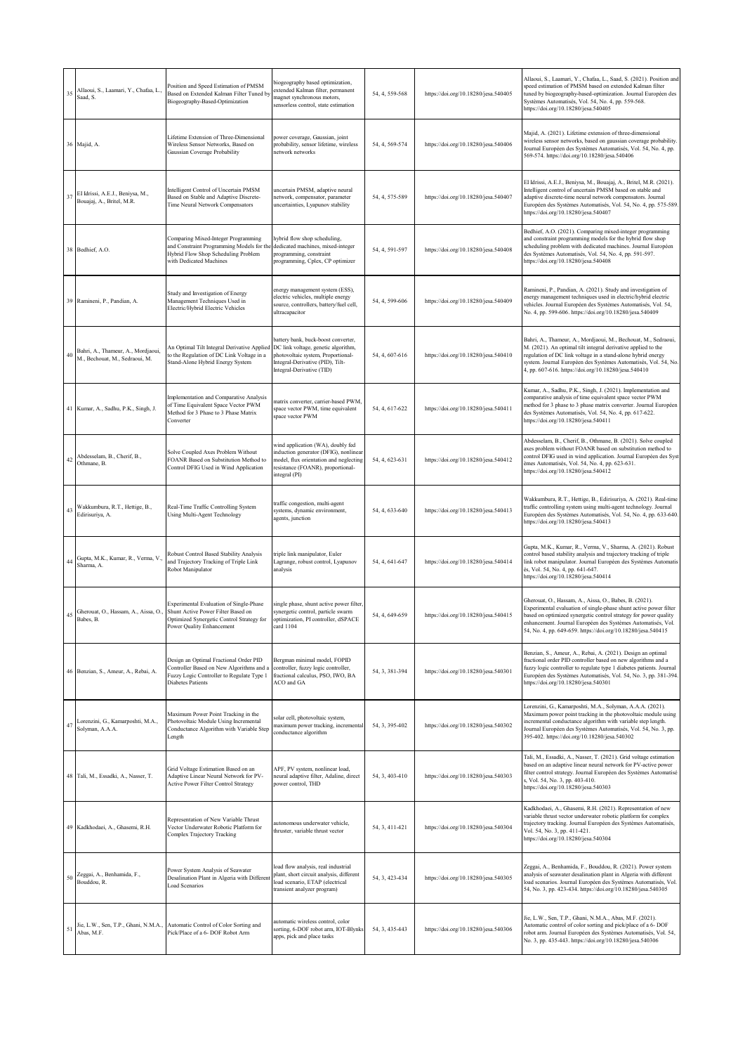| 35   | Allaoui, S., Laamari, Y., Chafaa, L.,<br>Saad, S.                    | Position and Speed Estimation of PMSM<br>Based on Extended Kalman Filter Tuned by<br>Biogeography-Based-Optimization                                        | piogeography based optimization,<br>extended Kalman filter, permanent<br>nagnet synchronous motors,<br>sensorless control, state estimation                                       | 54, 4, 559-568 | https://doi.org/10.18280/jesa.540405 | Allaoui, S., Laamari, Y., Chafaa, L., Saad, S. (2021). Position and<br>speed estimation of PMSM based on extended Kalman filter<br>tuned by biogeography-based-optimization. Journal Européen des<br>Systèmes Automatisés, Vol. 54, No. 4, pp. 559-568.<br>https://doi.org/10.18280/jesa.540405                                 |
|------|----------------------------------------------------------------------|-------------------------------------------------------------------------------------------------------------------------------------------------------------|-----------------------------------------------------------------------------------------------------------------------------------------------------------------------------------|----------------|--------------------------------------|---------------------------------------------------------------------------------------------------------------------------------------------------------------------------------------------------------------------------------------------------------------------------------------------------------------------------------|
|      | 36 Majid, A.                                                         | Lifetime Extension of Three-Dimensional<br>Wireless Sensor Networks, Based on<br>Gaussian Coverage Probability                                              | oower coverage, Gaussian, joint<br>probability, sensor lifetime, wireless<br>network networks                                                                                     | 54, 4, 569-574 | https://doi.org/10.18280/jesa.540406 | Majid, A. (2021). Lifetime extension of three-dimensional<br>wireless sensor networks, based on gaussian coverage probability.<br>Journal Européen des Systèmes Automatisés, Vol. 54, No. 4, pp.<br>569-574. https://doi.org/10.18280/jesa.540406                                                                               |
| 37   | EI Idrissi, A.E.J., Beniysa, M.,<br>Bouajaj, A., Britel, M.R.        | Intelligent Control of Uncertain PMSM<br>Based on Stable and Adaptive Discrete-<br>Time Neural Network Compensators                                         | ancertain PMSM, adaptive neural<br>network, compensator, parameter<br>uncertainties, Lyapunov stability                                                                           | 54, 4, 575-589 | https://doi.org/10.18280/jesa.540407 | EI Idrissi, A.E.J., Beniysa, M., Bouajaj, A., Britel, M.R. (2021).<br>Intelligent control of uncertain PMSM based on stable and<br>adaptive discrete-time neural network compensators. Journal<br>Européen des Systèmes Automatisés, Vol. 54, No. 4, pp. 575-589.<br>https://doi.org/10.18280/jesa.540407                       |
|      | 38 Bedhief, A.O.                                                     | Comparing Mixed-Integer Programming<br>and Constraint Programming Models for the<br>Hybrid Flow Shop Scheduling Problem<br>with Dedicated Machines          | lybrid flow shop scheduling,<br>dedicated machines, mixed-integer<br>programming, constraint<br>programming, Cplex, CP optimizer                                                  | 54, 4, 591-597 | https://doi.org/10.18280/jesa.540408 | Bedhief, A.O. (2021). Comparing mixed-integer programming<br>and constraint programming models for the hybrid flow shop<br>scheduling problem with dedicated machines. Journal Européen<br>des Systèmes Automatisés, Vol. 54, No. 4, pp. 591-597.<br>https://doi.org/10.18280/jesa.540408                                       |
|      | 39 Ramineni, P., Pandian, A.                                         | Study and Investigation of Energy<br>Management Techniques Used in<br>Electric/Hybrid Electric Vehicles                                                     | energy management system (ESS),<br>electric vehicles, multiple energy<br>source, controllers, battery/fuel cell,<br>altracapacitor                                                | 54, 4, 599-606 | https://doi.org/10.18280/jesa.540409 | Ramineni, P., Pandian, A. (2021). Study and investigation of<br>energy management techniques used in electric/hybrid electric<br>vehicles. Journal Européen des Systèmes Automatisés, Vol. 54,<br>No. 4, pp. 599-606. https://doi.org/10.18280/jesa.540409                                                                      |
| 40   | Bahri, A., Thameur, A., Mordjaoui,<br>M., Bechouat, M., Sedraoui, M. | An Optimal Tilt Integral Derivative Applied<br>to the Regulation of DC Link Voltage in a<br>Stand-Alone Hybrid Energy System                                | pattery bank, buck-boost converter,<br>DC link voltage, genetic algorithm,<br>photovoltaic system, Proportional-<br>Integral-Derivative (PID), Tilt-<br>Integral-Derivative (TID) | 54, 4, 607-616 | https://doi.org/10.18280/jesa.540410 | Bahri, A., Thameur, A., Mordjaoui, M., Bechouat, M., Sedraoui,<br>M. (2021). An optimal tilt integral derivative applied to the<br>regulation of DC link voltage in a stand-alone hybrid energy<br>system. Journal Européen des Systèmes Automatisés, Vol. 54, No.<br>4, pp. 607-616. https://doi.org/10.18280/jesa.540410      |
|      | 41 Kumar, A., Sadhu, P.K., Singh, J.                                 | Implementation and Comparative Analysis<br>of Time Equivalent Space Vector PWM<br>Method for 3 Phase to 3 Phase Matrix<br>Converter                         | natrix converter, carrier-based PWM,<br>space vector PWM, time equivalent<br>space vector PWM                                                                                     | 54, 4, 617-622 | https://doi.org/10.18280/jesa.540411 | Kumar, A., Sadhu, P.K., Singh, J. (2021). Implementation and<br>comparative analysis of time equivalent space vector PWM<br>method for 3 phase to 3 phase matrix converter. Journal Européen<br>des Systèmes Automatisés, Vol. 54, No. 4, pp. 617-622.<br>https://doi.org/10.18280/jesa.540411                                  |
| 42   | Abdesselam, B., Cherif, B.,<br>Othmane, B.                           | Solve Coupled Axes Problem Without<br>FOANR Based on Substitution Method to<br>Control DFIG Used in Wind Application                                        | wind application (WA), doubly fed<br>nduction generator (DFIG), nonlinear<br>nodel, flux orientation and neglecting<br>resistance (FOANR), proportional-<br>ntegral (PI)          | 54, 4, 623-631 | https://doi.org/10.18280/jesa.540412 | Abdesselam, B., Cherif, B., Othmane, B. (2021). Solve coupled<br>axes problem without FOANR based on substitution method to<br>control DFIG used in wind application. Journal Européen des Syst<br>èmes Automatisés, Vol. 54, No. 4, pp. 623-631.<br>https://doi.org/10.18280/jesa.540412                                       |
|      | Wakkumbura, R.T., Hettige, B.,<br>43 Manus<br>Edirisuriya, A.        | Real-Time Traffic Controlling System<br>Using Multi-Agent Technology                                                                                        | raffic congestion, multi-agent<br>systems, dynamic environment,<br>agents, junction                                                                                               | 54, 4, 633-640 | https://doi.org/10.18280/jesa.540413 | Wakkumbura, R.T., Hettige, B., Edirisuriya, A. (2021). Real-time<br>traffic controlling system using multi-agent technology. Journal<br>Européen des Systèmes Automatisés, Vol. 54, No. 4, pp. 633-640.<br>https://doi.org/10.18280/jesa.540413                                                                                 |
| $44$ | Gupta, M.K., Kumar, R., Verma, V.<br>Sharma, A.                      | Robust Control Based Stability Analysis<br>and Trajectory Tracking of Triple Link<br>Robot Manipulator                                                      | riple link manipulator, Euler<br>agrange, robust control, Lyapunov<br>analysis                                                                                                    | 54, 4, 641-647 | https://doi.org/10.18280/jesa.540414 | Gupta, M.K., Kumar, R., Verma, V., Sharma, A. (2021). Robust<br>control based stability analysis and trajectory tracking of triple<br>link robot manipulator. Journal Européen des Systèmes Automatis<br>és, Vol. 54, No. 4, pp. 641-647.<br>https://doi.org/10.18280/jesa.540414                                               |
| 45   | Gherouat, O., Hassam, A., Aissa, O.,<br>Babes, B.                    | Experimental Evaluation of Single-Phase<br>Shunt Active Power Filter Based on<br>Optimized Synergetic Control Strategy for<br>Power Quality Enhancement     | single phase, shunt active power filter,<br>synergetic control, particle swarm<br>optimization, PI controller, dSPACE<br>card 1104                                                | 54, 4, 649-659 | https://doi.org/10.18280/jesa.540415 | Gherouat, O., Hassam, A., Aissa, O., Babes, B. (2021).<br>Experimental evaluation of single-phase shunt active power filter<br>based on optimized synergetic control strategy for power quality<br>enhancement. Journal Européen des Systèmes Automatisés, Vol.<br>54, No. 4, pp. 649-659. https://doi.org/10.18280/jesa.540415 |
|      | 46 Benzian, S., Ameur, A., Rebai, A.                                 | Design an Optimal Fractional Order PID<br>Controller Based on New Algorithms and a<br>Fuzzy Logic Controller to Regulate Type 1<br><b>Diabetes Patients</b> | Bergman minimal model, FOPID<br>controller, fuzzy logic controller,<br>fractional calculus, PSO, IWO, BA<br>ACO and GA                                                            | 54, 3, 381-394 | https://doi.org/10.18280/jesa.540301 | Benzian, S., Ameur, A., Rebai, A. (2021). Design an optimal<br>fractional order PID controller based on new algorithms and a<br>fuzzy logic controller to regulate type 1 diabetes patients. Journal<br>Européen des Systèmes Automatisés, Vol. 54, No. 3, pp. 381-394.<br>https://doi.org/10.18280/jesa.540301                 |
| 47   | Lorenzini, G., Kamarposhti, M.A.,<br>Solyman, A.A.A.                 | Maximum Power Point Tracking in the<br>Photovoltaic Module Using Incremental<br>Conductance Algorithm with Variable Step<br>Length                          | solar cell, photovoltaic system,<br>naximum power tracking, incremental<br>conductance algorithm                                                                                  | 54, 3, 395-402 | https://doi.org/10.18280/jesa.540302 | Lorenzini, G., Kamarposhti, M.A., Solyman, A.A.A. (2021).<br>Maximum power point tracking in the photovoltaic module using<br>incremental conductance algorithm with variable step length.<br>Journal Européen des Systèmes Automatisés, Vol. 54, No. 3, pp.<br>395-402. https://doi.org/10.18280/jesa.540302                   |
|      | 48 Tali, M., Essadki, A., Nasser, T.                                 | Grid Voltage Estimation Based on an<br>Adaptive Linear Neural Network for PV-<br><b>Active Power Filter Control Strategy</b>                                | APF, PV system, nonlinear load,<br>neural adaptive filter, Adaline, direct<br>power control, THD                                                                                  | 54, 3, 403-410 | https://doi.org/10.18280/jesa.540303 | Tali, M., Essadki, A., Nasser, T. (2021). Grid voltage estimation<br>based on an adaptive linear neural network for PV-active power<br>filter control strategy. Journal Européen des Systèmes Automatisé<br>s, Vol. 54, No. 3, pp. 403-410.<br>https://doi.org/10.18280/jesa.540303                                             |
|      | 49 Kadkhodaei, A., Ghasemi, R.H.                                     | Representation of New Variable Thrust<br>Vector Underwater Robotic Platform for<br>Complex Trajectory Tracking                                              | autonomous underwater vehicle,<br>thruster, variable thrust vector                                                                                                                | 54, 3, 411-421 | https://doi.org/10.18280/jesa.540304 | Kadkhodaei, A., Ghasemi, R.H. (2021). Representation of new<br>variable thrust vector underwater robotic platform for complex<br>trajectory tracking. Journal Européen des Systèmes Automatisés,<br>Vol. 54, No. 3, pp. 411-421.<br>https://doi.org/10.18280/jesa.540304                                                        |
|      | 50 Zeggai, A., Benhamida, F.,<br>Bouddou, R.                         | Power System Analysis of Seawater<br>Desalination Plant in Algeria with Different<br>Load Scenarios                                                         | oad flow analysis, real industrial<br>plant, short circuit analysis, different<br>oad scenario, ETAP (electrical<br>transient analyzer program)                                   | 54, 3, 423-434 | https://doi.org/10.18280/jesa.540305 | Zeggai, A., Benhamida, F., Bouddou, R. (2021). Power system<br>analysis of seawater desalination plant in Algeria with different<br>load scenarios. Journal Européen des Systèmes Automatisés, Vol.<br>54, No. 3, pp. 423-434. https://doi.org/10.18280/jesa.540305                                                             |
| 51   | Jie, L.W., Sen, T.P., Ghani, N.M.A.,<br>Abas, M.F.                   | Automatic Control of Color Sorting and<br>Pick/Place of a 6- DOF Robot Arm                                                                                  | automatic wireless control, color<br>sorting, 6-DOF robot arm, IOT-Blynks<br>apps, pick and place tasks                                                                           | 54, 3, 435-443 | https://doi.org/10.18280/jesa.540306 | Jie, L.W., Sen, T.P., Ghani, N.M.A., Abas, M.F. (2021).<br>Automatic control of color sorting and pick/place of a 6- DOF<br>robot arm. Journal Européen des Systèmes Automatisés, Vol. 54,<br>No. 3, pp. 435-443. https://doi.org/10.18280/jesa.540306                                                                          |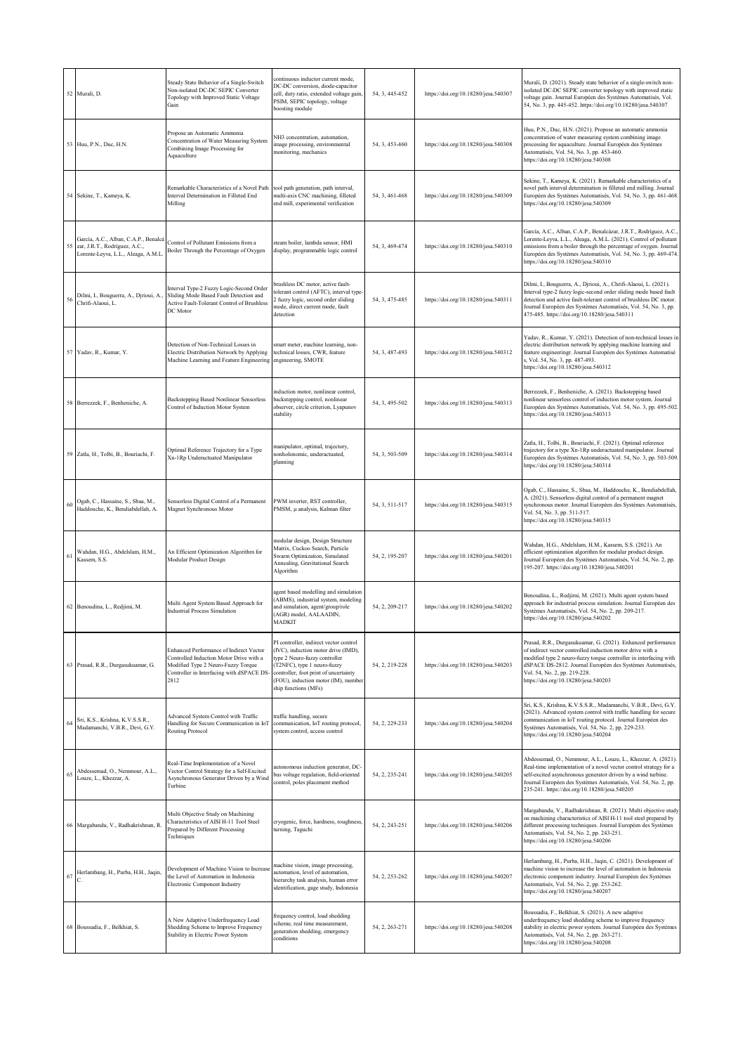|    | 52 Murali, D.                                                                                                   | Steady State Behavior of a Single-Switch<br>Non-isolated DC-DC SEPIC Converter<br>Topology with Improved Static Voltage<br>Gain                                               | continuous inductor current mode,<br>DC-DC conversion, diode-capacitor<br>cell, duty ratio, extended voltage gain,<br>PSIM, SEPIC topology, voltage<br>boosting module                                                                                | 54, 3, 445-452 | https://doi.org/10.18280/jesa.540307 | Murali, D. (2021). Steady state behavior of a single-switch non-<br>isolated DC-DC SEPIC converter topology with improved static<br>voltage gain. Journal Européen des Systèmes Automatisés, Vol.<br>54, No. 3, pp. 445-452. https://doi.org/10.18280/jesa.540307                                                                     |
|----|-----------------------------------------------------------------------------------------------------------------|-------------------------------------------------------------------------------------------------------------------------------------------------------------------------------|-------------------------------------------------------------------------------------------------------------------------------------------------------------------------------------------------------------------------------------------------------|----------------|--------------------------------------|---------------------------------------------------------------------------------------------------------------------------------------------------------------------------------------------------------------------------------------------------------------------------------------------------------------------------------------|
|    | 53 Huu, P.N., Duc, H.N.                                                                                         | Propose an Automatic Ammonia<br>Concentration of Water Measuring System<br>Combining Image Processing for<br>Aquaculture                                                      | NH3 concentration, automation,<br>mage processing, environmental<br>monitoring, mechanics                                                                                                                                                             | 54, 3, 453-460 | https://doi.org/10.18280/jesa.540308 | Huu, P.N., Duc, H.N. (2021). Propose an automatic ammonia<br>concentration of water measuring system combining image<br>processing for aquaculture. Journal Européen des Systèmes<br>Automatisés, Vol. 54, No. 3, pp. 453-460.<br>https://doi.org/10.18280/jesa.540308                                                                |
|    | 54 Sekine, T., Kameya, K.                                                                                       | Remarkable Characteristics of a Novel Path<br>Interval Determination in Filleted End<br>Milling                                                                               | tool path generation, path interval,<br>multi-axis CNC machining, filleted<br>end mill, experimental verification                                                                                                                                     | 54, 3, 461-468 | https://doi.org/10.18280/jesa.540309 | Sekine, T., Kameya, K. (2021). Remarkable characteristics of a<br>novel path interval determination in filleted end milling. Journal<br>Européen des Systèmes Automatisés, Vol. 54, No. 3, pp. 461-468.<br>https://doi.org/10.18280/jesa.540309                                                                                       |
|    | García, A.C., Alban, C.A.P., Benalcá<br>55 zar, J.R.T., Rodríguez, A.C.,<br>Lorente-Leyva, L.L., Aleaga, A.M.L. | Control of Pollutant Emissions from a<br>Boiler Through the Percentage of Oxygen                                                                                              | steam boiler, lambda sensor, HMI<br>display, programmable logic control                                                                                                                                                                               | 54, 3, 469-474 | https://doi.org/10.18280/jesa.540310 | García, A.C., Alban, C.A.P., Benalcázar, J.R.T., Rodríguez, A.C.<br>Lorente-Leyva, L.L., Aleaga, A.M.L. (2021). Control of pollutant<br>emissions from a boiler through the percentage of oxygen. Journal<br>Européen des Systèmes Automatisés, Vol. 54, No. 3, pp. 469-474.<br>https://doi.org/10.18280/jesa.540310                  |
| 56 | Dilmi, I., Bouguerra, A., Djrioui, A.,<br>Chrifi-Alaoui, L.                                                     | Interval Type-2 Fuzzy Logic-Second Order<br>Sliding Mode Based Fault Detection and<br>Active Fault-Tolerant Control of Brushless<br>DC Motor                                  | prushless DC motor, active fault-<br>olerant control (AFTC), interval type-<br>2 fuzzy logic, second order sliding<br>mode, direct current mode, fault<br>detection                                                                                   | 54, 3, 475-485 | https://doi.org/10.18280/jesa.540311 | Dilmi, I., Bouguerra, A., Djrioui, A., Chrifi-Alaoui, L. (2021).<br>Interval type-2 fuzzy logic-second order sliding mode based fault<br>detection and active fault-tolerant control of brushless DC motor.<br>Journal Européen des Systèmes Automatisés, Vol. 54, No. 3, pp.<br>475-485. https://doi.org/10.18280/jesa.540311        |
|    | 57 Yadav, R., Kumar, Y.                                                                                         | Detection of Non-Technical Losses in<br>Electric Distribution Network by Applying<br>Machine Learning and Feature Engineering                                                 | smart meter, machine learning, non-<br>technical losses, CWR, feature<br>engineering, SMOTE                                                                                                                                                           | 54, 3, 487-493 | https://doi.org/10.18280/jesa.540312 | Yadav, R., Kumar, Y. (2021). Detection of non-technical losses in<br>electric distribution network by applying machine learning and<br>feature engineeringr. Journal Européen des Systèmes Automatisé<br>s, Vol. 54, No. 3, pp. 487-493.<br>https://doi.org/10.18280/jesa.540312                                                      |
|    | 58 Berrezzek, F., Benheniche, A.                                                                                | <b>Backstepping Based Nonlinear Sensorless</b><br>Control of Induction Motor System                                                                                           | induction motor, nonlinear control,<br>vackstepping control, nonlinear<br>observer, circle criterion, Lyapunov<br>stability                                                                                                                           | 54, 3, 495-502 | https://doi.org/10.18280/jesa.540313 | Berrezzek, F., Benheniche, A. (2021). Backstepping based<br>nonlinear sensorless control of induction motor system. Journal<br>Européen des Systèmes Automatisés, Vol. 54, No. 3, pp. 495-502.<br>https://doi.org/10.18280/jesa.540313                                                                                                |
|    | 59 Zatla, H., Tolbi, B., Bouriachi, F.                                                                          | Optimal Reference Trajectory for a Type<br>Xn-1Rp Underactuated Manipulator                                                                                                   | manipulator, optimal, trajectory,<br>nonholonomic, underactuated,<br>planning                                                                                                                                                                         | 54, 3, 503-509 | https://doi.org/10.18280/jesa.540314 | Zatla, H., Tolbi, B., Bouriachi, F. (2021). Optimal reference<br>trajectory for a type Xn-1Rp underactuated manipulator. Journal<br>Européen des Systèmes Automatisés, Vol. 54, No. 3, pp. 503-509.<br>https://doi.org/10.18280/jesa.540314                                                                                           |
| 60 | Ogab, C., Hassaine, S., Sbaa, M.,<br>Haddouche, K., Bendiabdellah, A.                                           | Sensorless Digital Control of a Permanent<br>Magnet Synchronous Motor                                                                                                         | PWM inverter, RST controller,<br>PMSM, µ analysis, Kalman filter                                                                                                                                                                                      | 54, 3, 511-517 | https://doi.org/10.18280/jesa.540315 | Ogab, C., Hassaine, S., Sbaa, M., Haddouche, K., Bendiabdellah,<br>A. (2021). Sensorless digital control of a permanent magnet<br>synchronous motor. Journal Européen des Systèmes Automatisés,<br>Vol. 54, No. 3, pp. 511-517.<br>https://doi.org/10.18280/jesa.540315                                                               |
| 61 | Wahdan, H.G., Abdelslam, H.M.,<br>Kassem, S.S.                                                                  | An Efficient Optimization Algorithm for<br>Modular Product Design                                                                                                             | modular design, Design Structure<br>Matrix, Cuckoo Search, Particle<br>Swarm Optimization, Simulated<br>Annealing, Gravitational Search<br>Algorithm                                                                                                  | 54, 2, 195-207 | https://doi.org/10.18280/jesa.540201 | Wahdan, H.G., Abdelslam, H.M., Kassem, S.S. (2021). An<br>efficient optimization algorithm for modular product design.<br>Journal Européen des Systèmes Automatisés, Vol. 54, No. 2, pp.<br>195-207. https://doi.org/10.18280/jesa.540201                                                                                             |
|    | 62 Benoudina, L., Redjimi, M.                                                                                   | Multi Agent System Based Approach for<br><b>Industrial Process Simulation</b>                                                                                                 | agent based modelling and simulation<br>ABMS), industrial system, modeling<br>and simulation, agent/group/role<br>(AGR) model, AALAADIN,<br>MADKIT                                                                                                    | 54, 2, 209-217 | https://doi.org/10.18280/jesa.540202 | Benoudina, L., Redjimi, M. (2021). Multi agent system based<br>approach for industrial process simulation. Journal Européen des<br>Systèmes Automatisés, Vol. 54, No. 2, pp. 209-217.<br>https://doi.org/10.18280/jesa.540202                                                                                                         |
|    | 63 Prasad, R.R., Durgasukuamar, G.                                                                              | Enhanced Performance of Indirect Vector<br>Controlled Induction Motor Drive with a<br>Modified Type 2 Neuro-Fuzzy Torque<br>Controller in Interfacing with dSPACE DS-<br>2812 | PI controller, indirect vector control<br>(IVC), induction motor drive (IMD),<br>type 2 Neuro-fuzzy controller<br>(T2NFC), type 1 neuro-fuzzy<br>controller, foot print of uncertainty<br>(FOU), induction motor (IM), member<br>ship functions (MFs) | 54, 2, 219-228 | https://doi.org/10.18280/jesa.540203 | Prasad, R.R., Durgasukuamar, G. (2021). Enhanced performance<br>of indirect vector controlled induction motor drive with a<br>modified type 2 neuro-fuzzy torque controller in interfacing with<br>dSPACE DS-2812. Journal Européen des Systèmes Automatisés,<br>Vol. 54, No. 2, pp. 219-228.<br>https://doi.org/10.18280/jesa.540203 |
| 64 | Sri, K.S., Krishna, K.V.S.S.R.,<br>Madamanchi, V.B.R., Devi, G.Y.                                               | Advanced System Control with Traffic<br>Handling for Secure Communication in IoT<br><b>Routing Protocol</b>                                                                   | traffic handling, secure<br>communication, IoT routing protocol,<br>system control, access control                                                                                                                                                    | 54, 2, 229-233 | https://doi.org/10.18280/jesa.540204 | Sri, K.S., Krishna, K.V.S.S.R., Madamanchi, V.B.R., Devi, G.Y.<br>(2021). Advanced system control with traffic handling for secure<br>communication in IoT routing protocol. Journal Européen des<br>Systèmes Automatisés, Vol. 54, No. 2, pp. 229-233.<br>https://doi.org/10.18280/jesa.540204                                       |
|    | $65$ Abdessemad, O., Nemmour, A.L.,<br>Louze, L., Khezzar, A.                                                   | Real-Time Implementation of a Novel<br>Vector Control Strategy for a Self-Excited<br>Asynchronous Generator Driven by a Wind<br>Turbine                                       | autonomous induction generator, DC-<br>bus voltage regulation, field-oriented<br>control, poles placement method                                                                                                                                      | 54, 2, 235-241 | https://doi.org/10.18280/jesa.540205 | Abdessemad, O., Nemmour, A.L., Louze, L., Khezzar, A. (2021).<br>Real-time implementation of a novel vector control strategy for a<br>self-excited asynchronous generator driven by a wind turbine.<br>Journal Européen des Systèmes Automatisés, Vol. 54, No. 2, pp.<br>235-241. https://doi.org/10.18280/jesa.540205                |
|    | 66 Margabandu, V., Radhakrishnan, R.                                                                            | Multi Objective Study on Machining<br>Characteristics of AISI H-11 Tool Steel<br>Prepared by Different Processing<br>Techniques                                               | cryogenic, force, hardness, roughness,<br>turning, Taguchi                                                                                                                                                                                            | 54, 2, 243-251 | https://doi.org/10.18280/jesa.540206 | Margabandu, V., Radhakrishnan, R. (2021). Multi objective study<br>on machining characteristics of AISI H-11 tool steel prepared by<br>different processing techniques. Journal Européen des Systèmes<br>Automatisés, Vol. 54, No. 2, pp. 243-251.<br>https://doi.org/10.18280/jesa.540206                                            |
| 67 | Herlambang, H., Purba, H.H., Jaqin,                                                                             | Development of Machine Vision to Increase<br>the Level of Automation in Indonesia<br>Electronic Component Industry                                                            | machine vision, image processing,<br>automation, level of automation,<br>hierarchy task analysis, human error<br>identification, gage study, Indonesia                                                                                                | 54, 2, 253-262 | https://doi.org/10.18280/jesa.540207 | Herlambang, H., Purba, H.H., Jaqin, C. (2021). Development of<br>machine vision to increase the level of automation in Indonesia<br>electronic component industry. Journal Européen des Systèmes<br>Automatisés, Vol. 54, No. 2, pp. 253-262.<br>https://doi.org/10.18280/jesa.540207                                                 |
|    | 68 Boussadia, F., Belkhiat, S.                                                                                  | A New Adaptive Underfrequency Load<br>Shedding Scheme to Improve Frequency<br>Stability in Electric Power System                                                              | frequency control, load shedding<br>scheme, real time measurement,<br>generation shedding, emergency<br>conditions                                                                                                                                    | 54, 2, 263-271 | https://doi.org/10.18280/jesa.540208 | Boussadia, F., Belkhiat, S. (2021). A new adaptive<br>underfrequency load shedding scheme to improve frequency<br>stability in electric power system. Journal Européen des Systèmes<br>Automatisés, Vol. 54, No. 2, pp. 263-271.<br>https://doi.org/10.18280/jesa.540208                                                              |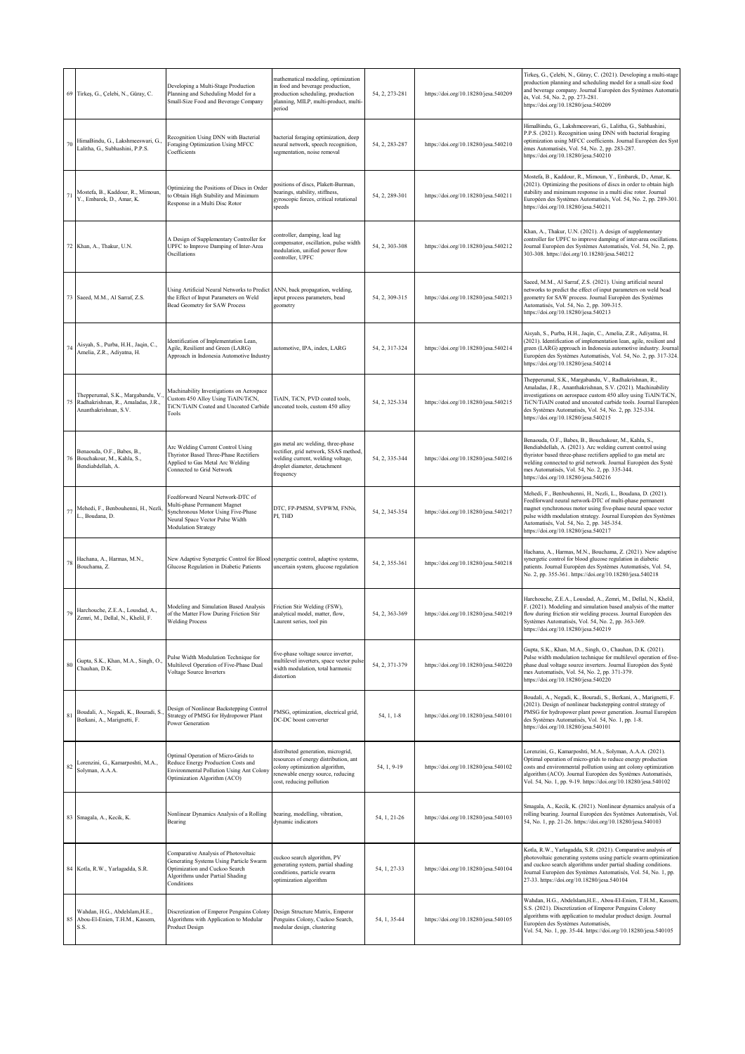|        | 69 Tirkeş, G., Çelebi, N., Güray, C.                                                             | Developing a Multi-Stage Production<br>Planning and Scheduling Model for a<br>Small-Size Food and Beverage Company                                                       | mathematical modeling, optimization<br>in food and beverage production,<br>production scheduling, production<br>planning, MILP, multi-product, multi-<br>boiree              | 54, 2, 273-281 | https://doi.org/10.18280/jesa.540209 | Tirkeş, G., Çelebi, N., Güray, C. (2021). Developing a multi-stage<br>production planning and scheduling model for a small-size food<br>and beverage company. Journal Européen des Systèmes Automatis<br>és, Vol. 54, No. 2, pp. 273-281.<br>https://doi.org/10.18280/jesa.540209                                                                          |
|--------|--------------------------------------------------------------------------------------------------|--------------------------------------------------------------------------------------------------------------------------------------------------------------------------|------------------------------------------------------------------------------------------------------------------------------------------------------------------------------|----------------|--------------------------------------|------------------------------------------------------------------------------------------------------------------------------------------------------------------------------------------------------------------------------------------------------------------------------------------------------------------------------------------------------------|
| 70     | HimaBindu, G., Lakshmeeswari, G.,<br>Lalitha, G., Subhashini, P.P.S.                             | Recognition Using DNN with Bacterial<br>Foraging Optimization Using MFCC<br>Coefficients                                                                                 | bacterial foraging optimization, deep<br>neural network, speech recognition,<br>egmentation, noise removal                                                                   | 54, 2, 283-287 | https://doi.org/10.18280/jesa.540210 | HimaBindu, G., Lakshmeeswari, G., Lalitha, G., Subhashini,<br>P.P.S. (2021). Recognition using DNN with bacterial foraging<br>optimization using MFCC coefficients. Journal Européen des Syst<br>èmes Automatisés, Vol. 54, No. 2, pp. 283-287.<br>https://doi.org/10.18280/jesa.540210                                                                    |
|        | 71 Mostefa, B., Kaddour, R., Mimoun, Y., Embarek, D., Amar, K.                                   | Optimizing the Positions of Discs in Order<br>to Obtain High Stability and Minimum<br>Response in a Multi Disc Rotor                                                     | ositions of discs, Plakett-Burman,<br>earings, stability, stiffness,<br>gyroscopic forces, critical rotational<br>peeds                                                      | 54, 2, 289-301 | https://doi.org/10.18280/jesa.540211 | Mostefa, B., Kaddour, R., Mimoun, Y., Embarek, D., Amar, K.<br>(2021). Optimizing the positions of discs in order to obtain high<br>stability and minimum response in a multi disc rotor. Journal<br>Européen des Systèmes Automatisés, Vol. 54, No. 2, pp. 289-301.<br>https://doi.org/10.18280/jesa.540211                                               |
|        | 72 Khan, A., Thakur, U.N.                                                                        | A Design of Supplementary Controller for<br>UPFC to Improve Damping of Inter-Area<br>Oscillations                                                                        | ontroller, damping, lead lag<br>ompensator, oscillation, pulse width<br>nodulation, unified power flow<br>controller, UPFC                                                   | 54, 2, 303-308 | https://doi.org/10.18280/jesa.540212 | Khan, A., Thakur, U.N. (2021). A design of supplementary<br>controller for UPFC to improve damping of inter-area oscillations.<br>Journal Européen des Systèmes Automatisés, Vol. 54, No. 2, pp.<br>303-308. https://doi.org/10.18280/jesa.540212                                                                                                          |
|        | 73 Saeed, M.M., Al Sarraf, Z.S.                                                                  | Using Artificial Neural Networks to Predict<br>the Effect of Input Parameters on Weld<br>Bead Geometry for SAW Process                                                   | ANN, back propagation, welding,<br>nput process parameters, bead<br>geometry                                                                                                 | 54, 2, 309-315 | https://doi.org/10.18280/jesa.540213 | Saeed, M.M., Al Sarraf, Z.S. (2021). Using artificial neural<br>networks to predict the effect of input parameters on weld bead<br>geometry for SAW process. Journal Européen des Systèmes<br>Automatisés, Vol. 54, No. 2, pp. 309-315.<br>https://doi.org/10.18280/jesa.540213                                                                            |
| 74     | Aisyah, S., Purba, H.H., Jaqin, C.,<br>Amelia, Z.R., Adiyatna, H.                                | Identification of Implementation Lean,<br>Agile, Resilient and Green (LARG)<br>Approach in Indonesia Automotive Industry                                                 | automotive, IPA, index, LARG                                                                                                                                                 | 54, 2, 317-324 | https://doi.org/10.18280/jesa.540214 | Aisyah, S., Purba, H.H., Jaqin, C., Amelia, Z.R., Adiyatna, H.<br>(2021). Identification of implementation lean, agile, resilient and<br>green (LARG) approach in Indonesia automotive industry. Journal<br>Européen des Systèmes Automatisés, Vol. 54, No. 2, pp. 317-324.<br>https://doi.org/10.18280/jesa.540214                                        |
| 75     | Thepperumal, S.K., Margabandu, V.<br>Radhakrishnan, R., Amaladas, J.R.,<br>Ananthakrishnan, S.V. | Machinability Investigations on Aerospace<br>Custom 450 Alloy Using TiAlN/TiCN,<br>TiCN/TiAlN Coated and Uncoated Carbide<br>Tools                                       | TiAlN, TiCN, PVD coated tools,<br>uncoated tools, custom 450 alloy                                                                                                           | 54, 2, 325-334 | https://doi.org/10.18280/jesa.540215 | Thepperumal, S.K., Margabandu, V., Radhakrishnan, R.,<br>Amaladas, J.R., Ananthakrishnan, S.V. (2021). Machinability<br>investigations on aerospace custom 450 alloy using TiAlN/TiCN,<br>TiCN/TiAlN coated and uncoated carbide tools. Journal Européen<br>des Systèmes Automatisés, Vol. 54, No. 2, pp. 325-334.<br>https://doi.org/10.18280/jesa.540215 |
| 76     | Benaouda, O.F., Babes, B.,<br>Bouchakour, M., Kahla, S.,<br>Bendiabdellah, A.                    | Arc Welding Current Control Using<br>Thyristor Based Three-Phase Rectifiers<br>Applied to Gas Metal Arc Welding<br>Connected to Grid Network                             | gas metal arc welding, three-phase<br>ectifier, grid network, SSAS method,<br>velding current, welding voltage,<br>froplet diameter, detachment<br>frequency                 | 54, 2, 335-344 | https://doi.org/10.18280/jesa.540216 | Benaouda, O.F., Babes, B., Bouchakour, M., Kahla, S.,<br>Bendiabdellah, A. (2021). Arc welding current control using<br>thyristor based three-phase rectifiers applied to gas metal arc<br>welding connected to grid network. Journal Européen des Systè<br>mes Automatisés, Vol. 54, No. 2, pp. 335-344.<br>https://doi.org/10.18280/jesa.540216          |
| 77     | Mehedi, F., Benbouhenni, H., Nezli,<br>L., Boudana, D.                                           | Feedforward Neural Network-DTC of<br>Multi-phase Permanent Magnet<br>Synchronous Motor Using Five-Phase<br>Neural Space Vector Pulse Width<br><b>Modulation Strategy</b> | DTC, FP-PMSM, SVPWM, FNNs,<br>PI, THD                                                                                                                                        | 54, 2, 345-354 | https://doi.org/10.18280/jesa.540217 | Mehedi, F., Benbouhenni, H., Nezli, L., Boudana, D. (2021).<br>Feedforward neural network-DTC of multi-phase permanent<br>magnet synchronous motor using five-phase neural space vector<br>pulse width modulation strategy. Journal Européen des Systèmes<br>Automatisés, Vol. 54, No. 2, pp. 345-354.<br>https://doi.org/10.18280/jesa.540217             |
| 78     | Hachana, A., Harmas, M.N.,<br>Bouchama, Z.                                                       | New Adaptive Synergetic Control for Blood synergetic control, adaptive systems,<br>Glucose Regulation in Diabetic Patients                                               | uncertain system, glucose regulation                                                                                                                                         | 54, 2, 355-361 | https://doi.org/10.18280/jesa.540218 | Hachana, A., Harmas, M.N., Bouchama, Z. (2021). New adaptive<br>synergetic control for blood glucose regulation in diabetic<br>patients. Journal Européen des Systèmes Automatisés, Vol. 54,<br>No. 2, pp. 355-361. https://doi.org/10.18280/jesa.540218                                                                                                   |
| 79     | Harchouche, Z.E.A., Lousdad, A.,<br>Zemri, M., Dellal, N., Khelil, F.                            | Modeling and Simulation Based Analysis<br>of the Matter Flow During Friction Stir<br><b>Welding Process</b>                                                              | Friction Stir Welding (FSW),<br>analytical model, matter, flow,<br>Laurent series, tool pin                                                                                  | 54, 2, 363-369 | https://doi.org/10.18280/jesa.540219 | Harchouche, Z.E.A., Lousdad, A., Zemri, M., Dellal, N., Khelil,<br>F. (2021). Modeling and simulation based analysis of the matter<br>flow during friction stir welding process. Journal Européen des<br>Systèmes Automatisés, Vol. 54, No. 2, pp. 363-369.<br>https://doi.org/10.18280/jesa.540219                                                        |
| 80     | Gupta, S.K., Khan, M.A., Singh, O.,<br>Chauhan, D.K.                                             | Pulse Width Modulation Technique for<br>Multilevel Operation of Five-Phase Dual<br>Voltage Source Inverters                                                              | five-phase voltage source inverter,<br>nultilevel inverters, space vector pulse<br>width modulation, total harmonic<br>distortion                                            | 54, 2, 371-379 | https://doi.org/10.18280/jesa.540220 | Gupta, S.K., Khan, M.A., Singh, O., Chauhan, D.K. (2021).<br>Pulse width modulation technique for multilevel operation of five-<br>phase dual voltage source inverters. Journal Européen des Systè<br>mes Automatisés, Vol. 54, No. 2, pp. 371-379.<br>https://doi.org/10.18280/jesa.540220                                                                |
| $81\,$ | Boudali, A., Negadi, K., Bouradi, S.<br>Berkani, A., Marignetti, F.                              | Design of Nonlinear Backstepping Control<br>Strategy of PMSG for Hydropower Plant<br>Power Generation                                                                    | PMSG, optimization, electrical grid,<br>DC-DC boost converter                                                                                                                | 54, 1, 1-8     | https://doi.org/10.18280/jesa.540101 | Boudali, A., Negadi, K., Bouradi, S., Berkani, A., Marignetti, F.<br>(2021). Design of nonlinear backstepping control strategy of<br>PMSG for hydropower plant power generation. Journal Européen<br>des Systèmes Automatisés, Vol. 54, No. 1, pp. 1-8.<br>https://doi.org/10.18280/jesa.540101                                                            |
| $82\,$ | Lorenzini, G., Kamarposhti, M.A.,<br>Solyman, A.A.A.                                             | Optimal Operation of Micro-Grids to<br>Reduce Energy Production Costs and<br>Environmental Pollution Using Ant Colony<br>Optimization Algorithm (ACO)                    | distributed generation, microgrid,<br>esources of energy distribution, ant<br>colony optimization algorithm,<br>enewable energy source, reducing<br>cost, reducing pollution | 54, 1, 9-19    | https://doi.org/10.18280/jesa.540102 | Lorenzini, G., Kamarposhti, M.A., Solyman, A.A.A. (2021).<br>Optimal operation of micro-grids to reduce energy production<br>costs and environmental pollution using ant colony optimization<br>algorithm (ACO). Journal Européen des Systèmes Automatisés,<br>Vol. 54, No. 1, pp. 9-19. https://doi.org/10.18280/jesa.540102                              |
|        | 83 Smagala, A., Kecik, K.                                                                        | Nonlinear Dynamics Analysis of a Rolling<br>Bearing                                                                                                                      | pearing, modelling, vibration,<br>dynamic indicators                                                                                                                         | 54, 1, 21-26   | https://doi.org/10.18280/jesa.540103 | Smagala, A., Kecik, K. (2021). Nonlinear dynamics analysis of a<br>rolling bearing. Journal Européen des Systèmes Automatisés, Vol.<br>54, No. 1, pp. 21-26. https://doi.org/10.18280/jesa.540103                                                                                                                                                          |
|        | 84 Kotla, R.W., Yarlagadda, S.R.                                                                 | Comparative Analysis of Photovoltaic<br>Generating Systems Using Particle Swarm<br>Optimization and Cuckoo Search<br>Algorithms under Partial Shading<br>Conditions      | uckoo search algorithm, PV<br>generating system, partial shading<br>onditions, particle swarm<br>optimization algorithm                                                      | 54, 1, 27-33   | https://doi.org/10.18280/jesa.540104 | Kotla, R.W., Yarlagadda, S.R. (2021). Comparative analysis of<br>photovoltaic generating systems using particle swarm optimization<br>and cuckoo search algorithms under partial shading conditions.<br>Journal Européen des Systèmes Automatisés, Vol. 54, No. 1, pp.<br>27-33. https://doi.org/10.18280/jesa.540104                                      |
|        | Wahdan, H.G., Abdelslam, H.E.,<br>85 Abou-El-Enien, T.H.M., Kassem,<br>S.S.                      | Discretization of Emperor Penguins Colony<br>Algorithms with Application to Modular<br>Product Design                                                                    | Design Structure Matrix, Emperor<br>Penguins Colony, Cuckoo Search,<br>nodular design, clustering                                                                            | 54, 1, 35-44   | https://doi.org/10.18280/jesa.540105 | Wahdan, H.G., Abdelslam, H.E., Abou-El-Enien, T.H.M., Kassem,<br>S.S. (2021). Discretization of Emperor Penguins Colony<br>algorithms with application to modular product design. Journal<br>Européen des Systèmes Automatisés,<br>Vol. 54, No. 1, pp. 35-44. https://doi.org/10.18280/jesa.540105                                                         |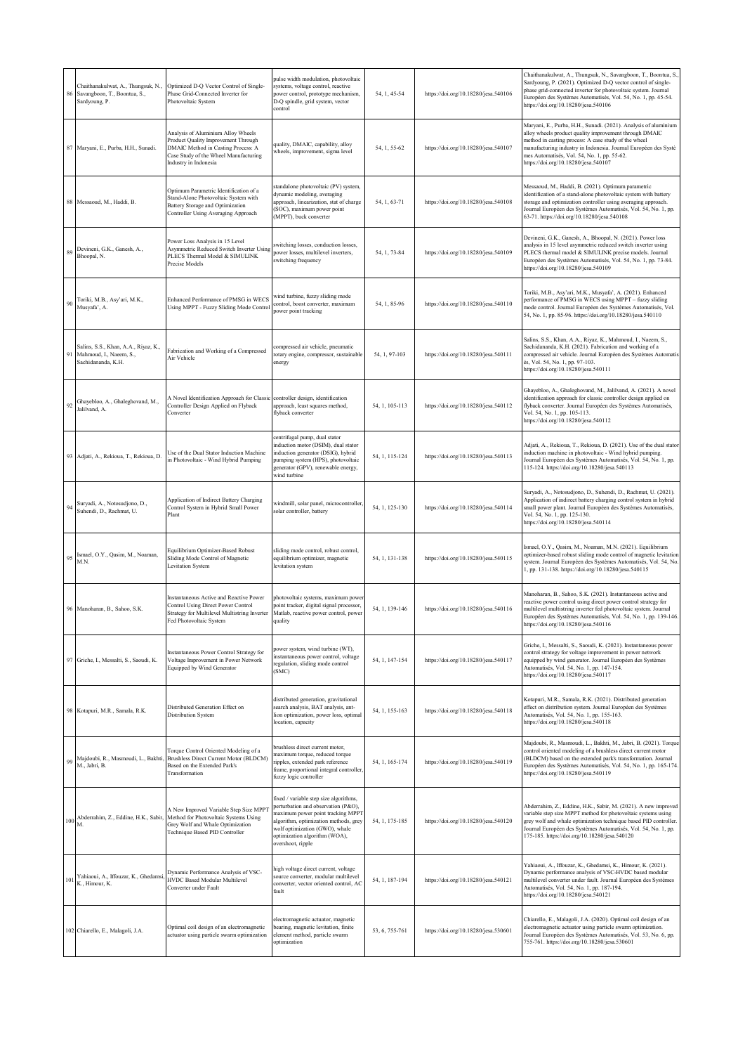|     | Chaithanakulwat, A., Thungsuk, N.<br>86 Savangboon, T., Boontua, S.,<br>Sardyoung, P. | Optimized D-Q Vector Control of Single-<br>Phase Grid-Connected Inverter for<br>Photovoltaic System                                                                               | pulse width modulation, photovoltaic<br>systems, voltage control, reactive<br>power control, prototype mechanism,<br>D-Q spindle, grid system, vector<br>control                                                                                    | 54, 1, 45-54   | https://doi.org/10.18280/jesa.540106 | Chaithanakulwat, A., Thungsuk, N., Savangboon, T., Boontua, S.<br>Sardyoung, P. (2021). Optimized D-Q vector control of single-<br>phase grid-connected inverter for photovoltaic system. Journal<br>Européen des Systèmes Automatisés, Vol. 54, No. 1, pp. 45-54.<br>https://doi.org/10.18280/jesa.540106                                  |
|-----|---------------------------------------------------------------------------------------|-----------------------------------------------------------------------------------------------------------------------------------------------------------------------------------|-----------------------------------------------------------------------------------------------------------------------------------------------------------------------------------------------------------------------------------------------------|----------------|--------------------------------------|---------------------------------------------------------------------------------------------------------------------------------------------------------------------------------------------------------------------------------------------------------------------------------------------------------------------------------------------|
|     | 87 Maryani, E., Purba, H.H., Sunadi.                                                  | Analysis of Aluminium Alloy Wheels<br>Product Quality Improvement Through<br>DMAIC Method in Casting Process: A<br>Case Study of the Wheel Manufacturing<br>Industry in Indonesia | quality, DMAIC, capability, alloy<br>wheels, improvement, sigma level                                                                                                                                                                               | 54, 1, 55-62   | https://doi.org/10.18280/jesa.540107 | Maryani, E., Purba, H.H., Sunadi. (2021). Analysis of aluminium<br>alloy wheels product quality improvement through DMAIC<br>nethod in casting process: A case study of the wheel<br>manufacturing industry in Indonesia. Journal Européen des Systè<br>nes Automatisés, Vol. 54, No. 1, pp. 55-62.<br>https://doi.org/10.18280/jesa.540107 |
|     | 88 Messaoud, M., Haddi, B.                                                            | Optimum Parametric Identification of a<br>Stand-Alone Photovoltaic System with<br>Battery Storage and Optimization<br>Controller Using Averaging Approach                         | standalone photovoltaic (PV) system,<br>dynamic modeling, averaging<br>approach, linearization, stat of charge<br>(SOC), maximum power point<br>(MPPT), buck converter                                                                              | 54, 1, 63-71   | https://doi.org/10.18280/jesa.540108 | Messaoud, M., Haddi, B. (2021). Optimum parametric<br>identification of a stand-alone photovoltaic system with battery<br>storage and optimization controller using averaging approach.<br>Journal Européen des Systèmes Automatisés, Vol. 54, No. 1, pp.<br>63-71. https://doi.org/10.18280/jesa.540108                                    |
| 89  | Devineni, G.K., Ganesh, A.,<br>Bhoopal, N.                                            | Power Loss Analysis in 15 Level<br>Asymmetric Reduced Switch Inverter Using<br>PLECS Thermal Model & SIMULINK<br>Precise Models                                                   | switching losses, conduction losses,<br>power losses, multilevel inverters,<br>switching frequency                                                                                                                                                  | 54, 1, 73-84   | https://doi.org/10.18280/jesa.540109 | Devineni, G.K., Ganesh, A., Bhoopal, N. (2021). Power loss<br>analysis in 15 level asymmetric reduced switch inverter using<br>PLECS thermal model & SIMULINK precise models. Journal<br>Européen des Systèmes Automatisés, Vol. 54, No. 1, pp. 73-84.<br>https://doi.org/10.18280/jesa.540109                                              |
| 90  | Toriki, M.B., Asy'ari, M.K.,<br>Musyafa', A.                                          | Enhanced Performance of PMSG in WECS<br>Using MPPT - Fuzzy Sliding Mode Control                                                                                                   | wind turbine, fuzzy sliding mode<br>control, boost converter, maximum<br>power point tracking                                                                                                                                                       | 54, 1, 85-96   | https://doi.org/10.18280/jesa.540110 | Toriki, M.B., Asy'ari, M.K., Musyafa', A. (2021). Enhanced<br>performance of PMSG in WECS using MPPT - fuzzy sliding<br>mode control. Journal Européen des Systèmes Automatisés, Vol.<br>54, No. 1, pp. 85-96. https://doi.org/10.18280/jesa.540110                                                                                         |
| 91  | Salins, S.S., Khan, A.A., Riyaz, K.,<br>Mahmoud, I., Naeem, S.,<br>Sachidananda, K.H. | abrication and Working of a Compressed<br>Air Vehicle                                                                                                                             | compressed air vehicle, pneumatic<br>otary engine, compressor, sustainable<br>energy                                                                                                                                                                | 54, 1, 97-103  | https://doi.org/10.18280/jesa.540111 | Salins, S.S., Khan, A.A., Riyaz, K., Mahmoud, I., Naeem, S.,<br>Sachidananda, K.H. (2021). Fabrication and working of a<br>compressed air vehicle. Journal Européen des Systèmes Automatis<br>is, Vol. 54, No. 1, pp. 97-103.<br>https://doi.org/10.18280/jesa.540111                                                                       |
| 92  | Ghayebloo, A., Ghaleghovand, M.,<br>Jalilvand, A.                                     | A Novel Identification Approach for Classic<br>Controller Design Applied on Flyback<br>Converter                                                                                  | controller design, identification<br>approach, least squares method,<br>flyback converter                                                                                                                                                           | 54, 1, 105-113 | https://doi.org/10.18280/jesa.540112 | Ghayebloo, A., Ghaleghovand, M., Jalilvand, A. (2021). A novel<br>identification approach for classic controller design applied on<br>flyback converter. Journal Européen des Systèmes Automatisés,<br>Vol. 54, No. 1, pp. 105-113.<br>https://doi.org/10.18280/jesa.540112                                                                 |
|     | 93 Adjati, A., Rekioua, T., Rekioua, D.                                               | Use of the Dual Stator Induction Machine<br>n Photovoltaic - Wind Hybrid Pumping                                                                                                  | centrifugal pump, dual stator<br>induction motor (DSIM), dual stator<br>induction generator (DSIG), hybrid<br>pumping system (HPS), photovoltaic<br>generator (GPV), renewable energy,<br>wind turbine                                              | 54, 1, 115-124 | https://doi.org/10.18280/jesa.540113 | Adjati, A., Rekioua, T., Rekioua, D. (2021). Use of the dual stator<br>induction machine in photovoltaic - Wind hybrid pumping.<br>Journal Européen des Systèmes Automatisés, Vol. 54, No. 1, pp.<br>115-124. https://doi.org/10.18280/jesa.540113                                                                                          |
| 94  | Suryadi, A., Notosudjono, D.,<br>Suhendi, D., Rachmat, U.                             | Application of Indirect Battery Charging<br>Control System in Hybrid Small Power<br>Plant                                                                                         | windmill, solar panel, microcontroller<br>solar controller, battery                                                                                                                                                                                 | 54, 1, 125-130 | https://doi.org/10.18280/jesa.540114 | Suryadi, A., Notosudjono, D., Suhendi, D., Rachmat, U. (2021).<br>Application of indirect battery charging control system in hybrid<br>small power plant. Journal Européen des Systèmes Automatisés,<br>Vol. 54, No. 1, pp. 125-130.<br>https://doi.org/10.18280/jesa.540114                                                                |
| 95  | Ismael, O.Y., Qasim, M., Noaman,<br>M.N.                                              | Equilibrium Optimizer-Based Robust<br>Sliding Mode Control of Magnetic<br>Levitation System                                                                                       | sliding mode control, robust control,<br>equilibrium optimizer, magnetic<br>levitation system                                                                                                                                                       | 54, 1, 131-138 | https://doi.org/10.18280/jesa.540115 | Ismael, O.Y., Qasim, M., Noaman, M.N. (2021). Equilibrium<br>optimizer-based robust sliding mode control of magnetic levitation<br>system. Journal Européen des Systèmes Automatisés, Vol. 54, No.<br>1, pp. 131-138. https://doi.org/10.18280/jesa.540115                                                                                  |
|     | 96 Manoharan, B., Sahoo, S.K.                                                         | Instantaneous Active and Reactive Power<br>Control Using Direct Power Control<br>Strategy for Multilevel Multistring Inverter<br>Fed Photovoltaic System                          | photovoltaic systems, maximum power<br>point tracker, digital signal processor,<br>Matlab, reactive power control, power<br>quality                                                                                                                 | 54, 1, 139-146 | https://doi.org/10.18280/jesa.540116 | Manoharan, B., Sahoo, S.K. (2021). Instantaneous active and<br>eactive power control using direct power control strategy for<br>nultilevel multistring inverter fed photovoltaic system. Journal<br>Européen des Systèmes Automatisés, Vol. 54, No. 1, pp. 139-146.<br>https://doi.org/10.18280/jesa.540116                                 |
| 97  | Griche, I., Messalti, S., Saoudi, K.                                                  | Instantaneous Power Control Strategy for<br>Voltage Improvement in Power Network<br>Equipped by Wind Generator                                                                    | power system, wind turbine (WT),<br>instantaneous power control, voltage<br>regulation, sliding mode control<br>(SMC)                                                                                                                               | 54, 1, 147-154 | https://doi.org/10.18280/jesa.540117 | Griche, I., Messalti, S., Saoudi, K. (2021). Instantaneous power<br>control strategy for voltage improvement in power network<br>equipped by wind generator. Journal Européen des Systèmes<br>Automatisés, Vol. 54, No. 1, pp. 147-154.<br>https://doi.org/10.18280/jesa.540117                                                             |
|     | 98 Kotapuri, M.R., Samala, R.K.                                                       | Distributed Generation Effect on<br>Distribution System                                                                                                                           | distributed generation, gravitational<br>search analysis, BAT analysis, ant-<br>lion optimization, power loss, optimal<br>ocation, capacity                                                                                                         | 54, 1, 155-163 | https://doi.org/10.18280/jesa.540118 | Kotapuri, M.R., Samala, R.K. (2021). Distributed generation<br>effect on distribution system. Journal Européen des Systèmes<br>Automatisés, Vol. 54, No. 1, pp. 155-163.<br>https://doi.org/10.18280/jesa.540118                                                                                                                            |
| 99  | M., Jabri, B.                                                                         | <b>Torque Control Oriented Modeling of a</b><br>Majdoubi, R., Masmoudi, L., Bakhti, Brushless Direct Current Motor (BLDCM)<br>Based on the Extended Park's<br>Transformation      | brushless direct current motor,<br>maximum torque, reduced torque<br>ripples, extended park reference<br>frame, proportional integral controller.<br>fuzzy logic controller                                                                         | 54, 1, 165-174 | https://doi.org/10.18280/jesa.540119 | Majdoubi, R., Masmoudi, L., Bakhti, M., Jabri, B. (2021). Torque<br>control oriented modeling of a brushless direct current motor<br>(BLDCM) based on the extended park's transformation. Journal<br>Européen des Systèmes Automatisés, Vol. 54, No. 1, pp. 165-174.<br>https://doi.org/10.18280/jesa.540119                                |
|     | Abderrahim, Z., Eddine, H.K., Sabir,<br>M.                                            | A New Improved Variable Step Size MPPT<br>Method for Photovoltaic Systems Using<br>Grey Wolf and Whale Optimization<br>Technique Based PID Controller                             | fixed / variable step size algorithms,<br>perturbation and observation (P&O),<br>maximum power point tracking MPPT<br>algorithm, optimization methods, grey<br>wolf optimization (GWO), whale<br>optimization algorithm (WOA),<br>overshoot, ripple | 54, 1, 175-185 | https://doi.org/10.18280/jesa.540120 | Abderrahim, Z., Eddine, H.K., Sabir, M. (2021). A new improved<br>variable step size MPPT method for photovoltaic systems using<br>grey wolf and whale optimization technique based PID controller<br>Journal Européen des Systèmes Automatisés, Vol. 54, No. 1, pp.<br>175-185. https://doi.org/10.18280/jesa.540120                       |
| 101 | Yahiaoui, A., Iffouzar, K., Ghedamsi,<br>K., Himour, K.                               | Dynamic Performance Analysis of VSC-<br>HVDC Based Modular Multilevel<br>Converter under Fault                                                                                    | nigh voltage direct current, voltage<br>source converter, modular multilevel<br>converter, vector oriented control, AC<br>fault                                                                                                                     | 54, 1, 187-194 | https://doi.org/10.18280/jesa.540121 | Yahiaoui, A., Iffouzar, K., Ghedamsi, K., Himour, K. (2021).<br>Dynamic performance analysis of VSC-HVDC based modular<br>multilevel converter under fault. Journal Européen des Systèmes<br>Automatisés, Vol. 54, No. 1, pp. 187-194.<br>https://doi.org/10.18280/jesa.540121                                                              |
|     | 102 Chiarello, E., Malagoli, J.A.                                                     | Optimal coil design of an electromagnetic<br>actuator using particle swarm optimization                                                                                           | electromagnetic actuator, magnetic<br>bearing, magnetic levitation, finite<br>element method, particle swarm<br>optimization                                                                                                                        | 53, 6, 755-761 | https://doi.org/10.18280/jesa.530601 | Chiarello, E., Malagoli, J.A. (2020). Optimal coil design of an<br>electromagnetic actuator using particle swarm optimization.<br>Journal Européen des Systèmes Automatisés, Vol. 53, No. 6, pp.<br>755-761. https://doi.org/10.18280/jesa.530601                                                                                           |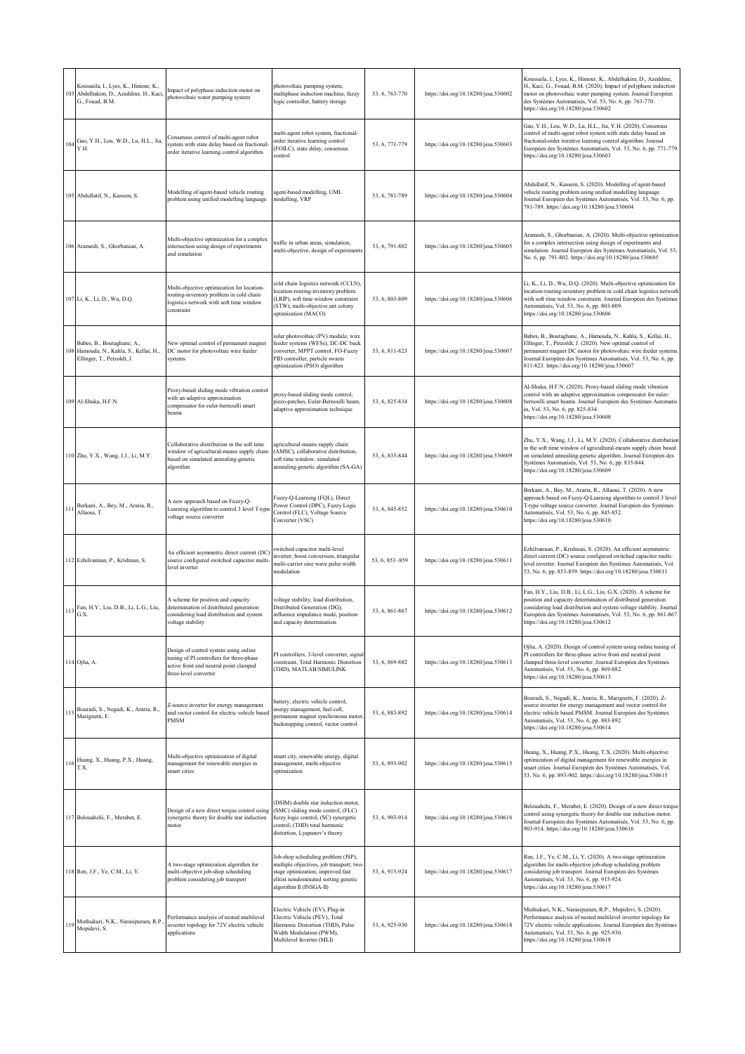|     | Koussaila, I., Lyes, K., Himour, K.,<br>103 Abdelhakim, D., Azeddine, H., Kaci<br>G., Fouad, B.M.   | Impact of polyphase induction motor on<br>photovoltaic water pumping system                                                                          | photovoltaic pumping system,<br>multiphase induction machine, fuzzy<br>logic controller, battery storage                                                                              | 53, 6, 763-770   | https://doi.org/10.18280/jesa.530602 | Koussaila, I., Lyes, K., Himour, K., Abdelhakim, D., Azeddine,<br>H., Kaci, G., Fouad, B.M. (2020). Impact of polyphase induction<br>motor on photovoltaic water pumping system. Journal Européen<br>des Systèmes Automatisés, Vol. 53, No. 6, pp. 763-770.<br>https://doi.org/10.18280/jesa.530602               |
|-----|-----------------------------------------------------------------------------------------------------|------------------------------------------------------------------------------------------------------------------------------------------------------|---------------------------------------------------------------------------------------------------------------------------------------------------------------------------------------|------------------|--------------------------------------|-------------------------------------------------------------------------------------------------------------------------------------------------------------------------------------------------------------------------------------------------------------------------------------------------------------------|
| 104 | Gao, Y.H., Lou, W.D., Lu, H.L., Jia,<br>Y.H.                                                        | Consensus control of multi-agent robot<br>system with state delay based on fractional-<br>order iterative learning control algorithm                 | multi-agent robot system, fractional-<br>order iterative learning control<br>FOILC), state delay, consensus<br>control                                                                | 53, 6, 771-779   | https://doi.org/10.18280/jesa.530603 | Gao, Y.H., Lou, W.D., Lu, H.L., Jia, Y.H. (2020). Consensus<br>control of multi-agent robot system with state delay based on<br>fractional-order iterative learning control algorithm. Journal<br>Européen des Systèmes Automatisés, Vol. 53, No. 6, pp. 771-779.<br>https://doi.org/10.18280/jesa.530603         |
|     | 105 Abdullatif, N., Kassem, S.                                                                      | Modelling of agent-based vehicle routing<br>problem using unified modelling language                                                                 | agent-based modelling, UML<br>modelling, VRP                                                                                                                                          | 53, 6, 781-789   | https://doi.org/10.18280/jesa.530604 | Abdullatif, N., Kassem, S. (2020). Modelling of agent-based<br>vehicle routing problem using unified modelling language.<br>Journal Européen des Systèmes Automatisés, Vol. 53, No. 6, pp.<br>781-789. https://doi.org/10.18280/jesa.530604                                                                       |
|     | 106 Aramesh, S., Ghorbanian, A.                                                                     | Multi-objective optimization for a complex<br>intersection using design of experiments<br>and simulation                                             | traffic in urban areas, simulation,<br>multi-objective, design of experiments                                                                                                         | 53, 6, 791-802   | https://doi.org/10.18280/jesa.530605 | Aramesh, S., Ghorbanian, A. (2020). Multi-objective optimization<br>for a complex intersection using design of experiments and<br>simulation. Journal Européen des Systèmes Automatisés, Vol. 53,<br>No. 6, pp. 791-802. https://doi.org/10.18280/jesa.530605                                                     |
|     | 107 Li, K., Li, D., Wu, D.Q.                                                                        | Multi-objective optimization for location-<br>outing-inventory problem in cold chain<br>ogistics network with soft time window<br>constraint         | cold chain logistics network (CCLN),<br>ocation-routing-inventory problem<br>LRIP), soft time window constraint<br>STW), multi-objective ant colony<br>optimization (MACO)            | 53, 6, 803-809   | https://doi.org/10.18280/jesa.530606 | Li, K., Li, D., Wu, D.Q. (2020). Multi-objective optimization for<br>location-routing-inventory problem in cold chain logistics network<br>with soft time window constraint. Journal Européen des Systèmes<br>Automatisés, Vol. 53, No. 6, pp. 803-809.<br>https://doi.org/10.18280/jesa.530606                   |
|     | Babes, B., Boutaghane, A.,<br>108 Hamouda, N., Kahla, S., Kellai, H.,<br>Ellinger, T., Petzoldt, J. | New optimal control of permanent magnet<br>DC motor for photovoltaic wire feeder<br>systems                                                          | solar photovoltaic (PV) module, wire<br>feeder systems (WFSs), DC-DC buck<br>converter, MPPT control, FO-Fuzzy<br>PID controller, particle swarm<br>optimization (PSO) algorithm      | 53, 6, 811-823   | https://doi.org/10.18280/jesa.530607 | Babes, B., Boutaghane, A., Hamouda, N., Kahla, S., Kellai, H.,<br>Ellinger, T., Petzoldt, J. (2020). New optimal control of<br>permanent magnet DC motor for photovoltaic wire feeder systems.<br>Journal Européen des Systèmes Automatisés, Vol. 53, No. 6, pp.<br>811-823. https://doi.org/10.18280/jesa.530607 |
|     | 109 Al-Shuka, H.F.N.                                                                                | Proxy-based sliding mode vibration control<br>with an adaptive approximation<br>compensator for euler-bernoulli smart<br>beams                       | proxy-based sliding mode control,<br>piezo-patches, Euler-Bernoulli beam,<br>adaptive approximation technique                                                                         | 53, 6, 825-834   | https://doi.org/10.18280/jesa.530608 | Al-Shuka, H.F.N. (2020). Proxy-based sliding mode vibration<br>control with an adaptive approximation compensator for euler-<br>bernoulli smart beams. Journal Européen des Systèmes Automatis<br>és, Vol. 53, No. 6, pp. 825-834.<br>https://doi.org/10.18280/jesa.530608                                        |
|     | 110 Zhu, Y.X., Wang, J.J., Li, M.Y.                                                                 | Collaborative distribution in the soft time<br>window of agricultural-means supply chain<br>based on simulated annealing-genetic<br>algorithm        | agricultural-means supply chain<br>(AMSC), collaborative distribution,<br>soft time window, simulated<br>annealing-genetic algorithm (SA-GA)                                          | 53, 6, 835-844   | https://doi.org/10.18280/jesa.530609 | Zhu, Y.X., Wang, J.J., Li, M.Y. (2020). Collaborative distribution<br>in the soft time window of agricultural-means supply chain based<br>on simulated annealing-genetic algorithm. Journal Européen des<br>Systèmes Automatisés, Vol. 53, No. 6, pp. 835-844.<br>https://doi.org/10.18280/jesa.530609            |
| 111 | Berkani, A., Bey, M., Araria, R.,<br>Allaoui, T.                                                    | A new approach based on Fuzzy-Q-<br>earning algorithm to control 3 level T-type<br>voltage source converter                                          | Fuzzy-Q-Learning (FQL), Direct<br>Power Control (DPC), Fuzzy Logic<br>Control (FLC), Voltage Source<br>Converter (VSC)                                                                | 53, 6, 845-852   | https://doi.org/10.18280/jesa.530610 | Berkani, A., Bey, M., Araria, R., Allaoui, T. (2020). A new<br>approach based on Fuzzy-Q-Learning algorithm to control 3 level<br>T-type voltage source converter. Journal Européen des Systèmes<br>Automatisés, Vol. 53, No. 6, pp. 845-852.<br>https://doi.org/10.18280/jesa.530610                             |
|     | 112 Ezhilvannan, P., Krishnan, S.                                                                   | An efficient asymmetric direct current (DC)<br>source configured switched capacitor multi-<br>level inverter                                         | switched capacitor multi-level<br>inverter, boost conversion, triangular<br>multi-carrier sine wave pulse width<br>modulation                                                         | 53, 6, 853 - 859 | https://doi.org/10.18280/jesa.530611 | Ezhilvannan, P., Krishnan, S. (2020). An efficient asymmetric<br>direct current (DC) source configured switched capacitor multi-<br>level inverter. Journal Européen des Systèmes Automatisés, Vol.<br>53, No. 6, pp. 853-859. https://doi.org/10.18280/jesa.530611                                               |
| 113 | Fan, H.Y., Liu, D.B., Li, L.G., Liu,<br>G.X.                                                        | A scheme for position and capacity<br>determination of distributed generation<br>considering load distribution and system<br>voltage stability       | voltage stability, load distribution,<br>Distributed Generation (DG),<br>influence impedance mode, position<br>and capacity determination                                             | 53, 6, 861-867   | https://doi.org/10.18280/jesa.530612 | Fan, H.Y., Liu, D.B., Li, L.G., Liu, G.X. (2020). A scheme for<br>position and capacity determination of distributed generation<br>considering load distribution and system voltage stability. Journal<br>Européen des Systèmes Automatisés, Vol. 53, No. 6, pp. 861-867.<br>https://doi.org/10.18280/jesa.530612 |
|     | 114 Ojha, A.                                                                                        | Design of control system using online<br>tuning of PI controllers for three-phase<br>active front end neutral point clamped<br>three-level converter | PI controllers, 3-level converter, signal<br>constraint, Total Harmonic Distortion<br>(THD), MATLAB/SIMULINK                                                                          | 53, 6, 869-882   | https://doi.org/10.18280/jesa.530613 | Ojha, A. (2020). Design of control system using online tuning of<br>PI controllers for three-phase active front end neutral point<br>clamped three-level converter. Journal Européen des Systèmes<br>Automatisés, Vol. 53, No. 6, pp. 869-882.<br>https://doi.org/10.18280/jesa.530613                            |
|     | Bouradi, S., Negadi, K., Araria, R.,<br>115 Marignetti, F.                                          | Z-source inverter for energy management<br>and vector control for electric vehicle based<br>PMSM                                                     | battery, electric vehicle control,<br>energy management, fuel cell,<br>permanent magnet synchronous motor<br>backstepping control, vector control                                     | 53, 6, 883-892   | https://doi.org/10.18280/jesa.530614 | Bouradi, S., Negadi, K., Araria, R., Marignetti, F. (2020). Z-<br>source inverter for energy management and vector control for<br>electric vehicle based PMSM. Journal Européen des Systèmes<br>Automatisés, Vol. 53, No. 6, pp. 883-892.<br>https://doi.org/10.18280/jesa.530614                                 |
|     | 116 Huang, X., Huang, P.X., Huang,<br>T.X.                                                          | Multi-objective optimization of digital<br>management for renewable energies in<br>smart cities                                                      | smart city, renewable energy, digital<br>management, multi-objective<br>optimization                                                                                                  | 53, 6, 893-902   | https://doi.org/10.18280/jesa.530615 | Huang, X., Huang, P.X., Huang, T.X. (2020). Multi-objective<br>optimization of digital management for renewable energies in<br>smart cities. Journal Européen des Systèmes Automatisés, Vol.<br>53, No. 6, pp. 893-902. https://doi.org/10.18280/jesa.530615                                                      |
|     | 117 Belouahchi, F., Merabet, E.                                                                     | Design of a new direct torque control using<br>synergetic theory for double star induction<br>motor                                                  | DSIM) double star induction motor,<br>SMC) sliding mode control, (FLC)<br>fuzzy logic control, (SC) synergetic<br>control, (THD) total harmonic<br>distortion, Lyapunov's theory      | 53, 6, 903-914   | https://doi.org/10.18280/jesa.530616 | Belouahchi, F., Merabet, E. (2020). Design of a new direct torque<br>control using synergetic theory for double star induction motor.<br>Journal Européen des Systèmes Automatisés, Vol. 53, No. 6, pp.<br>903-914. https://doi.org/10.18280/jesa.530616                                                          |
|     | 118 Ren, J.F., Ye, C.M., Li, Y.                                                                     | A two-stage optimization algorithm for<br>multi-objective job-shop scheduling<br>problem considering job transport                                   | Job-shop scheduling problem (JSP),<br>multiple objectives, job transport; two<br>stage optimization, improved fast<br>elitist nondominated sorting genetic<br>algorithm II (INSGA-II) | 53, 6, 915-924   | https://doi.org/10.18280/jesa.530617 | Ren, J.F., Ye, C.M., Li, Y. (2020). A two-stage optimization<br>algorithm for multi-objective job-shop scheduling problem<br>considering job transport. Journal Européen des Systèmes<br>Automatisés, Vol. 53, No. 6, pp. 915-924.<br>https://doi.org/10.18280/jesa.530617                                        |
|     | 119 Muthukuri, N.K., Narasipuram, R.P.<br>Mopidevi, S.                                              | Performance analysis of nested multilevel<br>inverter topology for 72V electric vehicle<br>applications                                              | Electric Vehicle (EV), Plug-in<br>Electric Vehicle (PEV), Total<br>Harmonic Distortion (THD), Pulse<br>Width Modulation (PWM),<br>Multilevel Inverter (MLI)                           | 53, 6, 925-930   | https://doi.org/10.18280/jesa.530618 | Muthukuri, N.K., Narasipuram, R.P., Mopidevi, S. (2020).<br>Performance analysis of nested multilevel inverter topology for<br>72V electric vehicle applications. Journal Européen des Systèmes<br>Automatisés, Vol. 53, No. 6, pp. 925-930.<br>https://doi.org/10.18280/jesa.530618                              |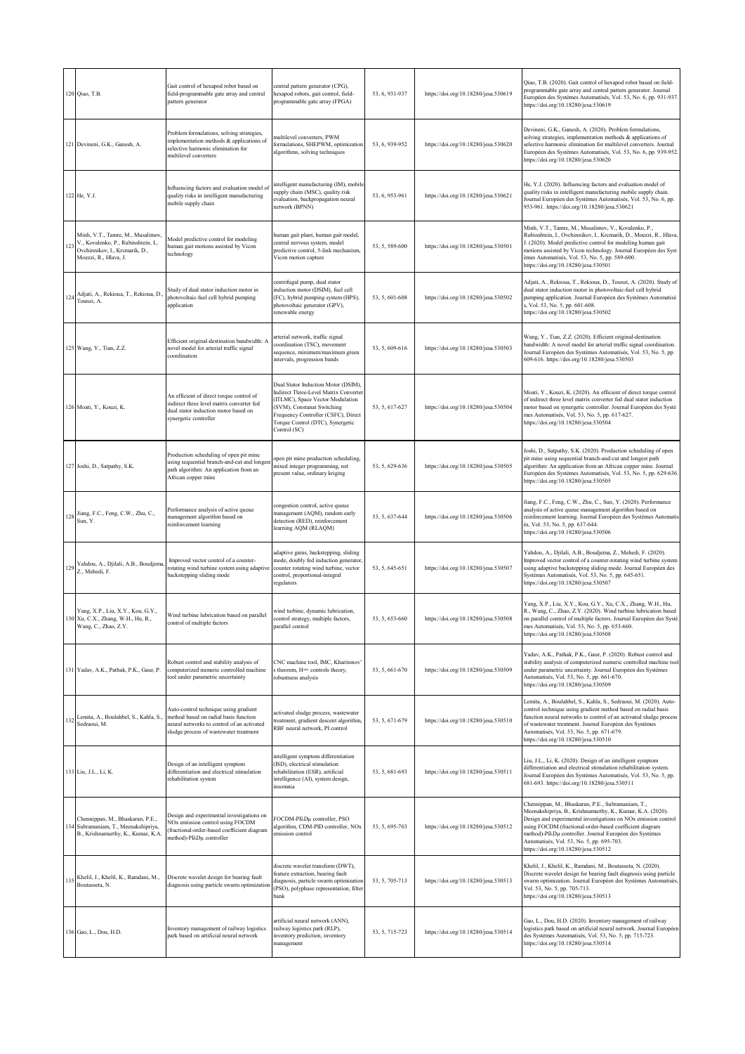|     | 120 Qiao, T.B.                                                                                                                      | Gait control of hexapod robot based on<br>field-programmable gate array and central<br>pattern generator                                                               | central pattern generator (CPG),<br>hexapod robots, gait control, field-<br>programmable gate array (FPGA)                                                                                                                                | 53, 6, 931-937 | https://doi.org/10.18280/jesa.530619 | Qiao, T.B. (2020). Gait control of hexapod robot based on field-<br>programmable gate array and central pattern generator. Journal<br>Européen des Systèmes Automatisés, Vol. 53, No. 6, pp. 931-937.<br>https://doi.org/10.18280/jesa.530619                                                                                                                                                |
|-----|-------------------------------------------------------------------------------------------------------------------------------------|------------------------------------------------------------------------------------------------------------------------------------------------------------------------|-------------------------------------------------------------------------------------------------------------------------------------------------------------------------------------------------------------------------------------------|----------------|--------------------------------------|----------------------------------------------------------------------------------------------------------------------------------------------------------------------------------------------------------------------------------------------------------------------------------------------------------------------------------------------------------------------------------------------|
|     | 121 Devineni, G.K., Ganesh, A.                                                                                                      | Problem formulations, solving strategies,<br>mplementation methods & applications of<br>selective harmonic elimination for<br>nultilevel converters                    | multilevel converters, PWM<br>formulations, SHEPWM, optimization<br>algorithms, solving techniques                                                                                                                                        | 53, 6, 939-952 | https://doi.org/10.18280/jesa.530620 | Devineni, G.K., Ganesh, A. (2020). Problem formulations,<br>solving strategies, implementation methods & applications of<br>selective harmonic elimination for multilevel converters. Journal<br>Européen des Systèmes Automatisés, Vol. 53, No. 6, pp. 939-952.<br>https://doi.org/10.18280/jesa.530620                                                                                     |
|     | 122 He, Y.J.                                                                                                                        | Influencing factors and evaluation model of<br>quality risks in intelligent manufacturing<br>mobile supply chain                                                       | ntelligent manufacturing (IM), mobile<br>supply chain (MSC), quality risk<br>evaluation, backpropagation neural<br>network (BPNN)                                                                                                         | 53, 6, 953-961 | https://doi.org/10.18280/jesa.530621 | He, Y.J. (2020). Influencing factors and evaluation model of<br>quality risks in intelligent manufacturing mobile supply chain.<br>Journal Européen des Systèmes Automatisés, Vol. 53, No. 6, pp.<br>953-961. https://doi.org/10.18280/jesa.530621                                                                                                                                           |
| 123 | Minh, V.T., Tamre, M., Musalimov,<br>V., Kovalenko, P., Rubinshtein, I.,<br>Ovchinnikov, I., Krcmarik, D.,<br>Moezzi, R., Hlava, J. | Model predictive control for modeling<br>numan gait motions assisted by Vicon<br>echnology                                                                             | human gait plant, human gait model,<br>central nervous system, model<br>predictive control, 5-link mechanism,<br>Vicon motion capture                                                                                                     | 53, 5, 589-600 | https://doi.org/10.18280/jesa.530501 | Minh, V.T., Tamre, M., Musalimov, V., Kovalenko, P.,<br>Rubinshtein, I., Ovchinnikov, I., Krcmarik, D., Moezzi, R., Hlava,<br>. (2020). Model predictive control for modeling human gait<br>notions assisted by Vicon technology. Journal Européen des Syst<br>èmes Automatisés, Vol. 53, No. 5, pp. 589-600.<br>https://doi.org/10.18280/jesa.530501                                        |
| 124 | Adjati, A., Rekioua, T., Rekioua, D.<br>Tounzi, A.                                                                                  | Study of dual stator induction motor in<br>photovoltaic-fuel cell hybrid pumping<br>application                                                                        | centrifugal pump, dual stator<br>induction motor (DSIM), fuel cell<br>(FC), hybrid pumping system (HPS),<br>photovoltaic generator (GPV),<br>renewable energy                                                                             | 53, 5, 601-608 | https://doi.org/10.18280/jesa.530502 | Adjati, A., Rekioua, T., Rekioua, D., Tounzi, A. (2020). Study of<br>dual stator induction motor in photovoltaic-fuel cell hybrid<br>pumping application. Journal Européen des Systèmes Automatisé<br>s, Vol. 53, No. 5, pp. 601-608.<br>https://doi.org/10.18280/jesa.530502                                                                                                                |
|     | 125 Wang, Y., Tian, Z.Z.                                                                                                            | Efficient original-destination bandwidth: A<br>novel model for arterial traffic signal<br>coordination                                                                 | arterial network, traffic signal<br>coordination (TSC), movement<br>sequence, minimum/maximum green<br>intervals, progression bands                                                                                                       | 53, 5, 609-616 | https://doi.org/10.18280/jesa.530503 | Wang, Y., Tian, Z.Z. (2020). Efficient original-destination<br>pandwidth: A novel model for arterial traffic signal coordination.<br>Journal Européen des Systèmes Automatisés, Vol. 53, No. 5, pp.<br>609-616. https://doi.org/10.18280/jesa.530503                                                                                                                                         |
|     | 126 Moati, Y., Kouzi, K.                                                                                                            | An efficient of direct torque control of<br>indirect three level matrix converter fed<br>dual stator induction motor based on<br>synergetic controller                 | Dual Stator Induction Motor (DSIM),<br>Indirect Three-Level Matrix Converter<br>(ITLMC), Space Vector Modulation<br>(SVM), Constanat Switching<br>Frequency Controller (CSFC), Direct<br>Torque Control (DTC), Synergetic<br>Control (SC) | 53, 5, 617-627 | https://doi.org/10.18280/jesa.530504 | Moati, Y., Kouzi, K. (2020). An efficient of direct torque control<br>of indirect three level matrix converter fed dual stator induction<br>motor based on synergetic controller. Journal Européen des Systè<br>mes Automatisés, Vol. 53, No. 5, pp. 617-627.<br>https://doi.org/10.18280/jesa.530504                                                                                        |
|     | 127 Joshi, D., Satpathy, S.K.                                                                                                       | Production scheduling of open pit mine<br>asing sequential branch-and-cut and longes<br>path algorithm: An application from an<br>African copper mine                  | open pit mine production scheduling,<br>mixed integer programming, net<br>present value, ordinary kriging                                                                                                                                 | 53, 5, 629-636 | https://doi.org/10.18280/jesa.530505 | Joshi, D., Satpathy, S.K. (2020). Production scheduling of open<br>pit mine using sequential branch-and-cut and longest path<br>algorithm: An application from an African copper mine. Journal<br>Européen des Systèmes Automatisés, Vol. 53, No. 5, pp. 629-636.<br>https://doi.org/10.18280/jesa.530505                                                                                    |
|     | Jiang, F.C., Feng, C.W., Zhu, C.,<br>Sun, Y.                                                                                        | Performance analysis of active queue<br>nanagement algorithm based on<br>einforcement learning                                                                         | congestion control, active queue<br>management (AQM), random early<br>detection (RED), reinforcement<br>learning AQM (RLAQM)                                                                                                              | 53, 5, 637-644 | https://doi.org/10.18280/jesa.530506 | Jiang, F.C., Feng, C.W., Zhu, C., Sun, Y. (2020). Performance<br>analysis of active queue management algorithm based on<br>reinforcement learning. Journal Européen des Systèmes Automatis<br>és, Vol. 53, No. 5, pp. 637-644.<br>https://doi.org/10.18280/jesa.530506                                                                                                                       |
|     | Yahdou, A., Djilali, A.B., Boudjema,<br>Z., Mehedi, F.                                                                              | Improved vector control of a counter-<br>rotating wind turbine system using adaptive<br>backstepping sliding mode                                                      | adaptive gains, backstepping, sliding<br>mode, doubly fed induction generator,<br>counter rotating wind turbine, vector<br>control, proportional-integral<br>egulators                                                                    | 53, 5, 645-651 | https://doi.org/10.18280/jesa.530507 | Yahdou, A., Djilali, A.B., Boudjema, Z., Mehedi, F. (2020).<br>Improved vector control of a counter-rotating wind turbine system<br>using adaptive backstepping sliding mode. Journal Européen des<br>Systèmes Automatisés, Vol. 53, No. 5, pp. 645-651.<br>https://doi.org/10.18280/jesa.530507                                                                                             |
|     | Yang, X.P., Liu, X.Y., Kou, G.Y.,<br>130 Xu, C.X., Zhang, W.H., Hu, R.,<br>Wang, C., Zhao, Z.Y.                                     | Wind turbine lubrication based on parallel<br>control of multiple factors                                                                                              | wind turbine, dynamic lubrication,<br>control strategy, multiple factors,<br>parallel control                                                                                                                                             | 53, 5, 653-660 | https://doi.org/10.18280/jesa.530508 | Yang, X.P., Liu, X.Y., Kou, G.Y., Xu, C.X., Zhang, W.H., Hu,<br>R., Wang, C., Zhao, Z.Y. (2020). Wind turbine lubrication based<br>on parallel control of multiple factors. Journal Européen des Systè<br>mes Automatisés, Vol. 53, No. 5, pp. 653-660.<br>https://doi.org/10.18280/jesa.530508                                                                                              |
|     | 131 Yadav, A.K., Pathak, P.K., Gaur, P.                                                                                             | Robust control and stability analysis of<br>computerized numeric controlled machine<br>tool under parametric uncertainty                                               | CNC machine tool, IMC, Kharitonov'<br>s theorem, H∞ controls theory,<br>robustness analysis                                                                                                                                               | 53, 5, 661-670 | https://doi.org/10.18280/jesa.530509 | Yadav, A.K., Pathak, P.K., Gaur, P. (2020). Robust control and<br>stability analysis of computerized numeric controlled machine tool<br>under parametric uncertainty. Journal Européen des Systèmes<br>Automatisés, Vol. 53, No. 5, pp. 661-670.<br>https://doi.org/10.18280/jesa.530509                                                                                                     |
| 132 | Lemita, A., Boulahbel, S., Kahla, S.,<br>Sedraoui, M.                                                                               | Auto-control technique using gradient<br>method based on radial basis function<br>neural networks to control of an activated<br>sludge process of wastewater treatment | activated sludge process, wastewater<br>treatment, gradient descent algorithm,<br>RBF neural network, PI control                                                                                                                          | 53, 5, 671-679 | https://doi.org/10.18280/jesa.530510 | Lemita, A., Boulahbel, S., Kahla, S., Sedraoui, M. (2020). Auto-<br>control technique using gradient method based on radial basis<br>function neural networks to control of an activated sludge process<br>of wastewater treatment. Journal Européen des Systèmes<br>Automatisés, Vol. 53, No. 5, pp. 671-679.<br>https://doi.org/10.18280/jesa.530510                                       |
|     | 133 Liu, J.L., Li, K.                                                                                                               | Design of an intelligent symptom<br>differentiation and electrical stimulation<br>ehabilitation system                                                                 | intelligent symptom differentiation<br>(ISD), electrical stimulation<br>rehabilitation (ESR), artificial<br>intelligence (AI), system design,<br>insomnia                                                                                 | 53, 5, 681-693 | https://doi.org/10.18280/jesa.530511 | Liu, J.L., Li, K. (2020). Design of an intelligent symptom<br>differentiation and electrical stimulation rehabilitation system.<br>Journal Européen des Systèmes Automatisés, Vol. 53, No. 5, pp.<br>681-693. https://doi.org/10.18280/jesa.530511                                                                                                                                           |
|     | Chennippan, M., Bhaskaran, P.E.,<br>134 Subramaniam, T., Meenakshipriya,<br>B., Krishnamurthy, K., Kumar, K.A.                      | Design and experimental investigations on<br>NOx emission control using FOCDM<br>fractional-order-based coefficient diagram<br>method)-PIADµ controller                | FOCDM-PIADµ controller, PSO<br>algorithm, CDM-PID controller, NOx<br>emission control                                                                                                                                                     | 53, 5, 695-703 | https://doi.org/10.18280/jesa.530512 | Chennippan, M., Bhaskaran, P.E., Subramaniam, T.,<br>Meenakshipriya, B., Krishnamurthy, K., Kumar, K.A. (2020).<br>Design and experimental investigations on NOx emission control<br>using FOCDM (fractional-order-based coefficient diagram<br>method)-PIADµ controller. Journal Européen des Systèmes<br>Automatisés, Vol. 53, No. 5, pp. 695-703.<br>https://doi.org/10.18280/jesa.530512 |
|     | 135 Khelil, J., Khelil, K., Ramdani, M.,<br>Boutasseta, N.                                                                          | Discrete wavelet design for bearing fault<br>diagnosis using particle swarm optimization                                                                               | discrete wavelet transform (DWT),<br>feature extraction, bearing fault<br>diagnosis, particle swarm optimization<br>(PSO), polyphase representation, filter<br>bank                                                                       | 53, 5, 705-713 | https://doi.org/10.18280/jesa.530513 | Khelil, J., Khelil, K., Ramdani, M., Boutasseta, N. (2020).<br>Discrete wavelet design for bearing fault diagnosis using particle<br>swarm optimization. Journal Européen des Systèmes Automatisés,<br>Vol. 53, No. 5, pp. 705-713.<br>https://doi.org/10.18280/jesa.530513                                                                                                                  |
|     | 136 Gao, L., Dou, H.D.                                                                                                              | Inventory management of railway logistics<br>park based on artificial neural network                                                                                   | artificial neural network (ANN),<br>railway logistics park (RLP),<br>inventory prediction, inventory<br>management                                                                                                                        | 53, 5, 715-723 | https://doi.org/10.18280/jesa.530514 | Gao, L., Dou, H.D. (2020). Inventory management of railway<br>logistics park based on artificial neural network. Journal Européen<br>des Systèmes Automatisés, Vol. 53, No. 5, pp. 715-723.<br>https://doi.org/10.18280/jesa.530514                                                                                                                                                          |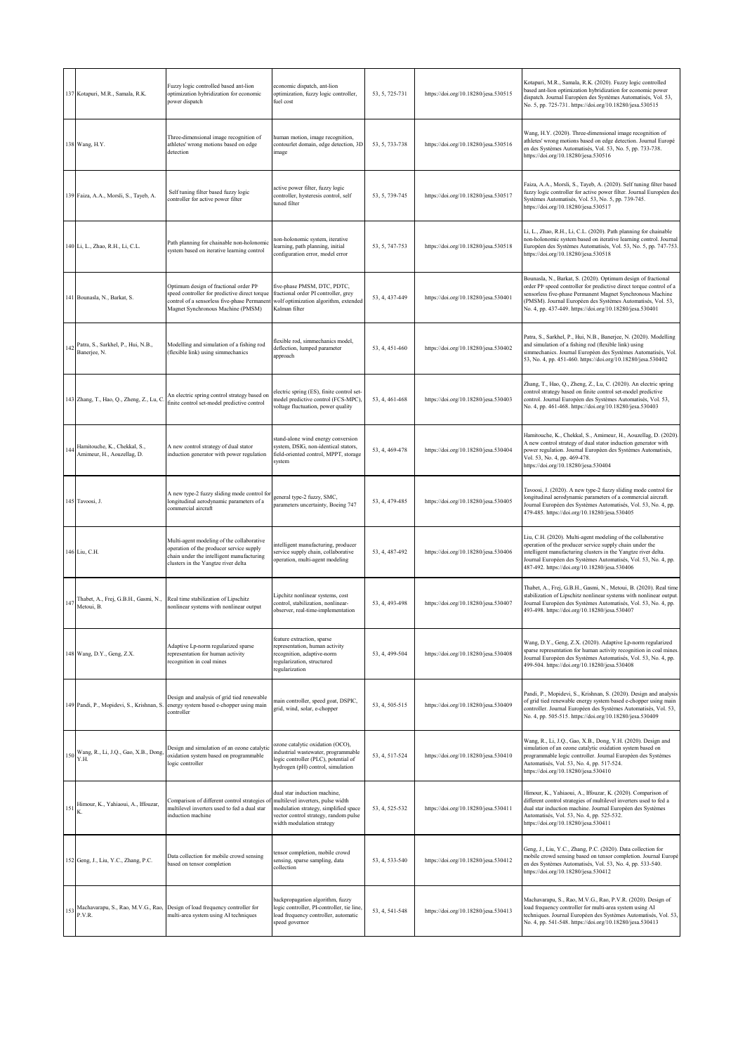|     | 137 Kotapuri, M.R., Samala, R.K.                           | Fuzzy logic controlled based ant-lion<br>optimization hybridization for economic<br>power dispatch                                                                                       | economic dispatch, ant-lion<br>optimization, fuzzy logic controller,<br>fuel cost                                                                                                | 53, 5, 725-731 | https://doi.org/10.18280/jesa.530515 | Kotapuri, M.R., Samala, R.K. (2020). Fuzzy logic controlled<br>based ant-lion optimization hybridization for economic power<br>dispatch. Journal Européen des Systèmes Automatisés, Vol. 53,<br>No. 5, pp. 725-731. https://doi.org/10.18280/jesa.530515                                                                      |
|-----|------------------------------------------------------------|------------------------------------------------------------------------------------------------------------------------------------------------------------------------------------------|----------------------------------------------------------------------------------------------------------------------------------------------------------------------------------|----------------|--------------------------------------|-------------------------------------------------------------------------------------------------------------------------------------------------------------------------------------------------------------------------------------------------------------------------------------------------------------------------------|
|     | 138 Wang, H.Y.                                             | Three-dimensional image recognition of<br>athletes' wrong motions based on edge<br>detection                                                                                             | human motion, image recognition,<br>contourlet domain, edge detection, 3D<br>mage                                                                                                | 53, 5, 733-738 | https://doi.org/10.18280/jesa.530516 | Wang, H.Y. (2020). Three-dimensional image recognition of<br>athletes' wrong motions based on edge detection. Journal Europé<br>en des Systèmes Automatisés, Vol. 53, No. 5, pp. 733-738.<br>https://doi.org/10.18280/jesa.530516                                                                                             |
|     | 139 Faiza, A.A., Morsli, S., Tayeb, A.                     | Self tuning filter based fuzzy logic<br>controller for active power filter                                                                                                               | active power filter, fuzzy logic<br>controller, hysteresis control, self<br>tuned filter                                                                                         | 53, 5, 739-745 | https://doi.org/10.18280/jesa.530517 | Faiza, A.A., Morsli, S., Tayeb, A. (2020). Self tuning filter based<br>fuzzy logic controller for active power filter. Journal Européen des<br>Systèmes Automatisés, Vol. 53, No. 5, pp. 739-745.<br>https://doi.org/10.18280/jesa.530517                                                                                     |
|     | 140 Li, L., Zhao, R.H., Li, C.L.                           | Path planning for chainable non-holonomic<br>system based on iterative learning control                                                                                                  | on-holonomic system, iterative<br>earning, path planning, initial<br>onfiguration error, model error                                                                             | 53, 5, 747-753 | https://doi.org/10.18280/jesa.530518 | Li, L., Zhao, R.H., Li, C.L. (2020). Path planning for chainable<br>non-holonomic system based on iterative learning control. Journal<br>Européen des Systèmes Automatisés, Vol. 53, No. 5, pp. 747-753.<br>https://doi.org/10.18280/jesa.530518                                                                              |
|     | 141 Bounasla, N., Barkat, S.                               | Optimum design of fractional order PI <sup>o</sup><br>speed controller for predictive direct torque<br>control of a sensorless five-phase Permanent<br>Magnet Synchronous Machine (PMSM) | five-phase PMSM, DTC, PDTC,<br>fractional order PI controller, grey<br>wolf optimization algorithm, extended<br>Kalman filter                                                    | 53, 4, 437-449 | https://doi.org/10.18280/jesa.530401 | Bounasla, N., Barkat, S. (2020). Optimum design of fractional<br>order PF speed controller for predictive direct torque control of a<br>sensorless five-phase Permanent Magnet Synchronous Machine<br>(PMSM). Journal Européen des Systèmes Automatisés, Vol. 53,<br>No. 4, pp. 437-449. https://doi.org/10.18280/jesa.530401 |
|     | 142 Patra, S., Sarkhel, P., Hui, N.B.,<br>Banerjee, N.     | Modelling and simulation of a fishing rod<br>(flexible link) using simmechanics                                                                                                          | lexible rod, simmechanics model,<br>deflection, lumped parameter<br>approach                                                                                                     | 53, 4, 451-460 | https://doi.org/10.18280/jesa.530402 | Patra, S., Sarkhel, P., Hui, N.B., Banerjee, N. (2020). Modelling<br>and simulation of a fishing rod (flexible link) using<br>simmechanics. Journal Européen des Systèmes Automatisés, Vol.<br>53, No. 4, pp. 451-460. https://doi.org/10.18280/jesa.530402                                                                   |
|     | 143 Zhang, T., Hao, Q., Zheng, Z., Lu, C                   | An electric spring control strategy based on<br>finite control set-model predictive control                                                                                              | electric spring (ES), finite control set-<br>nodel predictive control (FCS-MPC),<br>voltage fluctuation, power quality                                                           | 53, 4, 461-468 | https://doi.org/10.18280/jesa.530403 | Zhang, T., Hao, Q., Zheng, Z., Lu, C. (2020). An electric spring<br>control strategy based on finite control set-model predictive<br>control. Journal Européen des Systèmes Automatisés, Vol. 53,<br>No. 4, pp. 461-468. https://doi.org/10.18280/jesa.530403                                                                 |
| 144 | Hamitouche, K., Chekkal, S.,<br>Amimeur, H., Aouzellag, D. | A new control strategy of dual stator<br>induction generator with power regulation                                                                                                       | stand-alone wind energy conversion<br>system, DSIG, non-identical stators,<br>field-oriented control, MPPT, storage<br>system                                                    | 53, 4, 469-478 | https://doi.org/10.18280/jesa.530404 | Hamitouche, K., Chekkal, S., Amimeur, H., Aouzellag, D. (2020).<br>A new control strategy of dual stator induction generator with<br>power regulation. Journal Européen des Systèmes Automatisés,<br>Vol. 53, No. 4, pp. 469-478.<br>https://doi.org/10.18280/jesa.530404                                                     |
|     | 145 Tavoosi, J.                                            | A new type-2 fuzzy sliding mode control for<br>ongitudinal aerodynamic parameters of a<br>commercial aircraft                                                                            | general type-2 fuzzy, SMC,<br>arameters uncertainty, Boeing 747                                                                                                                  | 53, 4, 479-485 | https://doi.org/10.18280/jesa.530405 | Tavoosi, J. (2020). A new type-2 fuzzy sliding mode control for<br>longitudinal aerodynamic parameters of a commercial aircraft.<br>Journal Européen des Systèmes Automatisés, Vol. 53, No. 4, pp.<br>479-485. https://doi.org/10.18280/jesa.530405                                                                           |
|     | 146 Liu, C.H.                                              | Multi-agent modeling of the collaborative<br>operation of the producer service supply<br>chain under the intelligent manufacturing<br>clusters in the Yangtze river delta                | ntelligent manufacturing, producer<br>ervice supply chain, collaborative<br>peration, multi-agent modeling                                                                       | 53, 4, 487-492 | https://doi.org/10.18280/jesa.530406 | Liu, C.H. (2020). Multi-agent modeling of the collaborative<br>operation of the producer service supply chain under the<br>intelligent manufacturing clusters in the Yangtze river delta.<br>Journal Européen des Systèmes Automatisés, Vol. 53, No. 4, pp.<br>487-492. https://doi.org/10.18280/jesa.530406                  |
|     | 147 Thabet, A., Frej, G.B.H., Gasmi, N.,<br>Metoui, B.     | Real time stabilization of Lipschitz<br>nonlinear systems with nonlinear output                                                                                                          | ipchitz nonlinear systems, cost.<br>ontrol, stabilization, nonlinear-<br>observer, real-time-implementation                                                                      | 53, 4, 493-498 | https://doi.org/10.18280/jesa.530407 | Thabet, A., Frej, G.B.H., Gasmi, N., Metoui, B. (2020). Real time<br>stabilization of Lipschitz nonlinear systems with nonlinear output<br>Journal Européen des Systèmes Automatisés, Vol. 53, No. 4, pp.<br>493-498. https://doi.org/10.18280/jesa.530407                                                                    |
|     | 148 Wang, D.Y., Geng, Z.X.                                 | Adaptive Lp-norm regularized sparse<br>representation for human activity<br>recognition in coal mines                                                                                    | feature extraction, sparse<br>representation, human activity<br>recognition, adaptive-norm<br>egularization, structured<br>egularization                                         | 53, 4, 499-504 | https://doi.org/10.18280/jesa.530408 | Wang, D.Y., Geng, Z.X. (2020). Adaptive Lp-norm regularized<br>sparse representation for human activity recognition in coal mines.<br>Journal Européen des Systèmes Automatisés, Vol. 53, No. 4, pp.<br>499-504. https://doi.org/10.18280/jesa.530408                                                                         |
|     | 149 Pandi, P., Mopidevi, S., Krishnan, S.                  | Design and analysis of grid tied renewable<br>energy system based e-chopper using main<br>:ontroller                                                                                     | nain controller, speed goat, DSPIC,<br>grid, wind, solar, e-chopper                                                                                                              | 53, 4, 505-515 | https://doi.org/10.18280/jesa.530409 | Pandi, P., Mopidevi, S., Krishnan, S. (2020). Design and analysis<br>of grid tied renewable energy system based e-chopper using main<br>controller. Journal Européen des Systèmes Automatisés, Vol. 53,<br>No. 4, pp. 505-515. https://doi.org/10.18280/jesa.530409                                                           |
|     | 150 Wang, R., Li, J.Q., Gao, X.B., Dong,<br>Y.H.           | Design and simulation of an ozone catalytic<br>oxidation system based on programmable<br>ogic controller                                                                                 | ozone catalytic oxidation (OCO),<br>industrial wastewater, programmable<br>ogic controller (PLC), potential of<br>hydrogen (pH) control, simulation                              | 53, 4, 517-524 | https://doi.org/10.18280/jesa.530410 | Wang, R., Li, J.Q., Gao, X.B., Dong, Y.H. (2020). Design and<br>simulation of an ozone catalytic oxidation system based on<br>programmable logic controller. Journal Européen des Systèmes<br>Automatisés, Vol. 53, No. 4, pp. 517-524.<br>https://doi.org/10.18280/jesa.530410                                               |
|     | $151$ Himour, K., Yahiaoui, A., Iffouzar,                  | Comparison of different control strategies of<br>multilevel inverters used to fed a dual star<br>induction machine                                                                       | dual star induction machine,<br>multilevel inverters, pulse width<br>modulation strategy, simplified space<br>vector control strategy, random pulse<br>width modulation strategy | 53, 4, 525-532 | https://doi.org/10.18280/jesa.530411 | Himour, K., Yahiaoui, A., Iffouzar, K. (2020). Comparison of<br>different control strategies of multilevel inverters used to fed a<br>dual star induction machine. Journal Européen des Systèmes<br>Automatisés, Vol. 53, No. 4, pp. 525-532.<br>https://doi.org/10.18280/jesa.530411                                         |
|     | 152 Geng, J., Liu, Y.C., Zhang, P.C.                       | Data collection for mobile crowd sensing<br>based on tensor completion                                                                                                                   | ensor completion, mobile crowd<br>ensing, sparse sampling, data<br>collection                                                                                                    | 53, 4, 533-540 | https://doi.org/10.18280/jesa.530412 | Geng, J., Liu, Y.C., Zhang, P.C. (2020). Data collection for<br>mobile crowd sensing based on tensor completion. Journal Europé<br>en des Systèmes Automatisés, Vol. 53, No. 4, pp. 533-540.<br>https://doi.org/10.18280/jesa.530412                                                                                          |
|     |                                                            | 153 Machavarapu, S., Rao, M.V.G., Rao, Design of load frequency controller for P.V.R.                                                                                                    | ackpropagation algorithm, fuzzy<br>ogic controller, PI-controller, tie line,<br>oad frequency controller, automatic<br>peed governor                                             | 53, 4, 541-548 | https://doi.org/10.18280/jesa.530413 | Machavarapu, S., Rao, M.V.G., Rao, P.V.R. (2020). Design of<br>load frequency controller for multi-area system using AI<br>techniques. Journal Européen des Systèmes Automatisés, Vol. 53,<br>No. 4, pp. 541-548. https://doi.org/10.18280/jesa.530413                                                                        |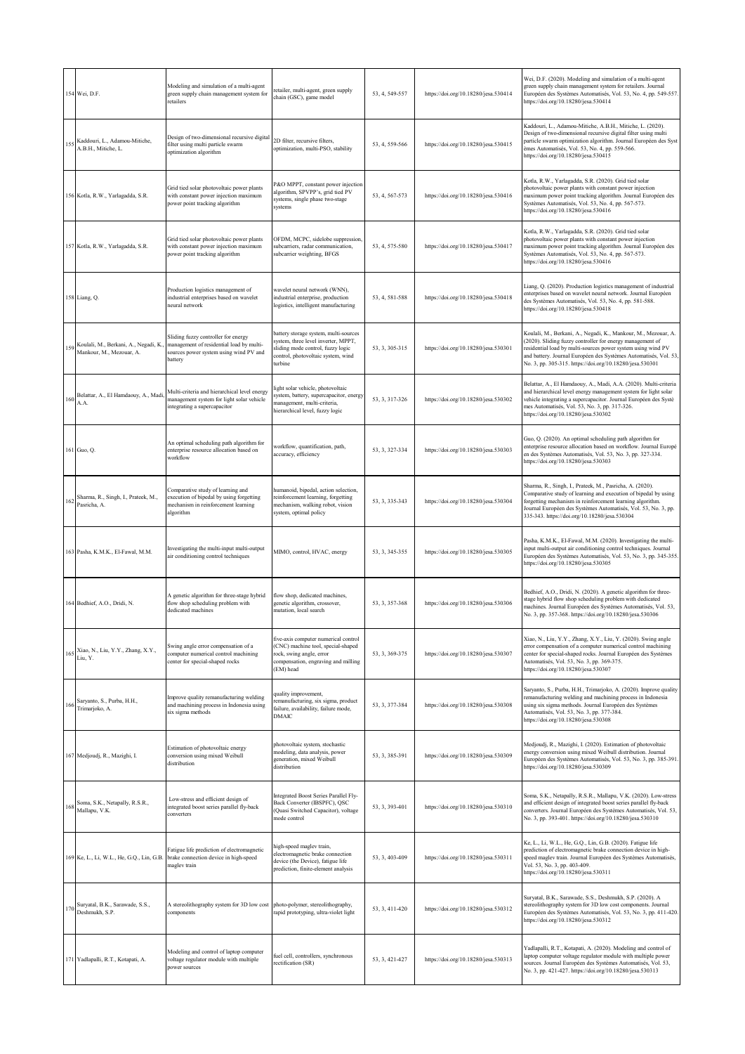|     | 154 Wei, D.F.                                                        | Modeling and simulation of a multi-agent<br>green supply chain management system for<br>retailers                                    | etailer, multi-agent, green supply<br>chain (GSC), game model                                                                                                      | 53, 4, 549-557 | https://doi.org/10.18280/jesa.530414 | Wei, D.F. (2020). Modeling and simulation of a multi-agent<br>green supply chain management system for retailers. Journal<br>Européen des Systèmes Automatisés, Vol. 53, No. 4, pp. 549-557.<br>https://doi.org/10.18280/jesa.530414                                                                                        |
|-----|----------------------------------------------------------------------|--------------------------------------------------------------------------------------------------------------------------------------|--------------------------------------------------------------------------------------------------------------------------------------------------------------------|----------------|--------------------------------------|-----------------------------------------------------------------------------------------------------------------------------------------------------------------------------------------------------------------------------------------------------------------------------------------------------------------------------|
| 155 | Kaddouri, L., Adamou-Mitiche,<br>A.B.H., Mitiche, L.                 | Design of two-dimensional recursive digital<br>filter using multi particle swarm<br>optimization algorithm                           | 2D filter, recursive filters,<br>optimization, multi-PSO, stability                                                                                                | 53, 4, 559-566 | https://doi.org/10.18280/jesa.530415 | Kaddouri, L., Adamou-Mitiche, A.B.H., Mitiche, L. (2020).<br>Design of two-dimensional recursive digital filter using multi<br>particle swarm optimization algorithm. Journal Européen des Syst<br>èmes Automatisés, Vol. 53, No. 4, pp. 559-566.<br>https://doi.org/10.18280/jesa.530415                                   |
|     | 156 Kotla, R.W., Yarlagadda, S.R.                                    | Grid tied solar photovoltaic power plants<br>with constant power injection maximum<br>power point tracking algorithm                 | 2&O MPPT, constant power injection<br>algorithm, SPVPP's, grid tied PV<br>systems, single phase two-stage<br>systems                                               | 53, 4, 567-573 | https://doi.org/10.18280/jesa.530416 | Kotla, R.W., Yarlagadda, S.R. (2020). Grid tied solar<br>photovoltaic power plants with constant power injection<br>maximum power point tracking algorithm. Journal Européen des<br>Systèmes Automatisés, Vol. 53, No. 4, pp. 567-573.<br>https://doi.org/10.18280/jesa.530416                                              |
|     | 157 Kotla, R.W., Yarlagadda, S.R.                                    | Grid tied solar photovoltaic power plants<br>with constant power injection maximum<br>power point tracking algorithm                 | OFDM, MCPC, sidelobe suppression,<br>subcarriers, radar communication,<br>subcarrier weighting, BFGS                                                               | 53, 4, 575-580 | https://doi.org/10.18280/jesa.530417 | Kotla, R.W., Yarlagadda, S.R. (2020). Grid tied solar<br>photovoltaic power plants with constant power injection<br>maximum power point tracking algorithm. Journal Européen des<br>Systèmes Automatisés, Vol. 53, No. 4, pp. 567-573.<br>https://doi.org/10.18280/jesa.530416                                              |
|     | 158 Liang, Q.                                                        | Production logistics management of<br>industrial enterprises based on wavelet<br>neural network                                      | wavelet neural network (WNN),<br>industrial enterprise, production<br>ogistics, intelligent manufacturing                                                          | 53, 4, 581-588 | https://doi.org/10.18280/jesa.530418 | Liang, Q. (2020). Production logistics management of industrial<br>enterprises based on wavelet neural network. Journal Européen<br>des Systèmes Automatisés, Vol. 53, No. 4, pp. 581-588.<br>https://doi.org/10.18280/jesa.530418                                                                                          |
|     | 159 Koulali, M., Berkani, A., Negadi, K.<br>Mankour, M., Mezouar, A. | Sliding fuzzy controller for energy<br>management of residential load by multi-<br>sources power system using wind PV and<br>battery | battery storage system, multi-sources<br>system, three level inverter, MPPT,<br>sliding mode control, fuzzy logic<br>control, photovoltaic system, wind<br>turbine | 53, 3, 305-315 | https://doi.org/10.18280/jesa.530301 | Koulali, M., Berkani, A., Negadi, K., Mankour, M., Mezouar, A.<br>(2020). Sliding fuzzy controller for energy management of<br>residential load by multi-sources power system using wind PV<br>and battery. Journal Européen des Systèmes Automatisés, Vol. 53,<br>No. 3, pp. 305-315. https://doi.org/10.18280/jesa.530301 |
| 160 | Belattar, A., El Hamdaouy, A., Madi,<br>A.A.                         | Multi-criteria and hierarchical level energy<br>management system for light solar vehicle<br>integrating a supercapacitor            | ight solar vehicle, photovoltaic<br>system, battery, supercapacitor, energy<br>management, multi-criteria,<br>hierarchical level, fuzzy logic                      | 53, 3, 317-326 | https://doi.org/10.18280/jesa.530302 | Belattar, A., El Hamdaouy, A., Madi, A.A. (2020). Multi-criteria<br>and hierarchical level energy management system for light solar<br>vehicle integrating a supercapacitor. Journal Européen des Systè<br>mes Automatisés, Vol. 53, No. 3, pp. 317-326.<br>https://doi.org/10.18280/jesa.530302                            |
|     | 161 Guo, Q.                                                          | An optimal scheduling path algorithm for<br>enterprise resource allocation based on<br>workflow                                      | vorkflow, quantification, path,<br>accuracy, efficiency                                                                                                            | 53, 3, 327-334 | https://doi.org/10.18280/jesa.530303 | Guo, Q. (2020). An optimal scheduling path algorithm for<br>enterprise resource allocation based on workflow. Journal Europé<br>en des Systèmes Automatisés, Vol. 53, No. 3, pp. 327-334.<br>https://doi.org/10.18280/jesa.530303                                                                                           |
|     | 162 Sharma, R., Singh, I., Prateek, M.,<br>Pasricha, A.              | Comparative study of learning and<br>execution of bipedal by using forgetting<br>mechanism in reinforcement learning<br>algorithm    | humanoid, bipedal, action selection,<br>reinforcement learning, forgetting<br>mechanism, walking robot, vision<br>system, optimal policy                           | 53, 3, 335-343 | https://doi.org/10.18280/jesa.530304 | Sharma, R., Singh, I., Prateek, M., Pasricha, A. (2020).<br>Comparative study of learning and execution of bipedal by using<br>forgetting mechanism in reinforcement learning algorithm.<br>Journal Européen des Systèmes Automatisés, Vol. 53, No. 3, pp.<br>335-343. https://doi.org/10.18280/jesa.530304                 |
|     | 163 Pasha, K.M.K., El-Fawal, M.M.                                    | Investigating the multi-input multi-output<br>air conditioning control techniques                                                    | MIMO, control, HVAC, energy                                                                                                                                        | 53, 3, 345-355 | https://doi.org/10.18280/jesa.530305 | Pasha, K.M.K., El-Fawal, M.M. (2020). Investigating the multi-<br>input multi-output air conditioning control techniques. Journal<br>Européen des Systèmes Automatisés, Vol. 53, No. 3, pp. 345-355.<br>https://doi.org/10.18280/jesa.530305                                                                                |
|     | 164 Bedhief, A.O., Dridi, N.                                         | A genetic algorithm for three-stage hybrid<br>flow shop scheduling problem with<br>dedicated machines                                | flow shop, dedicated machines,<br>genetic algorithm, crossover,<br>nutation, local search                                                                          | 53, 3, 357-368 | https://doi.org/10.18280/jesa.530306 | Bedhief, A.O., Dridi, N. (2020). A genetic algorithm for three-<br>stage hybrid flow shop scheduling problem with dedicated<br>machines. Journal Européen des Systèmes Automatisés, Vol. 53,<br>No. 3, pp. 357-368. https://doi.org/10.18280/jesa.530306                                                                    |
|     | 165 Xiao, N., Liu, Y.Y., Zhang, X.Y., Liu, Y.                        | Swing angle error compensation of a<br>computer numerical control machining<br>center for special-shaped rocks                       | five-axis computer numerical control<br>(CNC) machine tool, special-shaped<br>rock, swing angle, error<br>compensation, engraving and milling<br>(EM) head         | 53, 3, 369-375 | https://doi.org/10.18280/jesa.530307 | Xiao, N., Liu, Y.Y., Zhang, X.Y., Liu, Y. (2020). Swing angle<br>error compensation of a computer numerical control machining<br>center for special-shaped rocks. Journal Européen des Systèmes<br>Automatisés, Vol. 53, No. 3, pp. 369-375.<br>https://doi.org/10.18280/jesa.530307                                        |
| 166 | Saryanto, S., Purba, H.H.,<br>Trimarjoko, A.                         | Improve quality remanufacturing welding<br>and machining process in Indonesia using<br>six sigma methods                             | quality improvement,<br>emanufacturing, six sigma, product<br>failure, availability, failure mode,<br>DMAIC                                                        | 53, 3, 377-384 | https://doi.org/10.18280/jesa.530308 | Saryanto, S., Purba, H.H., Trimarjoko, A. (2020). Improve quality<br>remanufacturing welding and machining process in Indonesia<br>using six sigma methods. Journal Européen des Systèmes<br>Automatisés, Vol. 53, No. 3, pp. 377-384.<br>https://doi.org/10.18280/jesa.530308                                              |
|     | 167 Medjoudj, R., Mazighi, I.                                        | Estimation of photovoltaic energy<br>conversion using mixed Weibull<br>distribution                                                  | photovoltaic system, stochastic<br>modeling, data analysis, power<br>generation, mixed Weibull<br>distribution                                                     | 53, 3, 385-391 | https://doi.org/10.18280/jesa.530309 | Medjoudj, R., Mazighi, I. (2020). Estimation of photovoltaic<br>energy conversion using mixed Weibull distribution. Journal<br>Européen des Systèmes Automatisés, Vol. 53, No. 3, pp. 385-391.<br>https://doi.org/10.18280/jesa.530309                                                                                      |
|     | Soma, S.K., Netapally, R.S.R.,<br>Mallapu, V.K.                      | Low-stress and efficient design of<br>integrated boost series parallel fly-back<br>converters                                        | Integrated Boost Series Parallel Fly-<br>Back Converter (IBSPFC), QSC<br>Quasi Switched Capacitor), voltage<br>mode control                                        | 53, 3, 393-401 | https://doi.org/10.18280/jesa.530310 | Soma, S.K., Netapally, R.S.R., Mallapu, V.K. (2020). Low-stress<br>and efficient design of integrated boost series parallel fly-back<br>converters. Journal Européen des Systèmes Automatisés, Vol. 53,<br>No. 3, pp. 393-401. https://doi.org/10.18280/jesa.530310                                                         |
|     | 169 Ke, L., Li, W.L., He, G.Q., Lin, G.B.                            | Fatigue life prediction of electromagnetic<br>brake connection device in high-speed<br>maglev train                                  | nigh-speed maglev train,<br>electromagnetic brake connection<br>device (the Device), fatigue life<br>prediction, finite-element analysis                           | 53, 3, 403-409 | https://doi.org/10.18280/jesa.530311 | Ke, L., Li, W.L., He, G.Q., Lin, G.B. (2020). Fatigue life<br>prediction of electromagnetic brake connection device in high-<br>speed maglev train. Journal Européen des Systèmes Automatisés,<br>Vol. 53, No. 3, pp. 403-409.<br>https://doi.org/10.18280/jesa.530311                                                      |
| 170 | Suryatal, B.K., Sarawade, S.S.,<br>Deshmukh, S.P.                    | A stereolithography system for 3D low cost<br>components                                                                             | photo-polymer, stereolithography,<br>rapid prototyping, ultra-violet light                                                                                         | 53, 3, 411-420 | https://doi.org/10.18280/jesa.530312 | Suryatal, B.K., Sarawade, S.S., Deshmukh, S.P. (2020). A<br>stereolithography system for 3D low cost components. Journal<br>Européen des Systèmes Automatisés, Vol. 53, No. 3, pp. 411-420.<br>https://doi.org/10.18280/jesa.530312                                                                                         |
|     | 171 Yadlapalli, R.T., Kotapati, A.                                   | Modeling and control of laptop computer<br>voltage regulator module with multiple<br>power sources                                   | fuel cell, controllers, synchronous<br>ectification (SR)                                                                                                           | 53, 3, 421-427 | https://doi.org/10.18280/jesa.530313 | Yadlapalli, R.T., Kotapati, A. (2020). Modeling and control of<br>laptop computer voltage regulator module with multiple power<br>sources. Journal Européen des Systèmes Automatisés, Vol. 53,<br>No. 3, pp. 421-427. https://doi.org/10.18280/jesa.530313                                                                  |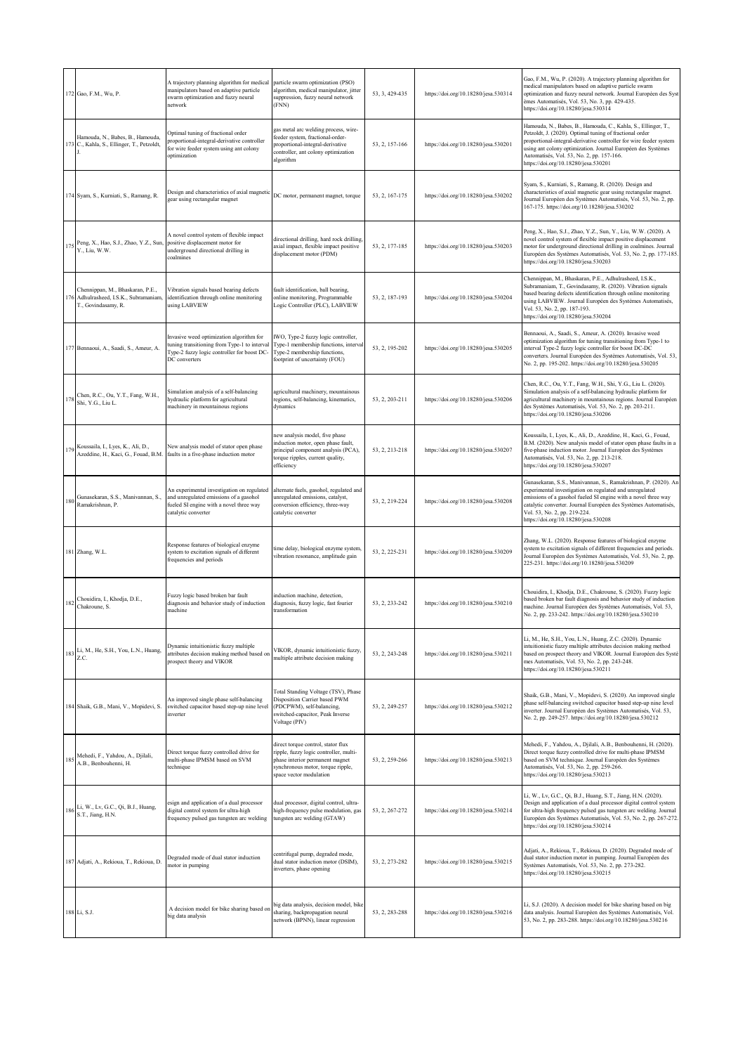|     | 172 Gao, F.M., Wu, P.                                                                             | A trajectory planning algorithm for medical<br>manipulators based on adaptive particle<br>swarm optimization and fuzzy neural<br>network                 | particle swarm optimization (PSO)<br>algorithm, medical manipulator, jitter<br>suppression, fuzzy neural network<br>(FNN)                                                      | 53, 3, 429-435 | https://doi.org/10.18280/jesa.530314 | Gao, F.M., Wu, P. (2020). A trajectory planning algorithm for<br>medical manipulators based on adaptive particle swarm<br>optimization and fuzzy neural network. Journal Européen des Syst<br>èmes Automatisés, Vol. 53, No. 3, pp. 429-435.<br>https://doi.org/10.18280/jesa.530314                                                                |
|-----|---------------------------------------------------------------------------------------------------|----------------------------------------------------------------------------------------------------------------------------------------------------------|--------------------------------------------------------------------------------------------------------------------------------------------------------------------------------|----------------|--------------------------------------|-----------------------------------------------------------------------------------------------------------------------------------------------------------------------------------------------------------------------------------------------------------------------------------------------------------------------------------------------------|
|     | Hamouda, N., Babes, B., Hamouda,<br>173 C., Kahla, S., Ellinger, T., Petzoldt,                    | Optimal tuning of fractional order<br>proportional-integral-derivative controller<br>for wire feeder system using ant colony<br>optimization             | gas metal arc welding process, wire-<br>feeder system, fractional-order-<br>proportional-integral-derivative<br>controller, ant colony optimization<br>algorithm               | 53.2.157-166   | https://doi.org/10.18280/jesa.530201 | Hamouda, N., Babes, B., Hamouda, C., Kahla, S., Ellinger, T.,<br>Petzoldt, J. (2020). Optimal tuning of fractional order<br>proportional-integral-derivative controller for wire feeder system<br>using ant colony optimization. Journal Européen des Systèmes<br>Automatisés, Vol. 53, No. 2, pp. 157-166.<br>https://doi.org/10.18280/jesa.530201 |
|     | 174 Syam, S., Kurniati, S., Ramang, R.                                                            | Design and characteristics of axial magnetic<br>gear using rectangular magnet                                                                            | DC motor, permanent magnet, torque                                                                                                                                             | 53, 2, 167-175 | https://doi.org/10.18280/jesa.530202 | Syam, S., Kurniati, S., Ramang, R. (2020). Design and<br>characteristics of axial magnetic gear using rectangular magnet.<br>Journal Européen des Systèmes Automatisés, Vol. 53, No. 2, pp.<br>167-175. https://doi.org/10.18280/jesa.530202                                                                                                        |
| 175 | Peng, X., Hao, S.J., Zhao, Y.Z., Sun,<br>Y., Liu, W.W.                                            | A novel control system of flexible impact<br>positive displacement motor for<br>underground directional drilling in<br>coalmines                         | directional drilling, hard rock drilling,<br>axial impact, flexible impact positive<br>displacement motor (PDM)                                                                | 53, 2, 177-185 | https://doi.org/10.18280/jesa.530203 | Peng, X., Hao, S.J., Zhao, Y.Z., Sun, Y., Liu, W.W. (2020). A<br>novel control system of flexible impact positive displacement<br>motor for underground directional drilling in coalmines. Journal<br>Européen des Systèmes Automatisés, Vol. 53, No. 2, pp. 177-185.<br>https://doi.org/10.18280/jesa.530203                                       |
|     | Chennippan, M., Bhaskaran, P.E.,<br>176 Adhulrasheed, I.S.K., Subramaniam,<br>T., Govindasamy, R. | Vibration signals based bearing defects<br>identification through online monitoring<br>using LABVIEW                                                     | fault identification, ball bearing,<br>online monitoring, Programmable<br>Logic Controller (PLC), LABVIEW                                                                      | 53, 2, 187-193 | https://doi.org/10.18280/jesa.530204 | Chennippan, M., Bhaskaran, P.E., Adhulrasheed, I.S.K.,<br>Subramaniam, T., Govindasamy, R. (2020). Vibration signals<br>based bearing defects identification through online monitoring<br>using LABVIEW. Journal Européen des Systèmes Automatisés,<br>Vol. 53, No. 2, pp. 187-193.<br>https://doi.org/10.18280/jesa.530204                         |
|     | 177 Bennaoui, A., Saadi, S., Ameur, A.                                                            | Invasive weed optimization algorithm for<br>tuning transitioning from Type-1 to interval<br>Type-2 fuzzy logic controller for boost DC-<br>DC converters | IWO, Type-2 fuzzy logic controller,<br>Type-1 membership functions, interval<br>Type-2 membership functions,<br>footprint of uncertainty (FOU)                                 | 53, 2, 195-202 | https://doi.org/10.18280/jesa.530205 | Bennaoui, A., Saadi, S., Ameur, A. (2020). Invasive weed<br>optimization algorithm for tuning transitioning from Type-1 to<br>interval Type-2 fuzzy logic controller for boost DC-DC<br>converters. Journal Européen des Systèmes Automatisés, Vol. 53,<br>No. 2, pp. 195-202. https://doi.org/10.18280/jesa.530205                                 |
| 178 | Chen, R.C., Ou, Y.T., Fang, W.H.,<br>Shi, Y.G., Liu L.                                            | Simulation analysis of a self-balancing<br>hydraulic platform for agricultural<br>machinery in mountainous regions                                       | agricultural machinery, mountainous<br>regions, self-balancing, kinematics,<br>dynamics                                                                                        | 53, 2, 203-211 | https://doi.org/10.18280/jesa.530206 | Chen, R.C., Ou, Y.T., Fang, W.H., Shi, Y.G., Liu L. (2020).<br>Simulation analysis of a self-balancing hydraulic platform for<br>agricultural machinery in mountainous regions. Journal Européen<br>des Systèmes Automatisés, Vol. 53, No. 2, pp. 203-211.<br>https://doi.org/10.18280/jesa.530206                                                  |
|     | 179 Koussaila, I., Lyes, K., Ali, D.,<br>Azeddine, H., Kaci, G., Fouad, B.M.                      | New analysis model of stator open phase<br>faults in a five-phase induction motor                                                                        | new analysis model, five phase<br>induction motor, open phase fault,<br>principal component analysis (PCA),<br>torque ripples, current quality,<br>efficiency                  | 53, 2, 213-218 | https://doi.org/10.18280/jesa.530207 | Koussaila, I., Lyes, K., Ali, D., Azeddine, H., Kaci, G., Fouad,<br>B.M. (2020). New analysis model of stator open phase faults in a<br>five-phase induction motor. Journal Européen des Systèmes<br>Automatisés, Vol. 53, No. 2, pp. 213-218.<br>https://doi.org/10.18280/jesa.530207                                                              |
| 180 | Gunasekaran, S.S., Manivannan, S.,<br>Ramakrishnan, P.                                            | An experimental investigation on regulated<br>and unregulated emissions of a gasohol<br>fueled SI engine with a novel three way<br>catalytic converter   | alternate fuels, gasohol, regulated and<br>inregulated emissions, catalyst,<br>conversion efficiency, three-way<br>catalytic converter                                         | 53, 2, 219-224 | https://doi.org/10.18280/jesa.530208 | Gunasekaran, S.S., Manivannan, S., Ramakrishnan, P. (2020). An<br>experimental investigation on regulated and unregulated<br>emissions of a gasohol fueled SI engine with a novel three way<br>catalytic converter. Journal Européen des Systèmes Automatisés,<br>Vol. 53, No. 2, pp. 219-224.<br>https://doi.org/10.18280/jesa.530208              |
|     | 181 Zhang, W.L.                                                                                   | Response features of biological enzyme<br>system to excitation signals of different<br>frequencies and periods                                           | time delay, biological enzyme system,<br>vibration resonance, amplitude gain                                                                                                   | 53, 2, 225-231 | https://doi.org/10.18280/jesa.530209 | Zhang, W.L. (2020). Response features of biological enzyme<br>system to excitation signals of different frequencies and periods.<br>Journal Européen des Systèmes Automatisés, Vol. 53, No. 2, pp.<br>225-231. https://doi.org/10.18280/jesa.530209                                                                                                 |
| 182 | Chouidira, I., Khodja, D.E.,<br>Chakroune, S.                                                     | Fuzzy logic based broken bar fault<br>diagnosis and behavior study of induction<br>machine                                                               | induction machine, detection,<br>diagnosis, fuzzy logic, fast fourier<br>transformation                                                                                        | 53, 2, 233-242 | https://doi.org/10.18280/jesa.530210 | Chouidira, I., Khodja, D.E., Chakroune, S. (2020). Fuzzy logic<br>based broken bar fault diagnosis and behavior study of induction<br>machine. Journal Européen des Systèmes Automatisés, Vol. 53,<br>No. 2, pp. 233-242. https://doi.org/10.18280/jesa.530210                                                                                      |
|     | 183 Li, M., He, S.H., You, L.N., Huang,<br>Z.C.                                                   | Dynamic intuitionistic fuzzy multiple<br>attributes decision making method based on<br>prospect theory and VIKOR                                         | VIKOR, dynamic intuitionistic fuzzy,<br>multiple attribute decision making                                                                                                     | 53, 2, 243-248 | https://doi.org/10.18280/jesa.530211 | Li, M., He, S.H., You, L.N., Huang, Z.C. (2020). Dynamic<br>intuitionistic fuzzy multiple attributes decision making method<br>based on prospect theory and VIKOR. Journal Européen des Systè<br>mes Automatisés, Vol. 53, No. 2, pp. 243-248.<br>https://doi.org/10.18280/jesa.530211                                                              |
|     | 184 Shaik, G.B., Mani, V., Mopidevi, S.                                                           | An improved single phase self-balancing<br>switched capacitor based step-up nine level<br>inverter                                                       | Total Standing Voltage (TSV), Phase<br>Disposition Carrier based PWM<br>(PDCPWM), self-balancing,<br>switched-capacitor, Peak Inverse<br>Voltage (PIV)                         | 53, 2, 249-257 | https://doi.org/10.18280/jesa.530212 | Shaik, G.B., Mani, V., Mopidevi, S. (2020). An improved single<br>phase self-balancing switched capacitor based step-up nine level<br>inverter. Journal Européen des Systèmes Automatisés, Vol. 53,<br>No. 2, pp. 249-257. https://doi.org/10.18280/jesa.530212                                                                                     |
|     | 185 Mehedi, F., Yahdou, A., Djilali, A.B., Benbouhenni, H.                                        | Direct torque fuzzy controlled drive for<br>multi-phase IPMSM based on SVM<br>technique                                                                  | direct torque control, stator flux<br>ipple, fuzzy logic controller, multi-<br>phase interior permanent magnet<br>synchronous motor, torque ripple,<br>space vector modulation | 53, 2, 259-266 | https://doi.org/10.18280/jesa.530213 | Mehedi, F., Yahdou, A., Djilali, A.B., Benbouhenni, H. (2020).<br>Direct torque fuzzy controlled drive for multi-phase IPMSM<br>based on SVM technique. Journal Européen des Systèmes<br>Automatisés, Vol. 53, No. 2, pp. 259-266.<br>https://doi.org/10.18280/jesa.530213                                                                          |
|     | Li, W., Lv, G.C., Qi, B.J., Huang,<br>$186$ S.T., Jiang, H.N.                                     | esign and application of a dual processor<br>digital control system for ultra-high<br>frequency pulsed gas tungsten arc welding                          | dual processor, digital control, ultra-<br>nigh-frequency pulse modulation, gas<br>ungsten arc welding (GTAW)                                                                  | 53, 2, 267-272 | https://doi.org/10.18280/jesa.530214 | Li, W., Lv, G.C., Qi, B.J., Huang, S.T., Jiang, H.N. (2020).<br>Design and application of a dual processor digital control system<br>for ultra-high frequency pulsed gas tungsten arc welding. Journal<br>Européen des Systèmes Automatisés, Vol. 53, No. 2, pp. 267-272.<br>https://doi.org/10.18280/jesa.530214                                   |
|     | 187 Adjati, A., Rekioua, T., Rekioua, D.                                                          | Degraded mode of dual stator induction<br>notor in pumping                                                                                               | centrifugal pump, degraded mode,<br>dual stator induction motor (DSIM),<br>inverters, phase opening                                                                            | 53, 2, 273-282 | https://doi.org/10.18280/jesa.530215 | Adjati, A., Rekioua, T., Rekioua, D. (2020). Degraded mode of<br>dual stator induction motor in pumping. Journal Européen des<br>Systèmes Automatisés, Vol. 53, No. 2, pp. 273-282.<br>https://doi.org/10.18280/jesa.530215                                                                                                                         |
|     | 188 Li, S.J.                                                                                      | A decision model for bike sharing based on<br>big data analysis                                                                                          | big data analysis, decision model, bike<br>sharing, backpropagation neural<br>network (BPNN), linear regression                                                                | 53, 2, 283-288 | https://doi.org/10.18280/jesa.530216 | Li, S.J. (2020). A decision model for bike sharing based on big<br>data analysis. Journal Européen des Systèmes Automatisés, Vol.<br>53, No. 2, pp. 283-288. https://doi.org/10.18280/jesa.530216                                                                                                                                                   |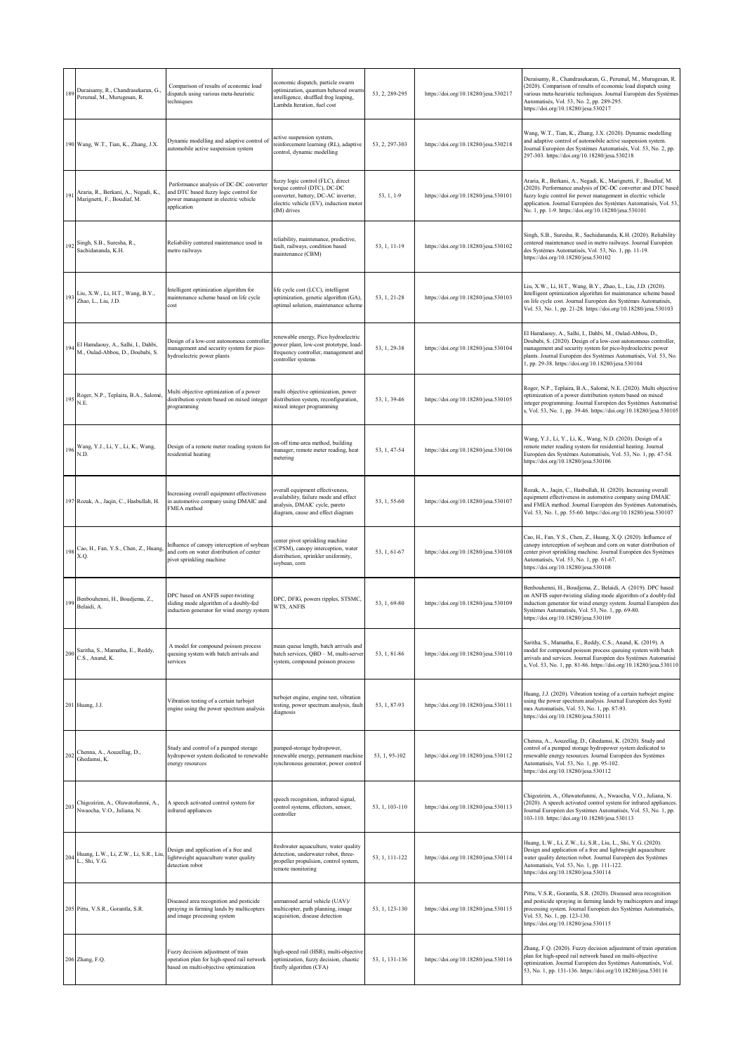|     | 189 Duraisamy, R., Chandrasekaran, G.,<br>Perumal, M., Murugesan, R.   | Comparison of results of economic load<br>dispatch using various meta-heuristic<br>techniques                                           | economic dispatch, particle swarm<br>optimization, quantum behaved swarm<br>intelligence, shuffled frog leaping,<br>Lambda Iteration, fuel cost                  | 53, 2, 289-295 | https://doi.org/10.18280/jesa.530217 | Duraisamy, R., Chandrasekaran, G., Perumal, M., Murugesan, R.<br>(2020). Comparison of results of economic load dispatch using<br>various meta-heuristic techniques. Journal Européen des Systèmes<br>Automatisés, Vol. 53, No. 2, pp. 289-295.<br>https://doi.org/10.18280/jesa.530217                                       |
|-----|------------------------------------------------------------------------|-----------------------------------------------------------------------------------------------------------------------------------------|------------------------------------------------------------------------------------------------------------------------------------------------------------------|----------------|--------------------------------------|-------------------------------------------------------------------------------------------------------------------------------------------------------------------------------------------------------------------------------------------------------------------------------------------------------------------------------|
|     | 190 Wang, W.T., Tian, K., Zhang, J.X.                                  | Dynamic modelling and adaptive control of<br>automobile active suspension system                                                        | active suspension system,<br>einforcement learning (RL), adaptive<br>control, dynamic modelling                                                                  | 53, 2, 297-303 | https://doi.org/10.18280/jesa.530218 | Wang, W.T., Tian, K., Zhang, J.X. (2020). Dynamic modelling<br>and adaptive control of automobile active suspension system.<br>Journal Européen des Systèmes Automatisés, Vol. 53, No. 2, pp.<br>297-303. https://doi.org/10.18280/jesa.530218                                                                                |
| 191 | Araria, R., Berkani, A., Negadi, K.,<br>Marignetti, F., Boudiaf, M.    | Performance analysis of DC-DC converter<br>and DTC based fuzzy logic control for<br>power management in electric vehicle<br>application | fuzzy logic control (FLC), direct<br>torque control (DTC), DC-DC<br>converter, battery, DC-AC inverter,<br>electric vehicle (EV), induction motor<br>(IM) drives | 53, 1, 1-9     | https://doi.org/10.18280/jesa.530101 | Araria, R., Berkani, A., Negadi, K., Marignetti, F., Boudiaf, M.<br>(2020). Performance analysis of DC-DC converter and DTC based<br>fuzzy logic control for power management in electric vehicle<br>application. Journal Européen des Systèmes Automatisés, Vol. 53,<br>No. 1, pp. 1-9. https://doi.org/10.18280/jesa.530101 |
| 192 | Singh, S.B., Suresha, R.,<br>Sachidananda, K.H.                        | Reliability centered maintenance used in<br>metro railways                                                                              | reliability, maintenance, predictive,<br>fault, railways, condition based<br>maintenance (CBM)                                                                   | 53.1.11-19     | https://doi.org/10.18280/jesa.530102 | Singh, S.B., Suresha, R., Sachidananda, K.H. (2020). Reliability<br>centered maintenance used in metro railways. Journal Européen<br>des Systèmes Automatisés, Vol. 53, No. 1, pp. 11-19.<br>https://doi.org/10.18280/jesa.530102                                                                                             |
|     | 193 Liu, X.W., Li, H.T., Wang, B.Y.,<br>Zhao, L., Liu, J.D.            | Intelligent optimization algorithm for<br>maintenance scheme based on life cycle<br>cost                                                | life cycle cost (LCC), intelligent<br>optimization, genetic algorithm (GA),<br>optimal solution, maintenance scheme                                              | 53, 1, 21-28   | https://doi.org/10.18280/jesa.530103 | Liu, X.W., Li, H.T., Wang, B.Y., Zhao, L., Liu, J.D. (2020).<br>Intelligent optimization algorithm for maintenance scheme based<br>on life cycle cost. Journal Européen des Systèmes Automatisés,<br>Vol. 53, No. 1, pp. 21-28. https://doi.org/10.18280/jesa.530103                                                          |
| 194 | El Hamdaouy, A., Salhi, I., Dahbi,<br>M., Oulad-Abbou, D., Doubabi, S. | Design of a low-cost autonomous controller<br>nanagement and security system for pico-<br>hydroelectric power plants                    | renewable energy, Pico hydroelectric<br>power plant, low-cost prototype, load-<br>frequency controller, management and<br>controller systems                     | 53, 1, 29-38   | https://doi.org/10.18280/jesa.530104 | El Hamdaouy, A., Salhi, I., Dahbi, M., Oulad-Abbou, D.,<br>Doubabi, S. (2020). Design of a low-cost autonomous controller,<br>management and security system for pico-hydroelectric power<br>plants. Journal Européen des Systèmes Automatisés, Vol. 53, No.<br>1, pp. 29-38. https://doi.org/10.18280/jesa.530104            |
|     | 195 Roger, N.P., Teplaira, B.A., Salomé,<br>N.E.                       | Multi objective optimization of a power<br>distribution system based on mixed integer<br>programming                                    | multi objective optimization, power<br>distribution system, reconfiguration,<br>mixed integer programming                                                        | 53, 1, 39-46   | https://doi.org/10.18280/jesa.530105 | Roger, N.P., Teplaira, B.A., Salomé, N.E. (2020). Multi objective<br>optimization of a power distribution system based on mixed<br>integer programming. Journal Européen des Systèmes Automatisé<br>s, Vol. 53, No. 1, pp. 39-46. https://doi.org/10.18280/jesa.530105                                                        |
|     | 196 Wang, Y.J., Li, Y., Li, K., Wang,<br>N.D.                          | Design of a remote meter reading system for<br>residential heating                                                                      | on-off time-area method, building<br>manager, remote meter reading, heat<br>metering                                                                             | 53, 1, 47-54   | https://doi.org/10.18280/jesa.530106 | Wang, Y.J., Li, Y., Li, K., Wang, N.D. (2020). Design of a<br>remote meter reading system for residential heating. Journal<br>Européen des Systèmes Automatisés, Vol. 53, No. 1, pp. 47-54.<br>https://doi.org/10.18280/jesa.530106                                                                                           |
|     | 197 Rozak, A., Jaqin, C., Hasbullah, H.                                | Increasing overall equipment effectiveness<br>in automotive company using DMAIC and<br>FMEA method                                      | verall equipment effectiveness,<br>vailability, failure mode and effect<br>analysis, DMAIC cycle, pareto<br>diagram, cause and effect diagram                    | 53, 1, 55-60   | https://doi.org/10.18280/jesa.530107 | Rozak, A., Jaqin, C., Hasbullah, H. (2020). Increasing overall<br>equipment effectiveness in automotive company using DMAIC<br>and FMEA method. Journal Européen des Systèmes Automatisés,<br>Vol. 53, No. 1, pp. 55-60. https://doi.org/10.18280/jesa.530107                                                                 |
|     | 198 Cao, H., Fan, Y.S., Chen, Z., Huang, X.Q.                          | Influence of canopy interception of soybean<br>and corn on water distribution of center<br>pivot sprinkling machine                     | center pivot sprinkling machine<br>(CPSM), canopy interception, water<br>distribution, sprinkler uniformity,<br>soybean, corn                                    | 53, 1, 61-67   | https://doi.org/10.18280/jesa.530108 | Cao, H., Fan, Y.S., Chen, Z., Huang, X.Q. (2020). Influence of<br>canopy interception of soybean and corn on water distribution of<br>center pivot sprinkling machine. Journal Européen des Systèmes<br>Automatisés, Vol. 53, No. 1, pp. 61-67.<br>https://doi.org/10.18280/jesa.530108                                       |
|     | 199 Benbouhenni, H., Boudjema, Z.,<br>Belaidi, A.                      | DPC based on ANFIS super-twisting<br>sliding mode algorithm of a doubly-fed<br>induction generator for wind energy system               | DPC, DFIG, powers ripples, STSMC,<br>WTS, ANFIS                                                                                                                  | 53, 1, 69-80   | https://doi.org/10.18280/jesa.530109 | Benbouhenni, H., Boudjema, Z., Belaidi, A. (2019). DPC based<br>on ANFIS super-twisting sliding mode algorithm of a doubly-fed<br>induction generator for wind energy system. Journal Européen des<br>Systèmes Automatisés, Vol. 53, No. 1, pp. 69-80.<br>https://doi.org/10.18280/jesa.530109                                |
|     | 200 Saritha, S., Mamatha, E., Reddy, C.S., Anand, K.                   | A model for compound poisson process<br>queuing system with batch arrivals and<br>services                                              | mean queue length, batch arrivals and<br>batch services, QBD - M, multi-server<br>system, compound poisson process                                               | 53, 1, 81-86   | https://doi.org/10.18280/jesa.530110 | Saritha, S., Mamatha, E., Reddy, C.S., Anand, K. (2019). A<br>model for compound poisson process queuing system with batch<br>arrivals and services. Journal Européen des Systèmes Automatisé<br>s, Vol. 53, No. 1, pp. 81-86. https://doi.org/10.18280/jesa.530110                                                           |
|     | 201 Huang, J.J.                                                        | Vibration testing of a certain turbojet<br>engine using the power spectrum analysis                                                     | turbojet engine, engine test, vibration<br>testing, power spectrum analysis, fault<br>diagnosis                                                                  | 53, 1, 87-93   | https://doi.org/10.18280/jesa.530111 | Huang, J.J. (2020). Vibration testing of a certain turbojet engine<br>using the power spectrum analysis. Journal Européen des Systè<br>mes Automatisés, Vol. 53, No. 1, pp. 87-93.<br>https://doi.org/10.18280/jesa.530111                                                                                                    |
| 202 | Chenna, A., Aouzellag, D.,<br>Ghedamsi, K.                             | Study and control of a pumped storage<br>hydropower system dedicated to renewable<br>energy resources                                   | pumped-storage hydropower,<br>renewable energy, permanent machine<br>synchronous generator, power control                                                        | 53, 1, 95-102  | https://doi.org/10.18280/jesa.530112 | Chenna, A., Aouzellag, D., Ghedamsi, K. (2020). Study and<br>control of a pumped storage hydropower system dedicated to<br>renewable energy resources. Journal Européen des Systèmes<br>Automatisés, Vol. 53, No. 1, pp. 95-102.<br>https://doi.org/10.18280/jesa.530112                                                      |
|     | 203 Chigozirim, A., Oluwatofunmi, A.,<br>Nwaocha, V.O., Juliana, N.    | A speech activated control system for<br>infrared appliances                                                                            | speech recognition, infrared signal,<br>control systems, effectors, sensor,<br>controller                                                                        | 53, 1, 103-110 | https://doi.org/10.18280/jesa.530113 | Chigozirim, A., Oluwatofunmi, A., Nwaocha, V.O., Juliana, N.<br>(2020). A speech activated control system for infrared appliances.<br>Journal Européen des Systèmes Automatisés, Vol. 53, No. 1, pp.<br>103-110. https://doi.org/10.18280/jesa.530113                                                                         |
|     | 204 Huang, L.W., Li, Z.W., Li, S.R., Liu,<br>L., Shi, Y.G.             | Design and application of a free and<br>lightweight aquaculture water quality<br>detection robot                                        | freshwater aquaculture, water quality<br>detection, underwater robot, three-<br>propeller propulsion, control system,<br>remote monitoring                       | 53, 1, 111-122 | https://doi.org/10.18280/jesa.530114 | Huang, L.W., Li, Z.W., Li, S.R., Liu, L., Shi, Y.G. (2020).<br>Design and application of a free and lightweight aquaculture<br>water quality detection robot. Journal Européen des Systèmes<br>Automatisés, Vol. 53, No. 1, pp. 111-122.<br>https://doi.org/10.18280/jesa.530114                                              |
|     | 205 Pittu, V.S.R., Gorantla, S.R.                                      | Diseased area recognition and pesticide<br>spraying in farming lands by multicopters<br>and image processing system                     | unmanned aerial vehicle (UAV)/<br>multicopter, path planning, image<br>acquisition, disease detection                                                            | 53, 1, 123-130 | https://doi.org/10.18280/jesa.530115 | Pittu, V.S.R., Gorantla, S.R. (2020). Diseased area recognition<br>and pesticide spraying in farming lands by multicopters and image<br>processing system. Journal Européen des Systèmes Automatisés,<br>Vol. 53, No. 1, pp. 123-130.<br>https://doi.org/10.18280/jesa.530115                                                 |
|     | 206 Zhang, F.Q.                                                        | Fuzzy decision adjustment of train<br>operation plan for high-speed rail network<br>based on multi-objective optimization               | nigh-speed rail (HSR), multi-objective<br>optimization, fuzzy decision, chaotic<br>firefly algorithm (CFA)                                                       | 53, 1, 131-136 | https://doi.org/10.18280/jesa.530116 | Zhang, F.Q. (2020). Fuzzy decision adjustment of train operation<br>plan for high-speed rail network based on multi-objective<br>optimization. Journal Européen des Systèmes Automatisés, Vol.<br>53, No. 1, pp. 131-136. https://doi.org/10.18280/jesa.530116                                                                |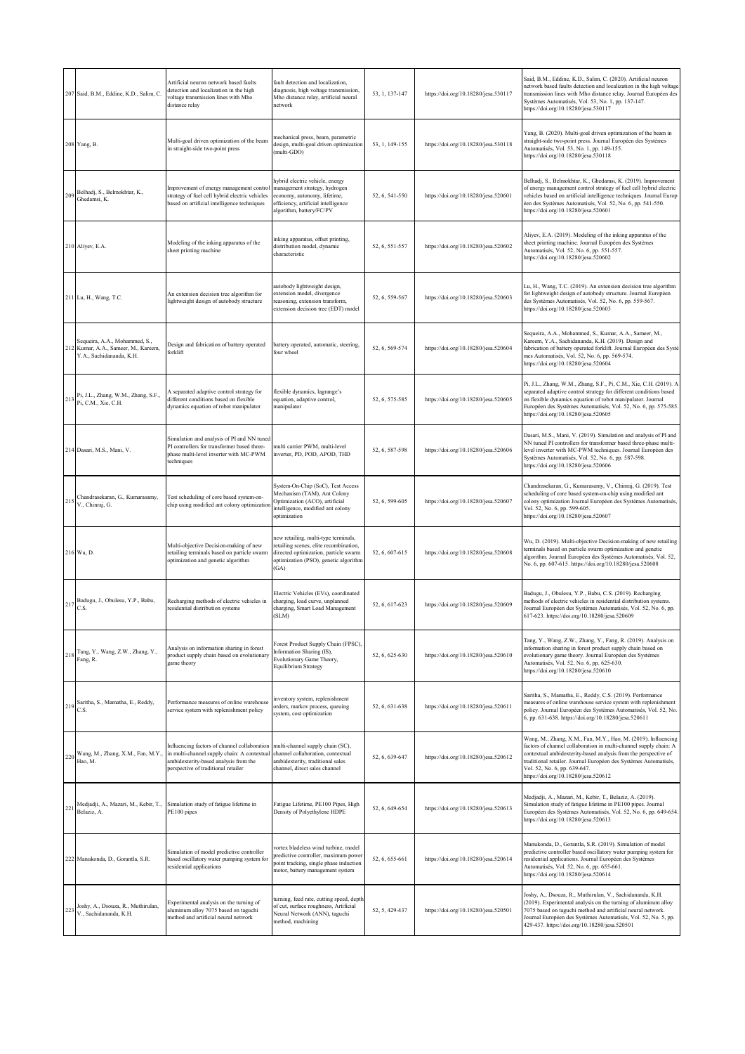|     | 207 Said, B.M., Eddine, K.D., Salim, C.                                                           | Artificial neuron network based faults<br>detection and localization in the high<br>voltage transmission lines with Mho<br>distance relay                                   | fault detection and localization,<br>diagnosis, high voltage transmission,<br>Mho distance relay, artificial neural<br>network                                          | 53, 1, 137-147 | https://doi.org/10.18280/jesa.530117 | Said, B.M., Eddine, K.D., Salim, C. (2020). Artificial neuron<br>network based faults detection and localization in the high voltage<br>transmission lines with Mho distance relay. Journal Européen des<br>Systèmes Automatisés, Vol. 53, No. 1, pp. 137-147.<br>https://doi.org/10.18280/jesa.530117                                            |
|-----|---------------------------------------------------------------------------------------------------|-----------------------------------------------------------------------------------------------------------------------------------------------------------------------------|-------------------------------------------------------------------------------------------------------------------------------------------------------------------------|----------------|--------------------------------------|---------------------------------------------------------------------------------------------------------------------------------------------------------------------------------------------------------------------------------------------------------------------------------------------------------------------------------------------------|
|     | 208 Yang, B.                                                                                      | Multi-goal driven optimization of the beam<br>in straight-side two-point press                                                                                              | mechanical press, beam, parametric<br>design, multi-goal driven optimization<br>(multi-GDO)                                                                             | 53, 1, 149-155 | https://doi.org/10.18280/jesa.530118 | Yang, B. (2020). Multi-goal driven optimization of the beam in<br>straight-side two-point press. Journal Européen des Systèmes<br>Automatisés, Vol. 53, No. 1, pp. 149-155.<br>https://doi.org/10.18280/jesa.530118                                                                                                                               |
|     | 209 Belhadj, S., Belmokhtar, K., Ghedamsi, K.                                                     | Improvement of energy management control<br>strategy of fuel cell hybrid electric vehicles<br>based on artificial intelligence techniques                                   | nybrid electric vehicle, energy<br>management strategy, hydrogen<br>economy, autonomy, lifetime,<br>efficiency, artificial intelligence<br>algorithm, battery/FC/PV     | 52, 6, 541-550 | https://doi.org/10.18280/jesa.520601 | Belhadj, S., Belmokhtar, K., Ghedamsi, K. (2019). Improvement<br>of energy management control strategy of fuel cell hybrid electric<br>vehicles based on artificial intelligence techniques. Journal Europ<br>éen des Systèmes Automatisés, Vol. 52, No. 6, pp. 541-550.<br>https://doi.org/10.18280/jesa.520601                                  |
|     | 210 Aliyev, E.A.                                                                                  | Modeling of the inking apparatus of the<br>sheet printing machine                                                                                                           | nking apparatus, offset printing,<br>distribution model, dynamic<br>characteristic                                                                                      | 52, 6, 551-557 | https://doi.org/10.18280/jesa.520602 | Aliyev, E.A. (2019). Modeling of the inking apparatus of the<br>sheet printing machine. Journal Européen des Systèmes<br>Automatisés, Vol. 52, No. 6, pp. 551-557.<br>https://doi.org/10.18280/jesa.520602                                                                                                                                        |
|     | 211 Lu, H., Wang, T.C.                                                                            | An extension decision tree algorithm for<br>lightweight design of autobody structure                                                                                        | autobody lightweight design,<br>extension model, divergence<br>reasoning, extension transform,<br>extension decision tree (EDT) model                                   | 52, 6, 559-567 | https://doi.org/10.18280/jesa.520603 | Lu, H., Wang, T.C. (2019). An extension decision tree algorithm<br>for lightweight design of autobody structure. Journal Européen<br>des Systèmes Automatisés, Vol. 52, No. 6, pp. 559-567.<br>https://doi.org/10.18280/jesa.520603                                                                                                               |
|     | Sequeira, A.A., Mohammed, S.,<br>212 Kumar, A.A., Sameer, M., Kareem,<br>Y.A., Sachidananda, K.H. | Design and fabrication of battery operated<br>forklift                                                                                                                      | battery operated, automatic, steering,<br>four wheel                                                                                                                    | 52, 6, 569-574 | https://doi.org/10.18280/jesa.520604 | Sequeira, A.A., Mohammed, S., Kumar, A.A., Sameer, M.,<br>Kareem, Y.A., Sachidananda, K.H. (2019). Design and<br>fabrication of battery operated forklift. Journal Européen des Systè<br>mes Automatisés, Vol. 52, No. 6, pp. 569-574.<br>https://doi.org/10.18280/jesa.520604                                                                    |
|     | 213 Pi, J.L., Zhang, W.M., Zhang, S.F.,<br>Pi, C.M., Xie, C.H.                                    | A separated adaptive control strategy for<br>different conditions based on flexible<br>dynamics equation of robot manipulator                                               | flexible dynamics, lagrange's<br>equation, adaptive control,<br>nanipulator                                                                                             | 52, 6, 575-585 | https://doi.org/10.18280/jesa.520605 | Pi, J.L., Zhang, W.M., Zhang, S.F., Pi, C.M., Xie, C.H. (2019). A<br>separated adaptive control strategy for different conditions based<br>on flexible dynamics equation of robot manipulator. Journal<br>Européen des Systèmes Automatisés, Vol. 52, No. 6, pp. 575-585.<br>https://doi.org/10.18280/jesa.520605                                 |
|     | 214 Dasari, M.S., Mani, V.                                                                        | Simulation and analysis of PI and NN tuned<br>PI controllers for transformer based three-<br>phase multi-level inverter with MC-PWM<br>techniques                           | multi carrier PWM, multi-level<br>inverter, PD, POD, APOD, THD                                                                                                          | 52, 6, 587-598 | https://doi.org/10.18280/jesa.520606 | Dasari, M.S., Mani, V. (2019). Simulation and analysis of PI and<br>NN tuned PI controllers for transformer based three-phase multi-<br>level inverter with MC-PWM techniques. Journal Européen des<br>Systèmes Automatisés, Vol. 52, No. 6, pp. 587-598.<br>https://doi.org/10.18280/jesa.520606                                                 |
| 215 | Chandrasekaran, G., Kumarasamy,<br>V., Chinraj, G.                                                | Test scheduling of core based system-on-<br>chip using modified ant colony optimization                                                                                     | System-On-Chip (SoC), Test Access<br>Mechanism (TAM), Ant Colony<br>Optimization (ACO), artificial<br>intelligence, modified ant colony<br>optimization                 | 52, 6, 599-605 | https://doi.org/10.18280/jesa.520607 | Chandrasekaran, G., Kumarasamy, V., Chinraj, G. (2019). Test<br>scheduling of core based system-on-chip using modified ant<br>colony optimization Journal Européen des Systèmes Automatisés,<br>Vol. 52, No. 6, pp. 599-605.<br>https://doi.org/10.18280/jesa.520607                                                                              |
|     | 216 Wu, D.                                                                                        | Multi-objective Decision-making of new<br>etailing terminals based on particle swarm<br>optimization and genetic algorithm                                                  | new retailing, multi-type terminals,<br>retailing scenes, elite recombination,<br>directed optimization, particle swarm<br>optimization (PSO), genetic algorithm<br>GA) | 52, 6, 607-615 | https://doi.org/10.18280/jesa.520608 | Wu, D. (2019). Multi-objective Decision-making of new retailing<br>erminals based on particle swarm optimization and genetic<br>algorithm. Journal Européen des Systèmes Automatisés, Vol. 52,<br>No. 6, pp. 607-615. https://doi.org/10.18280/jesa.520608                                                                                        |
|     | 217 Badugu, J., Obulesu, Y.P., Babu,<br>C.S.                                                      | Recharging methods of electric vehicles in<br>residential distribution systems                                                                                              | Electric Vehicles (EVs), coordinated<br>charging, load curve, unplanned<br>charging, Smart Load Management<br>(SLM)                                                     | 52, 6, 617-623 | https://doi.org/10.18280/jesa.520609 | Badugu, J., Obulesu, Y.P., Babu, C.S. (2019). Recharging<br>methods of electric vehicles in residential distribution systems.<br>Journal Européen des Systèmes Automatisés, Vol. 52, No. 6, pp.<br>617-623. https://doi.org/10.18280/jesa.520609                                                                                                  |
|     | 218 Tang, Y., Wang, Z.W., Zhang, Y.,<br>Fang, R.                                                  | Analysis on information sharing in forest<br>product supply chain based on evolutionary<br>game theory                                                                      | Forest Product Supply Chain (FPSC),<br>Information Sharing (IS),<br>Evolutionary Game Theory,<br>Equilibrium Strategy                                                   | 52, 6, 625-630 | https://doi.org/10.18280/jesa.520610 | Tang, Y., Wang, Z.W., Zhang, Y., Fang, R. (2019). Analysis on<br>information sharing in forest product supply chain based on<br>evolutionary game theory. Journal Européen des Systèmes<br>Automatisés, Vol. 52, No. 6, pp. 625-630.<br>https://doi.org/10.18280/jesa.520610                                                                      |
|     | 219 Saritha, S., Mamatha, E., Reddy, C.S.                                                         | Performance measures of online warehouse<br>service system with replenishment policy                                                                                        | nventory system, replenishment<br>orders, markov process, queuing<br>system, cost optimization                                                                          | 52, 6, 631-638 | https://doi.org/10.18280/jesa.520611 | Saritha, S., Mamatha, E., Reddy, C.S. (2019). Performance<br>neasures of online warehouse service system with replenishment<br>policy. Journal Européen des Systèmes Automatisés, Vol. 52, No.<br>5, pp. 631-638. https://doi.org/10.18280/jesa.520611                                                                                            |
|     | 220 Wang, M., Zhang, X.M., Fan, M.Y., Hao, M.                                                     | Influencing factors of channel collaboration<br>in multi-channel supply chain: A contextual<br>ambidexterity-based analysis from the<br>perspective of traditional retailer | multi-channel supply chain (SC),<br>channel collaboration, contextual<br>ambidexterity, traditional sales<br>channel, direct sales channel                              | 52, 6, 639-647 | https://doi.org/10.18280/jesa.520612 | Wang, M., Zhang, X.M., Fan, M.Y., Hao, M. (2019). Influencing<br>factors of channel collaboration in multi-channel supply chain: A<br>contextual ambidexterity-based analysis from the perspective of<br>traditional retailer. Journal Européen des Systèmes Automatisés,<br>Vol. 52, No. 6, pp. 639-647.<br>https://doi.org/10.18280/jesa.520612 |
| 221 | Medjadji, A., Mazari, M., Kebir, T.,<br>Belaziz, A.                                               | Simulation study of fatigue lifetime in<br>PE100 pipes                                                                                                                      | Fatigue Lifetime, PE100 Pipes, High<br>Density of Polyethylene HDPE                                                                                                     | 52, 6, 649-654 | https://doi.org/10.18280/jesa.520613 | Medjadji, A., Mazari, M., Kebir, T., Belaziz, A. (2019).<br>Simulation study of fatigue lifetime in PE100 pipes. Journal<br>Européen des Systèmes Automatisés, Vol. 52, No. 6, pp. 649-654.<br>https://doi.org/10.18280/jesa.520613                                                                                                               |
|     | 222 Manukonda, D., Gorantla, S.R.                                                                 | Simulation of model predictive controller<br>based oscillatory water pumping system for<br>residential applications                                                         | vortex bladeless wind turbine, model<br>predictive controller, maximum power<br>point tracking, single phase induction<br>notor, battery management system              | 52, 6, 655-661 | https://doi.org/10.18280/jesa.520614 | Manukonda, D., Gorantla, S.R. (2019). Simulation of model<br>predictive controller based oscillatory water pumping system for<br>residential applications. Journal Européen des Systèmes<br>Automatisés, Vol. 52, No. 6, pp. 655-661.<br>https://doi.org/10.18280/jesa.520614                                                                     |
| 223 | Joshy, A., Dsouza, R., Muthirulan,<br>V., Sachidananda, K.H.                                      | Experimental analysis on the turning of<br>aluminum alloy 7075 based on taguchi<br>method and artificial neural network                                                     | urning, feed rate, cutting speed, depth<br>of cut, surface roughness, Artificial<br>Neural Network (ANN), taguchi<br>method, machining                                  | 52, 5, 429-437 | https://doi.org/10.18280/jesa.520501 | Joshy, A., Dsouza, R., Muthirulan, V., Sachidananda, K.H.<br>(2019). Experimental analysis on the turning of aluminum alloy<br>7075 based on taguchi method and artificial neural network.<br>Journal Européen des Systèmes Automatisés, Vol. 52, No. 5, pp.<br>429-437. https://doi.org/10.18280/jesa.520501                                     |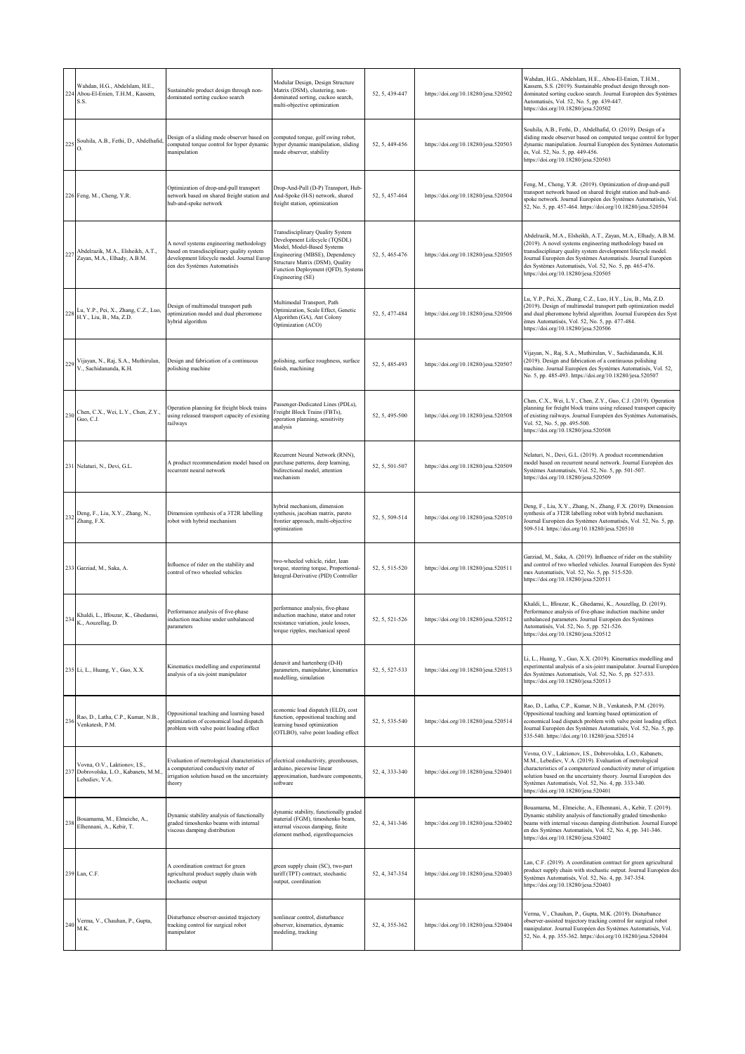| 224 | Wahdan, H.G., Abdelslam, H.E.,<br>Abou-El-Enien, T.H.M., Kassem,<br>S.S.                  | Sustainable product design through non-<br>dominated sorting cuckoo search                                                                                        | Modular Design, Design Structure<br>Matrix (DSM), clustering, non-<br>dominated sorting, cuckoo search,<br>multi-objective optimization                                                                                               | 52, 5, 439-447 | https://doi.org/10.18280/jesa.520502 | Wahdan, H.G., Abdelslam, H.E., Abou-El-Enien, T.H.M.,<br>Kassem, S.S. (2019). Sustainable product design through non-<br>dominated sorting cuckoo search. Journal Européen des Systèmes<br>Automatisés, Vol. 52, No. 5, pp. 439-447.<br>https://doi.org/10.18280/jesa.520502                                                                                |
|-----|-------------------------------------------------------------------------------------------|-------------------------------------------------------------------------------------------------------------------------------------------------------------------|---------------------------------------------------------------------------------------------------------------------------------------------------------------------------------------------------------------------------------------|----------------|--------------------------------------|-------------------------------------------------------------------------------------------------------------------------------------------------------------------------------------------------------------------------------------------------------------------------------------------------------------------------------------------------------------|
| 225 | Souhila, A.B., Fethi, D., Abdelhafid,                                                     | Design of a sliding mode observer based on<br>computed torque control for hyper dynamic<br>manipulation                                                           | computed torque, golf swing robot,<br>hyper dynamic manipulation, sliding<br>mode observer, stability                                                                                                                                 | 52, 5, 449-456 | https://doi.org/10.18280/jesa.520503 | Souhila, A.B., Fethi, D., Abdelhafid, O. (2019). Design of a<br>sliding mode observer based on computed torque control for hyper<br>dynamic manipulation. Journal Européen des Systèmes Automatis<br>és, Vol. 52, No. 5, pp. 449-456.<br>https://doi.org/10.18280/jesa.520503                                                                               |
|     | 226 Feng, M., Cheng, Y.R.                                                                 | Optimization of drop-and-pull transport<br>network based on shared freight station and<br>hub-and-spoke network                                                   | Drop-And-Pull (D-P) Transport, Hub-<br>And-Spoke (H-S) network, shared<br>freight station, optimization                                                                                                                               | 52, 5, 457-464 | https://doi.org/10.18280/jesa.520504 | Feng, M., Cheng, Y.R. (2019). Optimization of drop-and-pull<br>transport network based on shared freight station and hub-and-<br>spoke network. Journal Européen des Systèmes Automatisés, Vol.<br>52, No. 5, pp. 457-464. https://doi.org/10.18280/jesa.520504                                                                                             |
|     | 227 Abdelrazik, M.A., Elsheikh, A.T.,<br>Zayan, M.A., Elhady, A.B.M.                      | A novel systems engineering methodology<br>pased on transdisciplinary quality system<br>development lifecycle model. Journal Europ<br>en des Systèmes Automatisés | <b>Transdisciplinary Quality System</b><br>Development Lifecycle (TQSDL)<br>Model, Model-Based Systems<br>Engineering (MBSE), Dependency<br>Structure Matrix (DSM), Quality<br>Function Deployment (QFD), Systems<br>Engineering (SE) | 52, 5, 465-476 | https://doi.org/10.18280/jesa.520505 | Abdelrazik, M.A., Elsheikh, A.T., Zayan, M.A., Elhady, A.B.M.<br>2019). A novel systems engineering methodology based on<br>ransdisciplinary quality system development lifecycle model.<br>Journal Européen des Systèmes Automatisés. Journal Européen<br>des Systèmes Automatisés, Vol. 52, No. 5, pp. 465-476.<br>https://doi.org/10.18280/jesa.520505   |
|     | 228 Lu, Y.P., Pei, X., Zhang, C.Z., Luo, H.Y., Liu, B., Ma, Z.D.                          | Design of multimodal transport path<br>optimization model and dual pheromone<br>hybrid algorithm                                                                  | Multimodal Transport, Path<br>Optimization, Scale Effect, Genetic<br>Algorithm (GA), Ant Colony<br>Optimization (ACO)                                                                                                                 | 52, 5, 477-484 | https://doi.org/10.18280/jesa.520506 | Lu, Y.P., Pei, X., Zhang, C.Z., Luo, H.Y., Liu, B., Ma, Z.D.<br>(2019). Design of multimodal transport path optimization model<br>and dual pheromone hybrid algorithm. Journal Européen des Syst<br>èmes Automatisés, Vol. 52, No. 5, pp. 477-484.<br>https://doi.org/10.18280/jesa.520506                                                                  |
| 229 | Vijayan, N., Raj, S.A., Muthirulan,<br>V., Sachidananda, K.H.                             | Design and fabrication of a continuous<br>polishing machine                                                                                                       | polishing, surface roughness, surface<br>finish, machining                                                                                                                                                                            | 52, 5, 485-493 | https://doi.org/10.18280/jesa.520507 | Vijayan, N., Raj, S.A., Muthirulan, V., Sachidananda, K.H.<br>(2019). Design and fabrication of a continuous polishing<br>machine. Journal Européen des Systèmes Automatisés, Vol. 52,<br>No. 5, pp. 485-493. https://doi.org/10.18280/jesa.520507                                                                                                          |
|     | $230$ Chen, C.X., Wei, L.Y., Chen, Z.Y.,<br>Guo, C.J.                                     | Operation planning for freight block trains<br>asing released transport capacity of existing<br>railways                                                          | Passenger-Dedicated Lines (PDLs),<br>Freight Block Trains (FBTs),<br>operation planning, sensitivity<br>analysis                                                                                                                      | 52, 5, 495-500 | https://doi.org/10.18280/jesa.520508 | Chen, C.X., Wei, L.Y., Chen, Z.Y., Guo, C.J. (2019). Operation<br>blanning for freight block trains using released transport capacity<br>of existing railways. Journal Européen des Systèmes Automatisés,<br>Vol. 52, No. 5, pp. 495-500.<br>https://doi.org/10.18280/jesa.520508                                                                           |
|     | 231 Nelaturi, N., Devi, G.L.                                                              | A product recommendation model based on<br>recurrent neural network                                                                                               | Recurrent Neural Network (RNN),<br>purchase patterns, deep learning,<br>bidirectional model, attention<br>mechanism                                                                                                                   | 52, 5, 501-507 | https://doi.org/10.18280/jesa.520509 | Nelaturi, N., Devi, G.L. (2019). A product recommendation<br>model based on recurrent neural network. Journal Européen des<br>Systèmes Automatisés, Vol. 52, No. 5, pp. 501-507.<br>https://doi.org/10.18280/jesa.520509                                                                                                                                    |
|     | 232 Deng, F., Liu, X.Y., Zhang, N.,<br>Zhang, F.X.                                        | Dimension synthesis of a 3T2R labelling<br>obot with hybrid mechanism                                                                                             | hybrid mechanism, dimension<br>synthesis, jacobian matrix, pareto<br>frontier approach, multi-objective<br>optimization                                                                                                               | 52, 5, 509-514 | https://doi.org/10.18280/jesa.520510 | Deng, F., Liu, X.Y., Zhang, N., Zhang, F.X. (2019). Dimension<br>synthesis of a 3T2R labelling robot with hybrid mechanism.<br>Journal Européen des Systèmes Automatisés, Vol. 52, No. 5, pp.<br>509-514. https://doi.org/10.18280/jesa.520510                                                                                                              |
|     | 233 Garziad, M., Saka, A.                                                                 | Influence of rider on the stability and<br>control of two wheeled vehicles                                                                                        | two-wheeled vehicle, rider, lean<br>torque, steering torque, Proportional-<br>Integral-Derivative (PID) Controller                                                                                                                    | 52, 5, 515-520 | https://doi.org/10.18280/jesa.520511 | Garziad, M., Saka, A. (2019). Influence of rider on the stability<br>and control of two wheeled vehicles. Journal Européen des Systè<br>mes Automatisés, Vol. 52, No. 5, pp. 515-520.<br>https://doi.org/10.18280/jesa.520511                                                                                                                               |
|     | 234 Khaldi, L., Iffouzar, K., Ghedamsi,<br>K., Aouzellag, D.                              | Performance analysis of five-phase<br>induction machine under unbalanced<br>parameters                                                                            | performance analysis, five-phase<br>induction machine, stator and rotor<br>resistance variation, joule losses,<br>orque ripples, mechanical speed                                                                                     | 52, 5, 521-526 | https://doi.org/10.18280/jesa.520512 | Khaldi, L., Iffouzar, K., Ghedamsi, K., Aouzellag, D. (2019).<br>Performance analysis of five-phase induction machine under<br>unbalanced parameters. Journal Européen des Systèmes<br>Automatisés, Vol. 52, No. 5, pp. 521-526.<br>https://doi.org/10.18280/jesa.520512                                                                                    |
|     | 235 Li, L., Huang, Y., Guo, X.X.                                                          | Kinematics modelling and experimental<br>analysis of a six-joint manipulator                                                                                      | denavit and hartenberg (D-H)<br>parameters, manipulator, kinematics<br>modelling, simulation                                                                                                                                          | 52, 5, 527-533 | https://doi.org/10.18280/jesa.520513 | Li, L., Huang, Y., Guo, X.X. (2019). Kinematics modelling and<br>experimental analysis of a six-joint manipulator. Journal Européen<br>des Systèmes Automatisés, Vol. 52, No. 5, pp. 527-533.<br>https://doi.org/10.18280/jesa.520513                                                                                                                       |
| 236 | Rao, D., Latha, C.P., Kumar, N.B.,<br>Venkatesh, P.M.                                     | Oppositional teaching and learning based<br>optimization of economical load dispatch<br>problem with valve point loading effect                                   | economic load dispatch (ELD), cost<br>function, oppositional teaching and<br>learning based optimization<br>(OTLBO), valve point loading effect                                                                                       | 52, 5, 535-540 | https://doi.org/10.18280/jesa.520514 | Rao, D., Latha, C.P., Kumar, N.B., Venkatesh, P.M. (2019).<br>Oppositional teaching and learning based optimization of<br>economical load dispatch problem with valve point loading effect.<br>Journal Européen des Systèmes Automatisés, Vol. 52, No. 5, pp.<br>535-540. https://doi.org/10.18280/jesa.520514                                              |
|     | Vovna, O.V., Laktionov, I.S.,<br>237 Dobrovolska, L.O., Kabanets, M.M.,<br>Lebediev, V.A. | Evaluation of metrological characteristics of<br>computerized conductivity meter of<br>irrigation solution based on the uncertainty<br>theory                     | electrical conductivity, greenhouses,<br>arduino, piecewise linear<br>approximation, hardware components<br>software                                                                                                                  | 52, 4, 333-340 | https://doi.org/10.18280/jesa.520401 | Vovna, O.V., Laktionov, I.S., Dobrovolska, L.O., Kabanets,<br>M.M., Lebediev, V.A. (2019). Evaluation of metrological<br>characteristics of a computerized conductivity meter of irrigation<br>solution based on the uncertainty theory. Journal Européen des<br>Systèmes Automatisés, Vol. 52, No. 4, pp. 333-340.<br>https://doi.org/10.18280/jesa.520401 |
| 238 | Bouamama, M., Elmeiche, A.,<br>Elhennani, A., Kebir, T.                                   | Dynamic stability analysis of functionally<br>graded timoshenko beams with internal<br>viscous damping distribution                                               | dynamic stability, functionally graded<br>material (FGM), timoshenko beam,<br>internal viscous damping, finite<br>element method, eigenfrequencies                                                                                    | 52, 4, 341-346 | https://doi.org/10.18280/jesa.520402 | Bouamama, M., Elmeiche, A., Elhennani, A., Kebir, T. (2019).<br>Dynamic stability analysis of functionally graded timoshenko<br>beams with internal viscous damping distribution. Journal Europé<br>en des Systèmes Automatisés, Vol. 52, No. 4, pp. 341-346.<br>https://doi.org/10.18280/jesa.520402                                                       |
|     | 239 Lan, C.F.                                                                             | A coordination contract for green<br>agricultural product supply chain with<br>stochastic output                                                                  | green supply chain (SC), two-part<br>tariff (TPT) contract, stochastic<br>output, coordination                                                                                                                                        | 52, 4, 347-354 | https://doi.org/10.18280/jesa.520403 | Lan, C.F. (2019). A coordination contract for green agricultural<br>product supply chain with stochastic output. Journal Européen des<br>Systèmes Automatisés, Vol. 52, No. 4, pp. 347-354.<br>https://doi.org/10.18280/jesa.520403                                                                                                                         |
|     | 240 Verma, V., Chauhan, P., Gupta, M.K.                                                   | Disturbance observer-assisted trajectory<br>tracking control for surgical robot<br>manipulator                                                                    | nonlinear control, disturbance<br>observer, kinematics, dynamic<br>modeling, tracking                                                                                                                                                 | 52, 4, 355-362 | https://doi.org/10.18280/jesa.520404 | Verma, V., Chauhan, P., Gupta, M.K. (2019). Disturbance<br>observer-assisted trajectory tracking control for surgical robot<br>manipulator. Journal Européen des Systèmes Automatisés, Vol.<br>52, No. 4, pp. 355-362. https://doi.org/10.18280/jesa.520404                                                                                                 |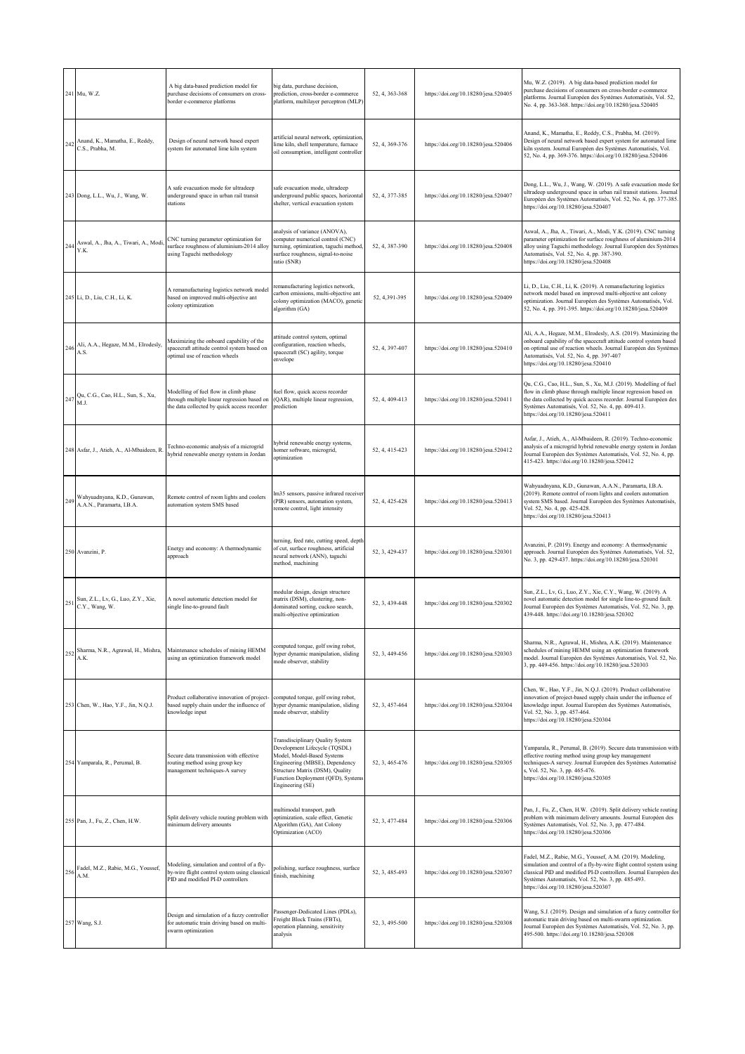|     | 241 Mu, W.Z.                                                  | A big data-based prediction model for<br>purchase decisions of consumers on cross-<br>porder e-commerce platforms                   | big data, purchase decision,<br>prediction, cross-border e-commerce<br>platform, multilayer perceptron (MLP)                                                                                                                   | 52, 4, 363-368 | https://doi.org/10.18280/jesa.520405 | Mu, W.Z. (2019). A big data-based prediction model for<br>purchase decisions of consumers on cross-border e-commerce<br>platforms. Journal Européen des Systèmes Automatisés, Vol. 52,<br>No. 4, pp. 363-368. https://doi.org/10.18280/jesa.520405                                                     |
|-----|---------------------------------------------------------------|-------------------------------------------------------------------------------------------------------------------------------------|--------------------------------------------------------------------------------------------------------------------------------------------------------------------------------------------------------------------------------|----------------|--------------------------------------|--------------------------------------------------------------------------------------------------------------------------------------------------------------------------------------------------------------------------------------------------------------------------------------------------------|
|     | 242 Anand, K., Mamatha, E., Reddy,<br>C.S., Prabha, M.        | Design of neural network based expert<br>system for automated lime kiln system                                                      | artificial neural network, optimization,<br>lime kiln, shell temperature, furnace<br>oil consumption, intelligent controller                                                                                                   | 52, 4, 369-376 | https://doi.org/10.18280/jesa.520406 | Anand, K., Mamatha, E., Reddy, C.S., Prabha, M. (2019).<br>Design of neural network based expert system for automated lime<br>kiln system. Journal Européen des Systèmes Automatisés, Vol.<br>52, No. 4, pp. 369-376. https://doi.org/10.18280/jesa.520406                                             |
|     | 243 Dong, L.L., Wu, J., Wang, W.                              | A safe evacuation mode for ultradeep<br>underground space in urban rail transit<br>stations                                         | safe evacuation mode, ultradeep<br>underground public spaces, horizontal<br>shelter, vertical evacuation system                                                                                                                | 52, 4, 377-385 | https://doi.org/10.18280/jesa.520407 | Dong, L.L., Wu, J., Wang, W. (2019). A safe evacuation mode for<br>altradeep underground space in urban rail transit stations. Journal<br>Européen des Systèmes Automatisés, Vol. 52, No. 4, pp. 377-385.<br>https://doi.org/10.18280/jesa.520407                                                      |
|     | 244 Aswal, A., Jha, A., Tiwari, A., Modi, Y.K.                | CNC turning parameter optimization for<br>surface roughness of aluminium-2014 alloy<br>using Taguchi methodology                    | analysis of variance (ANOVA),<br>computer numerical control (CNC)<br>turning, optimization, taguchi method,<br>surface roughness, signal-to-noise<br>ratio (SNR)                                                               | 52, 4, 387-390 | https://doi.org/10.18280/jesa.520408 | Aswal, A., Jha, A., Tiwari, A., Modi, Y.K. (2019). CNC turning<br>parameter optimization for surface roughness of aluminium-2014<br>alloy using Taguchi methodology. Journal Européen des Systèmes<br>Automatisés, Vol. 52, No. 4, pp. 387-390.<br>https://doi.org/10.18280/jesa.520408                |
|     | 245 Li, D., Liu, C.H., Li, K.                                 | A remanufacturing logistics network model<br>based on improved multi-objective ant<br>colony optimization                           | remanufacturing logistics network,<br>carbon emissions, multi-objective ant<br>colony optimization (MACO), genetic<br>algorithm (GA)                                                                                           | 52, 4, 391-395 | https://doi.org/10.18280/jesa.520409 | Li, D., Liu, C.H., Li, K. (2019). A remanufacturing logistics<br>network model based on improved multi-objective ant colony<br>optimization. Journal Européen des Systèmes Automatisés, Vol.<br>52, No. 4, pp. 391-395. https://doi.org/10.18280/jesa.520409                                           |
|     | 246 Ali, A.A., Hegaze, M.M., Elrodesly, A.S.                  | Maximizing the onboard capability of the<br>spacecraft attitude control system based on<br>optimal use of reaction wheels           | attitude control system, optimal<br>configuration, reaction wheels,<br>spacecraft (SC) agility, torque<br>envelope                                                                                                             | 52, 4, 397-407 | https://doi.org/10.18280/jesa.520410 | Ali, A.A., Hegaze, M.M., Elrodesly, A.S. (2019). Maximizing the<br>onboard capability of the spacecraft attitude control system based<br>on optimal use of reaction wheels. Journal Européen des Systèmes<br>Automatisés, Vol. 52, No. 4, pp. 397-407<br>https://doi.org/10.18280/jesa.520410          |
|     | 247 Qu, C.G., Cao, H.L., Sun, S., Xu,<br>M.J.                 | Modelling of fuel flow in climb phase<br>through multiple linear regression based on<br>the data collected by quick access recorder | fuel flow, quick access recorder<br>(QAR), multiple linear regression,<br>prediction                                                                                                                                           | 52, 4, 409-413 | https://doi.org/10.18280/jesa.520411 | Qu, C.G., Cao, H.L., Sun, S., Xu, M.J. (2019). Modelling of fuel<br>flow in climb phase through multiple linear regression based on<br>the data collected by quick access recorder. Journal Européen des<br>Systèmes Automatisés, Vol. 52, No. 4, pp. 409-413.<br>https://doi.org/10.18280/jesa.520411 |
|     | 248 Asfar, J., Atieh, A., Al-Mbaideen, R                      | Fechno-economic analysis of a microgrid<br>nybrid renewable energy system in Jordan                                                 | sybrid renewable energy systems,<br>nomer software, microgrid,<br>optimization                                                                                                                                                 | 52, 4, 415-423 | https://doi.org/10.18280/jesa.520412 | Asfar, J., Atieh, A., Al-Mbaideen, R. (2019). Techno-economic<br>analysis of a microgrid hybrid renewable energy system in Jordan<br>Journal Européen des Systèmes Automatisés, Vol. 52, No. 4, pp.<br>415-423. https://doi.org/10.18280/jesa.520412                                                   |
|     | 249 Wahyuadnyana, K.D., Gunawan,<br>A.A.N., Paramarta, I.B.A. | Remote control of room lights and coolers<br>automation system SMS based                                                            | m35 sensors, passive infrared receiver<br>(PIR) sensors, automation system,<br>remote control, light intensity                                                                                                                 | 52, 4, 425-428 | https://doi.org/10.18280/jesa.520413 | Wahyuadnyana, K.D., Gunawan, A.A.N., Paramarta, I.B.A.<br>(2019). Remote control of room lights and coolers automation<br>system SMS based. Journal Européen des Systèmes Automatisés,<br>Vol. 52, No. 4, pp. 425-428.<br>https://doi.org/10.18280/jesa.520413                                         |
|     | 250 Avanzini, P.                                              | Energy and economy: A thermodynamic<br>approach                                                                                     | turning, feed rate, cutting speed, depth<br>of cut, surface roughness, artificial<br>neural network (ANN), taguchi<br>method, machining                                                                                        | 52, 3, 429-437 | https://doi.org/10.18280/jesa.520301 | Avanzini, P. (2019). Energy and economy: A thermodynamic<br>approach. Journal Européen des Systèmes Automatisés, Vol. 52,<br>No. 3, pp. 429-437. https://doi.org/10.18280/jesa.520301                                                                                                                  |
|     | 251 Sun, Z.L., Lv, G., Luo, Z.Y., Xie, C.Y., Wang, W.         | A novel automatic detection model for<br>single line-to-ground fault                                                                | modular design, design structure<br>matrix (DSM), clustering, non-<br>dominated sorting, cuckoo search,<br>multi-objective optimization                                                                                        | 52, 3, 439-448 | https://doi.org/10.18280/jesa.520302 | Sun, Z.L., Lv, G., Luo, Z.Y., Xie, C.Y., Wang, W. (2019). A<br>novel automatic detection model for single line-to-ground fault.<br>Journal Européen des Systèmes Automatisés, Vol. 52, No. 3, pp.<br>439-448. https://doi.org/10.18280/jesa.520302                                                     |
| 252 | Sharma, N.R., Agrawal, H., Mishra,<br>A.K.                    | Maintenance schedules of mining HEMM<br>using an optimization framework model                                                       | computed torque, golf swing robot,<br>hyper dynamic manipulation, sliding<br>mode observer, stability                                                                                                                          | 52, 3, 449-456 | https://doi.org/10.18280/jesa.520303 | Sharma, N.R., Agrawal, H., Mishra, A.K. (2019). Maintenance<br>schedules of mining HEMM using an optimization framework<br>model. Journal Européen des Systèmes Automatisés, Vol. 52, No.<br>3, pp. 449-456. https://doi.org/10.18280/jesa.520303                                                      |
|     | 253 Chen, W., Hao, Y.F., Jin, N.Q.J.                          | Product collaborative innovation of project-<br>based supply chain under the influence of<br>knowledge input                        | computed torque, golf swing robot,<br>1yper dynamic manipulation, sliding<br>node observer, stability                                                                                                                          | 52, 3, 457-464 | https://doi.org/10.18280/jesa.520304 | Chen, W., Hao, Y.F., Jin, N.Q.J. (2019). Product collaborative<br>innovation of project-based supply chain under the influence of<br>knowledge input. Journal Européen des Systèmes Automatisés,<br>Vol. 52, No. 3, pp. 457-464.<br>https://doi.org/10.18280/jesa.520304                               |
|     | 254 Yamparala, R., Perumal, B.                                | Secure data transmission with effective<br>routing method using group key<br>management techniques-A survey                         | Transdisciplinary Quality System<br>Development Lifecycle (TQSDL)<br>Model, Model-Based Systems<br>Engineering (MBSE), Dependency<br>Structure Matrix (DSM), Quality<br>Function Deployment (QFD), Systems<br>Engineering (SE) | 52, 3, 465-476 | https://doi.org/10.18280/jesa.520305 | Yamparala, R., Perumal, B. (2019). Secure data transmission with<br>effective routing method using group key management<br>techniques-A survey. Journal Européen des Systèmes Automatisé<br>i, Vol. 52, No. 3, pp. 465-476.<br>https://doi.org/10.18280/jesa.520305                                    |
|     | 255 Pan, J., Fu, Z., Chen, H.W.                               | Split delivery vehicle routing problem with<br>minimum delivery amounts                                                             | multimodal transport, path<br>optimization, scale effect, Genetic<br>Algorithm (GA), Ant Colony<br>Optimization (ACO)                                                                                                          | 52, 3, 477-484 | https://doi.org/10.18280/jesa.520306 | Pan, J., Fu, Z., Chen, H.W. (2019). Split delivery vehicle routing<br>problem with minimum delivery amounts. Journal Européen des<br>Systèmes Automatisés, Vol. 52, No. 3, pp. 477-484.<br>https://doi.org/10.18280/jesa.520306                                                                        |
| 256 | Fadel, M.Z., Rabie, M.G., Youssef,<br>A.M.                    | Modeling, simulation and control of a fly-<br>by-wire flight control system using classical<br>PID and modified PI-D controllers    | polishing, surface roughness, surface<br>finish, machining                                                                                                                                                                     | 52, 3, 485-493 | https://doi.org/10.18280/jesa.520307 | Fadel, M.Z., Rabie, M.G., Youssef, A.M. (2019). Modeling,<br>simulation and control of a fly-by-wire flight control system using<br>classical PID and modified PI-D controllers. Journal Européen des<br>Systèmes Automatisés, Vol. 52, No. 3, pp. 485-493.<br>https://doi.org/10.18280/jesa.520307    |
|     | 257 Wang, S.J.                                                | Design and simulation of a fuzzy controller<br>for automatic train driving based on multi-<br>warm optimization                     | Passenger-Dedicated Lines (PDLs),<br>Freight Block Trains (FBTs),<br>operation planning, sensitivity<br>analysis                                                                                                               | 52, 3, 495-500 | https://doi.org/10.18280/jesa.520308 | Wang, S.J. (2019). Design and simulation of a fuzzy controller for<br>utomatic train driving based on multi-swarm optimization.<br>Journal Européen des Systèmes Automatisés, Vol. 52, No. 3, pp.<br>495-500. https://doi.org/10.18280/jesa.520308                                                     |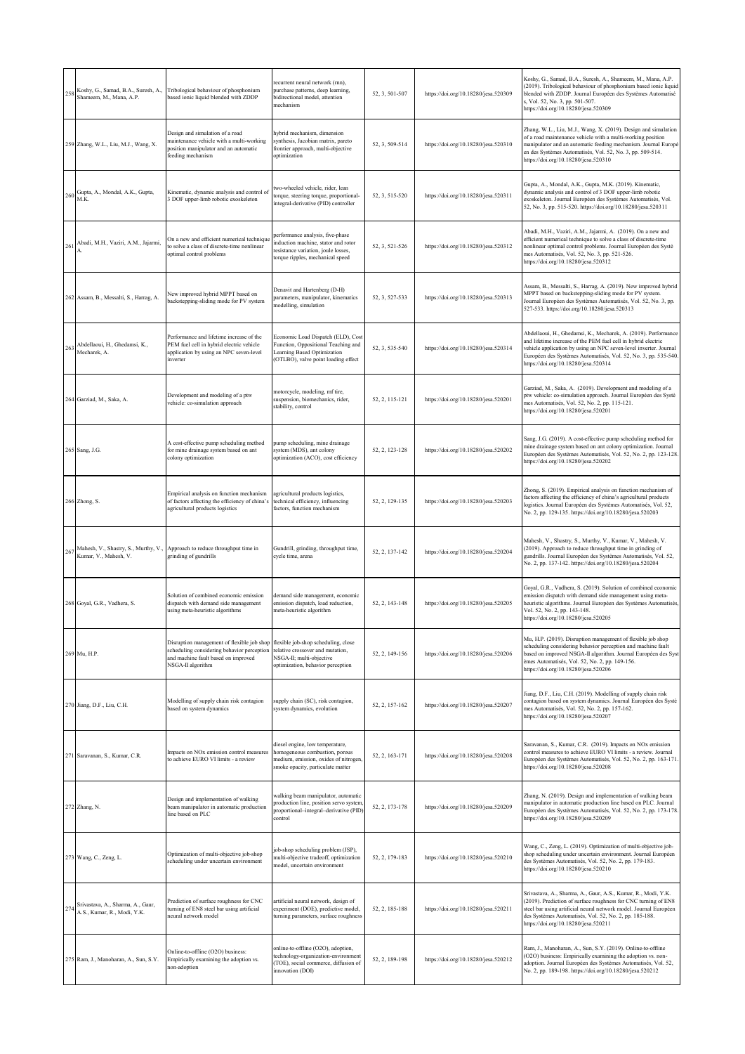| 258 | Koshy, G., Samad, B.A., Suresh, A.,<br>Shameem, M., Mana, A.P.    | Tribological behaviour of phosphonium<br>based ionic liquid blended with ZDDP                                                                                                            | ecurrent neural network (rnn),<br>purchase patterns, deep learning,<br>bidirectional model, attention<br>mechanism                                 | 52, 3, 501-507 | https://doi.org/10.18280/jesa.520309 | Koshy, G., Samad, B.A., Suresh, A., Shameem, M., Mana, A.P.<br>(2019). Tribological behaviour of phosphonium based ionic liquid<br>blended with ZDDP. Journal Européen des Systèmes Automatisé<br>s, Vol. 52, No. 3, pp. 501-507.<br>https://doi.org/10.18280/jesa.520309                                       |
|-----|-------------------------------------------------------------------|------------------------------------------------------------------------------------------------------------------------------------------------------------------------------------------|----------------------------------------------------------------------------------------------------------------------------------------------------|----------------|--------------------------------------|-----------------------------------------------------------------------------------------------------------------------------------------------------------------------------------------------------------------------------------------------------------------------------------------------------------------|
|     | 259 Zhang, W.L., Liu, M.J., Wang, X.                              | Design and simulation of a road<br>maintenance vehicle with a multi-working<br>oosition manipulator and an automatic<br>feeding mechanism                                                | nybrid mechanism, dimension<br>synthesis, Jacobian matrix, pareto<br>frontier approach, multi-objective<br>optimization                            | 52, 3, 509-514 | https://doi.org/10.18280/jesa.520310 | Zhang, W.L., Liu, M.J., Wang, X. (2019). Design and simulation<br>of a road maintenance vehicle with a multi-working position<br>manipulator and an automatic feeding mechanism. Journal Europé<br>en des Systèmes Automatisés, Vol. 52, No. 3, pp. 509-514.<br>https://doi.org/10.18280/jesa.520310            |
|     | 260 Gupta, A., Mondal, A.K., Gupta, M.K.                          | Kinematic, dynamic analysis and control of<br>3 DOF upper-limb robotic exoskeleton                                                                                                       | wo-wheeled vehicle, rider, lean<br>torque, steering torque, proportional-<br>integral-derivative (PID) controller                                  | 52, 3, 515-520 | https://doi.org/10.18280/jesa.520311 | Gupta, A., Mondal, A.K., Gupta, M.K. (2019). Kinematic,<br>dynamic analysis and control of 3 DOF upper-limb robotic<br>exoskeleton. Journal Européen des Systèmes Automatisés, Vol.<br>52, No. 3, pp. 515-520. https://doi.org/10.18280/jesa.520311                                                             |
| 261 | Abadi, M.H., Vaziri, A.M., Jajarmi,                               | On a new and efficient numerical technique<br>to solve a class of discrete-time nonlinear<br>optimal control problems                                                                    | performance analysis, five-phase<br>induction machine, stator and rotor<br>resistance variation, joule losses,<br>torque ripples, mechanical speed | 52, 3, 521-526 | https://doi.org/10.18280/jesa.520312 | Abadi, M.H., Vaziri, A.M., Jajarmi, A. (2019). On a new and<br>efficient numerical technique to solve a class of discrete-time<br>nonlinear optimal control problems. Journal Européen des Systè<br>mes Automatisés, Vol. 52, No. 3, pp. 521-526.<br>https://doi.org/10.18280/jesa.520312                       |
|     | 262 Assam, B., Messalti, S., Harrag, A.                           | New improved hybrid MPPT based on<br>backstepping-sliding mode for PV system                                                                                                             | Denavit and Hartenberg (D-H)<br>parameters, manipulator, kinematics<br>modelling, simulation                                                       | 52, 3, 527-533 | https://doi.org/10.18280/jesa.520313 | Assam, B., Messalti, S., Harrag, A. (2019). New improved hybrid<br>MPPT based on backstepping-sliding mode for PV system.<br>Journal Européen des Systèmes Automatisés, Vol. 52, No. 3, pp.<br>527-533. https://doi.org/10.18280/jesa.520313                                                                    |
| 263 | Abdellaoui, H., Ghedamsi, K.,<br>Mecharek, A.                     | Performance and lifetime increase of the<br>PEM fuel cell in hybrid electric vehicle<br>application by using an NPC seven-level<br>inverter                                              | Economic Load Dispatch (ELD), Cost<br>Function, Oppositional Teaching and<br>Learning Based Optimization<br>(OTLBO), valve point loading effect    | 52, 3, 535-540 | https://doi.org/10.18280/jesa.520314 | Abdellaoui, H., Ghedamsi, K., Mecharek, A. (2019). Performance<br>and lifetime increase of the PEM fuel cell in hybrid electric<br>vehicle application by using an NPC seven-level inverter. Journal<br>Européen des Systèmes Automatisés, Vol. 52, No. 3, pp. 535-540.<br>https://doi.org/10.18280/jesa.520314 |
|     | 264 Garziad, M., Saka, A.                                         | Development and modeling of a ptw<br>vehicle: co-simulation approach                                                                                                                     | motorcycle, modeling, mf tire,<br>suspension, biomechanics, rider,<br>stability, control                                                           | 52, 2, 115-121 | https://doi.org/10.18280/jesa.520201 | Garziad, M., Saka, A. (2019). Development and modeling of a<br>ptw vehicle: co-simulation approach. Journal Européen des Systè<br>mes Automatisés, Vol. 52, No. 2, pp. 115-121.<br>https://doi.org/10.18280/jesa.520201                                                                                         |
|     | 265 Sang, J.G.                                                    | A cost-effective pump scheduling method<br>for mine drainage system based on ant<br>colony optimization                                                                                  | pump scheduling, mine drainage<br>system (MDS), ant colony<br>optimization (ACO), cost efficiency                                                  | 52, 2, 123-128 | https://doi.org/10.18280/jesa.520202 | Sang, J.G. (2019). A cost-effective pump scheduling method for<br>mine drainage system based on ant colony optimization. Journal<br>Européen des Systèmes Automatisés, Vol. 52, No. 2, pp. 123-128.<br>https://doi.org/10.18280/jesa.520202                                                                     |
|     | 266 Zhong, S.                                                     | Empirical analysis on function mechanism<br>of factors affecting the efficiency of china's<br>agricultural products logistics                                                            | agricultural products logistics,<br>technical efficiency, influencing<br>factors, function mechanism                                               | 52, 2, 129-135 | https://doi.org/10.18280/jesa.520203 | Zhong, S. (2019). Empirical analysis on function mechanism of<br>factors affecting the efficiency of china's agricultural products<br>logistics. Journal Européen des Systèmes Automatisés, Vol. 52,<br>No. 2, pp. 129-135. https://doi.org/10.18280/jesa.520203                                                |
| 267 | Kumar, V., Mahesh, V.                                             | Mahesh, V., Shastry, S., Murthy, V., Approach to reduce throughput time in<br>grinding of gundrills                                                                                      | Gundrill, grinding, throughput time,<br>cycle time, arena                                                                                          | 52, 2, 137-142 | https://doi.org/10.18280/jesa.520204 | Mahesh, V., Shastry, S., Murthy, V., Kumar, V., Mahesh, V.<br>(2019). Approach to reduce throughput time in grinding of<br>gundrills. Journal Européen des Systèmes Automatisés, Vol. 52,<br>No. 2, pp. 137-142. https://doi.org/10.18280/jesa.520204                                                           |
|     | 268 Goyal, G.R., Vadhera, S.                                      | Solution of combined economic emission<br>dispatch with demand side management<br>using meta-heuristic algorithms                                                                        | demand side management, economic<br>emission dispatch, load reduction,<br>meta-heuristic algorithm                                                 | 52, 2, 143-148 | https://doi.org/10.18280/jesa.520205 | Goyal, G.R., Vadhera, S. (2019). Solution of combined economic<br>emission dispatch with demand side management using meta-<br>heuristic algorithms. Journal Européen des Systèmes Automatisés,<br>Vol. 52, No. 2, pp. 143-148.<br>https://doi.org/10.18280/jesa.520205                                         |
|     | 269 Mu, H.P.                                                      | Disruption management of flexible job shop flexible job-shop scheduling, close<br>scheduling considering behavior perception<br>and machine fault based on improved<br>NSGA-II algorithm | relative crossover and mutation,<br>NSGA-II; multi-objective<br>optimization, behavior perception                                                  | 52, 2, 149-156 | https://doi.org/10.18280/jesa.520206 | Mu, H.P. (2019). Disruption management of flexible job shop<br>scheduling considering behavior perception and machine fault<br>based on improved NSGA-II algorithm. Journal Européen des Syst<br>èmes Automatisés, Vol. 52, No. 2, pp. 149-156.<br>https://doi.org/10.18280/jesa.520206                         |
|     | 270 Jiang, D.F., Liu, C.H.                                        | Modelling of supply chain risk contagion<br>based on system dynamics                                                                                                                     | supply chain (SC), risk contagion,<br>system dynamics, evolution                                                                                   | 52, 2, 157-162 | https://doi.org/10.18280/jesa.520207 | Jiang, D.F., Liu, C.H. (2019). Modelling of supply chain risk<br>contagion based on system dynamics. Journal Européen des Systè<br>mes Automatisés, Vol. 52, No. 2, pp. 157-162.<br>https://doi.org/10.18280/jesa.520207                                                                                        |
|     | 271 Saravanan, S., Kumar, C.R.                                    | Impacts on NOx emission control measures<br>to achieve EURO VI limits - a review                                                                                                         | diesel engine, low temperature,<br>homogeneous combustion, porous<br>medium, emission, oxides of nitrogen<br>smoke opacity, particulate matter     | 52, 2, 163-171 | https://doi.org/10.18280/jesa.520208 | Saravanan, S., Kumar, C.R. (2019). Impacts on NOx emission<br>control measures to achieve EURO VI limits - a review. Journal<br>Européen des Systèmes Automatisés, Vol. 52, No. 2, pp. 163-171.<br>https://doi.org/10.18280/jesa.520208                                                                         |
|     | 272 Zhang, N.                                                     | Design and implementation of walking<br>beam manipulator in automatic production<br>line based on PLC                                                                                    | walking beam manipulator, automatic<br>production line, position servo system,<br>proportional-integral-derivative (PID)<br>control                | 52, 2, 173-178 | https://doi.org/10.18280/jesa.520209 | Zhang, N. (2019). Design and implementation of walking beam<br>manipulator in automatic production line based on PLC. Journal<br>Européen des Systèmes Automatisés, Vol. 52, No. 2, pp. 173-178.<br>https://doi.org/10.18280/jesa.520209                                                                        |
|     | 273 Wang, C., Zeng, L.                                            | Optimization of multi-objective job-shop<br>scheduling under uncertain environment                                                                                                       | ob-shop scheduling problem (JSP),<br>nulti-objective tradeoff, optimization<br>model, uncertain environment                                        | 52, 2, 179-183 | https://doi.org/10.18280/jesa.520210 | Wang, C., Zeng, L. (2019). Optimization of multi-objective job-<br>shop scheduling under uncertain environment. Journal Européen<br>des Systèmes Automatisés, Vol. 52, No. 2, pp. 179-183.<br>https://doi.org/10.18280/jesa.520210                                                                              |
|     | 274 Srivastava, A., Sharma, A., Gaur, A.S., Kumar, R., Modi, Y.K. | Prediction of surface roughness for CNC<br>turning of EN8 steel bar using artificial<br>neural network model                                                                             | artificial neural network, design of<br>experiment (DOE), predictive model,<br>turning parameters, surface roughness                               | 52, 2, 185-188 | https://doi.org/10.18280/jesa.520211 | Srivastava, A., Sharma, A., Gaur, A.S., Kumar, R., Modi, Y.K.<br>(2019). Prediction of surface roughness for CNC turning of EN8<br>steel bar using artificial neural network model. Journal Européen<br>des Systèmes Automatisés, Vol. 52, No. 2, pp. 185-188.<br>https://doi.org/10.18280/jesa.520211          |
|     | 275 Ram, J., Manoharan, A., Sun, S.Y.                             | Online-to-offline (O2O) business:<br>Empirically examining the adoption vs.<br>non-adoption                                                                                              | online-to-offline (O2O), adoption,<br>technology-organization-environment<br>TOE), social commerce, diffusion of<br>nnovation (DOI)                | 52, 2, 189-198 | https://doi.org/10.18280/jesa.520212 | Ram, J., Manoharan, A., Sun, S.Y. (2019). Online-to-offline<br>(O2O) business: Empirically examining the adoption vs. non-<br>adoption. Journal Européen des Systèmes Automatisés, Vol. 52,<br>No. 2, pp. 189-198. https://doi.org/10.18280/jesa.520212                                                         |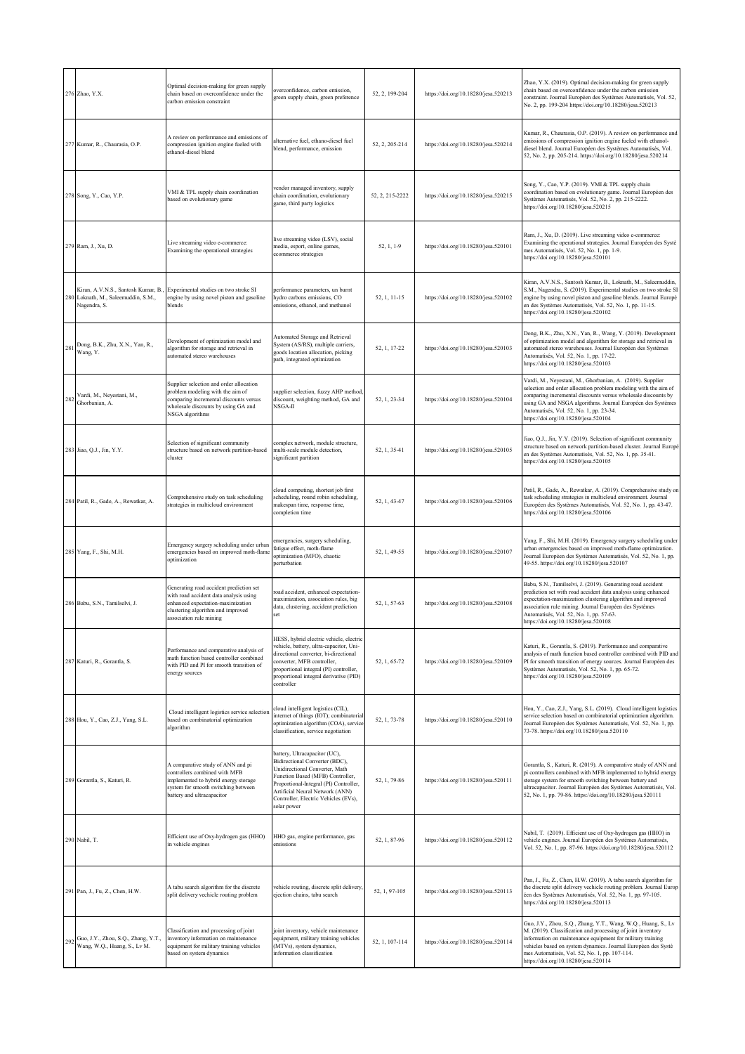|     | 276 Zhao, Y.X.                                                                             | Optimal decision-making for green supply<br>chain based on overconfidence under the<br>carbon emission constraint                                                                      | verconfidence, carbon emission,<br>green supply chain, green preference                                                                                                                                                                                                   | 52, 2, 199-204  | https://doi.org/10.18280/jesa.520213 | Zhao, Y.X. (2019). Optimal decision-making for green supply<br>chain based on overconfidence under the carbon emission<br>constraint. Journal Européen des Systèmes Automatisés, Vol. 52,<br>No. 2, pp. 199-204 https://doi.org/10.18280/jesa.520213                                                                                                 |
|-----|--------------------------------------------------------------------------------------------|----------------------------------------------------------------------------------------------------------------------------------------------------------------------------------------|---------------------------------------------------------------------------------------------------------------------------------------------------------------------------------------------------------------------------------------------------------------------------|-----------------|--------------------------------------|------------------------------------------------------------------------------------------------------------------------------------------------------------------------------------------------------------------------------------------------------------------------------------------------------------------------------------------------------|
|     | 277 Kumar, R., Chaurasia, O.P.                                                             | A review on performance and emissions of<br>compression ignition engine fueled with<br>ethanol-diesel blend                                                                            | alternative fuel, ethano-diesel fuel<br>blend, performance, emission                                                                                                                                                                                                      | 52, 2, 205-214  | https://doi.org/10.18280/jesa.520214 | Kumar, R., Chaurasia, O.P. (2019). A review on performance and<br>emissions of compression ignition engine fueled with ethanol-<br>diesel blend. Journal Européen des Systèmes Automatisés, Vol.<br>52, No. 2, pp. 205-214. https://doi.org/10.18280/jesa.520214                                                                                     |
|     | 278 Song, Y., Cao, Y.P.                                                                    | VMI & TPL supply chain coordination<br>based on evolutionary game                                                                                                                      | vendor managed inventory, supply<br>chain coordination, evolutionary<br>game, third party logistics                                                                                                                                                                       | 52, 2, 215-2222 | https://doi.org/10.18280/jesa.520215 | Song, Y., Cao, Y.P. (2019). VMI & TPL supply chain<br>coordination based on evolutionary game. Journal Européen des<br>Systèmes Automatisés, Vol. 52, No. 2, pp. 215-2222.<br>https://doi.org/10.18280/jesa.520215                                                                                                                                   |
|     | 279 Ram, J., Xu, D.                                                                        | Live streaming video e-commerce:<br>Examining the operational strategies                                                                                                               | live streaming video (LSV), social<br>media, esport, online games,<br>ecommerce strategies                                                                                                                                                                                | 52, 1, 1-9      | https://doi.org/10.18280/jesa.520101 | Ram, J., Xu, D. (2019). Live streaming video e-commerce:<br>Examining the operational strategies. Journal Européen des Systè<br>mes Automatisés, Vol. 52, No. 1, pp. 1-9.<br>https://doi.org/10.18280/jesa.520101                                                                                                                                    |
|     | Kiran, A.V.N.S., Santosh Kumar, B.,<br>280 Loknath, M., Saleemuddin, S.M.,<br>Nagendra, S. | Experimental studies on two stroke SI<br>engine by using novel piston and gasoline<br>blends                                                                                           | performance parameters, un burnt<br>hydro carbons emissions, CO<br>emissions, ethanol, and methanol                                                                                                                                                                       | 52, 1, 11-15    | https://doi.org/10.18280/jesa.520102 | Kiran, A.V.N.S., Santosh Kumar, B., Loknath, M., Saleemuddin,<br>S.M., Nagendra, S. (2019). Experimental studies on two stroke SI<br>engine by using novel piston and gasoline blends. Journal Europé<br>en des Systèmes Automatisés, Vol. 52, No. 1, pp. 11-15.<br>https://doi.org/10.18280/jesa.520102                                             |
|     | 281 Dong, B.K., Zhu, X.N., Yan, R., Wang, Y.                                               | Development of optimization model and<br>algorithm for storage and retrieval in<br>automated stereo warehouses                                                                         | Automated Storage and Retrieval<br>System (AS/RS), multiple carriers,<br>goods location allocation, picking<br>path, integrated optimization                                                                                                                              | 52, 1, 17-22    | https://doi.org/10.18280/jesa.520103 | Dong, B.K., Zhu, X.N., Yan, R., Wang, Y. (2019). Development<br>of optimization model and algorithm for storage and retrieval in<br>automated stereo warehouses. Journal Européen des Systèmes<br>Automatisés, Vol. 52, No. 1, pp. 17-22.<br>https://doi.org/10.18280/jesa.520103                                                                    |
| 282 | Vardi, M., Neyestani, M.,<br>Ghorbanian, A.                                                | Supplier selection and order allocation<br>problem modeling with the aim of<br>comparing incremental discounts versus<br>wholesale discounts by using GA and<br>NSGA algorithms        | supplier selection, fuzzy AHP method,<br>discount, weighting method, GA and<br>NSGA-II                                                                                                                                                                                    | 52, 1, 23-34    | https://doi.org/10.18280/jesa.520104 | Vardi, M., Neyestani, M., Ghorbanian, A. (2019). Supplier<br>selection and order allocation problem modeling with the aim of<br>comparing incremental discounts versus wholesale discounts by<br>using GA and NSGA algorithms. Journal Européen des Systèmes<br>Automatisés, Vol. 52, No. 1, pp. 23-34.<br>https://doi.org/10.18280/jesa.520104      |
|     | 283 Jiao, Q.J., Jin, Y.Y.                                                                  | Selection of significant community<br>structure based on network partition-based<br>cluster                                                                                            | complex network, module structure,<br>multi-scale module detection,<br>significant partition                                                                                                                                                                              | 52, 1, 35-41    | https://doi.org/10.18280/jesa.520105 | Jiao, Q.J., Jin, Y.Y. (2019). Selection of significant community<br>structure based on network partition-based cluster. Journal Europé<br>en des Systèmes Automatisés, Vol. 52, No. 1, pp. 35-41.<br>https://doi.org/10.18280/jesa.520105                                                                                                            |
|     | 284 Patil, R., Gade, A., Rewatkar, A.                                                      | Comprehensive study on task scheduling<br>strategies in multicloud environment                                                                                                         | cloud computing, shortest job first<br>scheduling, round robin scheduling,<br>makespan time, response time,<br>completion time                                                                                                                                            | 52, 1, 43-47    | https://doi.org/10.18280/jesa.520106 | Patil, R., Gade, A., Rewatkar, A. (2019). Comprehensive study on<br>task scheduling strategies in multicloud environment. Journal<br>Européen des Systèmes Automatisés, Vol. 52, No. 1, pp. 43-47.<br>https://doi.org/10.18280/jesa.520106                                                                                                           |
|     | 285 Yang, F., Shi, M.H.                                                                    | Emergency surgery scheduling under urban<br>emergencies based on improved moth-flame<br>ptimization                                                                                    | emergencies, surgery scheduling,<br>fatigue effect, moth-flame<br>optimization (MFO), chaotic<br>perturbation                                                                                                                                                             | 52, 1, 49-55    | https://doi.org/10.18280/jesa.520107 | Yang, F., Shi, M.H. (2019). Emergency surgery scheduling under<br>arban emergencies based on improved moth-flame optimization.<br>Journal Européen des Systèmes Automatisés, Vol. 52, No. 1, pp.<br>49-55. https://doi.org/10.18280/jesa.520107                                                                                                      |
|     | 286 Babu, S.N., Tamilselvi, J.                                                             | Generating road accident prediction set<br>with road accident data analysis using<br>enhanced expectation-maximization<br>clustering algorithm and improved<br>association rule mining | oad accident, enhanced expectation-<br>maximization, association rules, big<br>data, clustering, accident prediction<br>set                                                                                                                                               | 52, 1, 57-63    | https://doi.org/10.18280/jesa.520108 | Babu, S.N., Tamilselvi, J. (2019). Generating road accident<br>prediction set with road accident data analysis using enhanced<br>expectation-maximization clustering algorithm and improved<br>association rule mining. Journal Européen des Systèmes<br>Automatisés, Vol. 52, No. 1, pp. 57-63.<br>https://doi.org/10.18280/jesa.520108             |
|     | 287 Katuri, R., Gorantla, S.                                                               | Performance and comparative analysis of<br>nath function based controller combined<br>with PID and PI for smooth transition of<br>energy sources                                       | HESS, hybrid electric vehicle, electric<br>vehicle, battery, ultra-capacitor, Uni-<br>directional converter, bi-directional<br>converter, MFB controller,<br>proportional integral (PI) controller,<br>proportional integral derivative (PID)<br>controller               | 52.1.65-72      | https://doi.org/10.18280/jesa.520109 | Katuri, R., Gorantla, S. (2019). Performance and comparative<br>analysis of math function based controller combined with PID and<br>PI for smooth transition of energy sources. Journal Européen des<br>Systèmes Automatisés, Vol. 52, No. 1, pp. 65-72.<br>https://doi.org/10.18280/jesa.520109                                                     |
|     | 288 Hou, Y., Cao, Z.J., Yang, S.L.                                                         | Cloud intelligent logistics service selection<br>based on combinatorial optimization<br>algorithm                                                                                      | cloud intelligent logistics (CIL),<br>internet of things (IOT); combinatorial<br>optimization algorithm (COA), service<br>classification, service negotiation                                                                                                             | 52, 1, 73-78    | https://doi.org/10.18280/jesa.520110 | Hou, Y., Cao, Z.J., Yang, S.L. (2019). Cloud intelligent logistics<br>service selection based on combinatorial optimization algorithm.<br>Journal Européen des Systèmes Automatisés, Vol. 52, No. 1, pp.<br>73-78. https://doi.org/10.18280/jesa.520110                                                                                              |
|     | 289 Gorantla, S., Katuri, R.                                                               | A comparative study of ANN and pi<br>controllers combined with MFB<br>mplemented to hybrid energy storage<br>system for smooth switching between<br>battery and ultracapacitor         | battery, Ultracapacitor (UC),<br>Bidirectional Converter (BDC),<br>Unidirectional Converter, Math<br>Function Based (MFB) Controller,<br>Proportional-Integral (PI) Controller,<br>Artificial Neural Network (ANN)<br>Controller, Electric Vehicles (EVs),<br>solar power | 52, 1, 79-86    | https://doi.org/10.18280/jesa.520111 | Gorantla, S., Katuri, R. (2019). A comparative study of ANN and<br>pi controllers combined with MFB implemented to hybrid energy<br>storage system for smooth switching between battery and<br>ultracapacitor. Journal Européen des Systèmes Automatisés, Vol.<br>52, No. 1, pp. 79-86. https://doi.org/10.18280/jesa.520111                         |
|     | 290 Nabil, T.                                                                              | Efficient use of Oxy-hydrogen gas (HHO)<br>in vehicle engines                                                                                                                          | HHO gas, engine performance, gas<br>emissions                                                                                                                                                                                                                             | 52, 1, 87-96    | https://doi.org/10.18280/jesa.520112 | Nabil, T. (2019). Efficient use of Oxy-hydrogen gas (HHO) in<br>vehicle engines. Journal Européen des Systèmes Automatisés,<br>Vol. 52, No. 1, pp. 87-96. https://doi.org/10.18280/jesa.520112                                                                                                                                                       |
|     | 291 Pan, J., Fu, Z., Chen, H.W.                                                            | A tabu search algorithm for the discrete<br>split delivery vechicle routing problem                                                                                                    | vehicle routing, discrete split delivery,<br>ejection chains, tabu search                                                                                                                                                                                                 | 52, 1, 97-105   | https://doi.org/10.18280/jesa.520113 | Pan, J., Fu, Z., Chen, H.W. (2019). A tabu search algorithm for<br>the discrete split delivery vechicle routing problem. Journal Europ<br>éen des Systèmes Automatisés, Vol. 52, No. 1, pp. 97-105.<br>https://doi.org/10.18280/jesa.520113                                                                                                          |
|     | 292 Guo, J.Y., Zhou, S.Q., Zhang, Y.T., Wang, W.Q., Huang, S., Lv M.                       | Classification and processing of joint<br>inventory information on maintenance<br>equipment for military training vehicles<br>based on system dynamics                                 | oint inventory, vehicle maintenance<br>equipment, military training vehicles<br>(MTVs), system dynamics,<br>information classification                                                                                                                                    | 52, 1, 107-114  | https://doi.org/10.18280/jesa.520114 | Guo, J.Y., Zhou, S.Q., Zhang, Y.T., Wang, W.Q., Huang, S., Lv<br>M. (2019). Classification and processing of joint inventory<br>information on maintenance equipment for military training<br>vehicles based on system dynamics. Journal Européen des Systè<br>mes Automatisés, Vol. 52, No. 1, pp. 107-114.<br>https://doi.org/10.18280/jesa.520114 |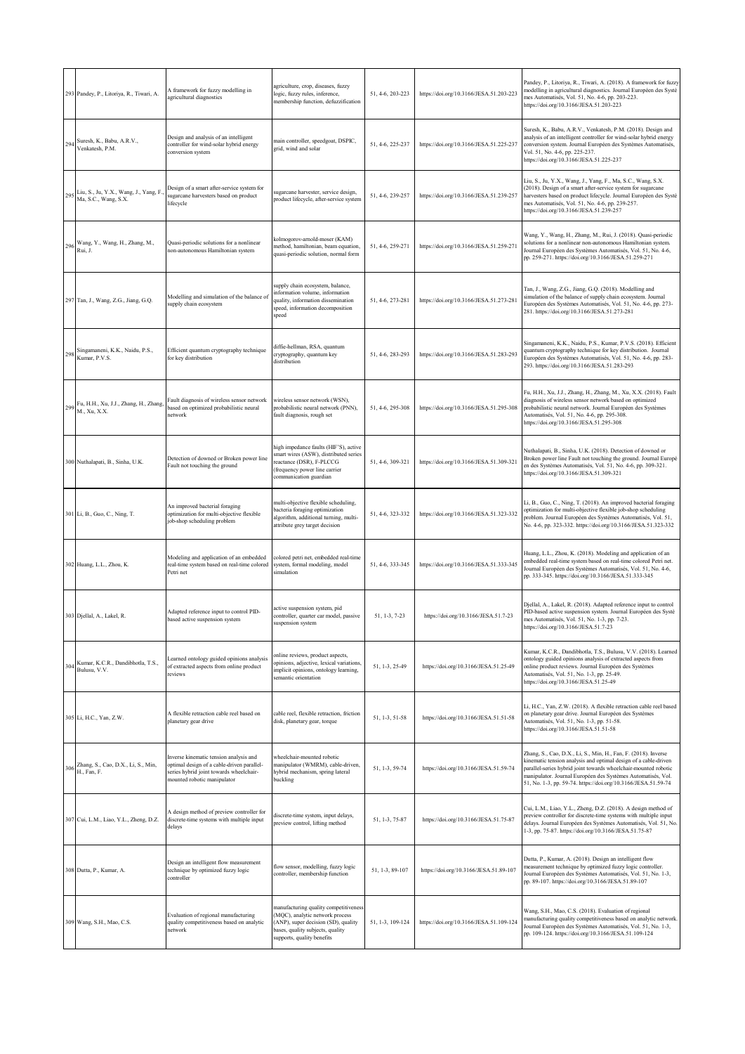|     | 293 Pandey, P., Litoriya, R., Tiwari, A.                          | A framework for fuzzy modelling in<br>agricultural diagnostics                                                                                                 | agriculture, crop, diseases, fuzzy<br>ogic, fuzzy rules, inference,<br>membership function, defuzzification                                                                       | 51, 4-6, 203-223 | https://doi.org/10.3166/JESA.51.203-223 | Pandey, P., Litoriya, R., Tiwari, A. (2018). A framework for fuzzy<br>modelling in agricultural diagnostics. Journal Européen des Systè<br>mes Automatisés, Vol. 51, No. 4-6, pp. 203-223.<br>https://doi.org/10.3166/JESA.51.203-223                                                                                                 |
|-----|-------------------------------------------------------------------|----------------------------------------------------------------------------------------------------------------------------------------------------------------|-----------------------------------------------------------------------------------------------------------------------------------------------------------------------------------|------------------|-----------------------------------------|---------------------------------------------------------------------------------------------------------------------------------------------------------------------------------------------------------------------------------------------------------------------------------------------------------------------------------------|
| 294 | Suresh, K., Babu, A.R.V.,<br>Venkatesh, P.M.                      | Design and analysis of an intelligent<br>controller for wind-solar hybrid energy<br>conversion system                                                          | main controller, speedgoat, DSPIC,<br>grid, wind and solar                                                                                                                        | 51, 4-6, 225-237 | https://doi.org/10.3166/JESA.51.225-237 | Suresh, K., Babu, A.R.V., Venkatesh, P.M. (2018). Design and<br>analysis of an intelligent controller for wind-solar hybrid energy<br>conversion system. Journal Européen des Systèmes Automatisés,<br>Vol. 51, No. 4-6, pp. 225-237.<br>https://doi.org/10.3166/JESA.51.225-237                                                      |
|     | 295 Liu, S., Ju, Y.X., Wang, J., Yang, F.<br>Ma, S.C., Wang, S.X. | Design of a smart after-service system for<br>sugarcane harvesters based on product<br>lifecycle                                                               | sugarcane harvester, service design,<br>product lifecycle, after-service system                                                                                                   | 51, 4-6, 239-257 | https://doi.org/10.3166/JESA.51.239-257 | Liu, S., Ju, Y.X., Wang, J., Yang, F., Ma, S.C., Wang, S.X.<br>(2018). Design of a smart after-service system for sugarcane<br>harvesters based on product lifecycle. Journal Européen des Systè<br>mes Automatisés, Vol. 51, No. 4-6, pp. 239-257.<br>https://doi.org/10.3166/JESA.51.239-257                                        |
|     | 296 Wang, Y., Wang, H., Zhang, M., Rui, J.                        | Quasi-periodic solutions for a nonlinear<br>non-autonomous Hamiltonian system                                                                                  | kolmogorov-arnold-moser (KAM)<br>method, hamiltonian, beam equation,<br>quasi-periodic solution, normal form                                                                      | 51, 4-6, 259-271 | https://doi.org/10.3166/JESA.51.259-271 | Wang, Y., Wang, H., Zhang, M., Rui, J. (2018). Quasi-periodic<br>solutions for a nonlinear non-autonomous Hamiltonian system.<br>Journal Européen des Systèmes Automatisés, Vol. 51, No. 4-6,<br>pp. 259-271. https://doi.org/10.3166/JESA.51.259-271                                                                                 |
|     | 297 Tan, J., Wang, Z.G., Jiang, G.Q.                              | Modelling and simulation of the balance of<br>supply chain ecosystem                                                                                           | supply chain ecosystem, balance,<br>nformation volume, information<br>quality, information dissemination<br>speed, information decomposition<br>speed                             | 51, 4-6, 273-281 | https://doi.org/10.3166/JESA.51.273-281 | Tan, J., Wang, Z.G., Jiang, G.Q. (2018). Modelling and<br>simulation of the balance of supply chain ecosystem. Journal<br>Européen des Systèmes Automatisés, Vol. 51, No. 4-6, pp. 273-<br>281. https://doi.org/10.3166/JESA.51.273-281                                                                                               |
| 298 | Singamaneni, K.K., Naidu, P.S.,<br>Kumar, P.V.S.                  | Efficient quantum cryptography technique<br>for key distribution                                                                                               | diffie-hellman, RSA, quantum<br>cryptography, quantum key<br>distribution                                                                                                         | 51, 4-6, 283-293 | https://doi.org/10.3166/JESA.51.283-293 | Singamaneni, K.K., Naidu, P.S., Kumar, P.V.S. (2018). Efficient<br>quantum cryptography technique for key distribution. Journal<br>Européen des Systèmes Automatisés, Vol. 51, No. 4-6, pp. 283-<br>293. https://doi.org/10.3166/JESA.51.283-293                                                                                      |
|     | 299 Fu, H.H., Xu, J.J., Zhang, H., Zhang, M., Xu, X.X.            | Fault diagnosis of wireless sensor network<br>based on optimized probabilistic neural<br>network                                                               | wireless sensor network (WSN),<br>probabilistic neural network (PNN),<br>fault diagnosis, rough set                                                                               | 51, 4-6, 295-308 | https://doi.org/10.3166/JESA.51.295-308 | Fu, H.H., Xu, J.J., Zhang, H., Zhang, M., Xu, X.X. (2018). Fault<br>diagnosis of wireless sensor network based on optimized<br>probabilistic neural network. Journal Européen des Systèmes<br>Automatisés, Vol. 51, No. 4-6, pp. 295-308.<br>https://doi.org/10.3166/JESA.51.295-308                                                  |
|     | 300 Nuthalapati, B., Sinha, U.K.                                  | Detection of downed or Broken power line<br>Fault not touching the ground                                                                                      | nigh impedance faults (HIF'S), active<br>smart wires (ASW), distributed series<br>reactance (DSR), F-PLCCG<br>frequency power line carrier<br>communication guardian              | 51, 4-6, 309-321 | https://doi.org/10.3166/JESA.51.309-321 | Nuthalapati, B., Sinha, U.K. (2018). Detection of downed or<br>Broken power line Fault not touching the ground. Journal Europé<br>en des Systèmes Automatisés, Vol. 51, No. 4-6, pp. 309-321.<br>https://doi.org/10.3166/JESA.51.309-321                                                                                              |
|     | 301 Li, B., Guo, C., Ning, T.                                     | An improved bacterial foraging<br>optimization for multi-objective flexible<br>job-shop scheduling problem                                                     | multi-objective flexible scheduling,<br>vacteria foraging optimization<br>algorithm, additional turning, multi-<br>attribute grey target decision                                 | 51, 4-6, 323-332 | https://doi.org/10.3166/JESA.51.323-332 | Li, B., Guo, C., Ning, T. (2018). An improved bacterial foraging<br>optimization for multi-objective flexible job-shop scheduling<br>problem. Journal Européen des Systèmes Automatisés, Vol. 51,<br>No. 4-6, pp. 323-332. https://doi.org/10.3166/JESA.51.323-332                                                                    |
|     | 302 Huang, L.L., Zhou, K.                                         | Modeling and application of an embedded<br>real-time system based on real-time colored<br>Petri net                                                            | colored petri net, embedded real-time<br>system, formal modeling, model<br>simulation                                                                                             | 51, 4-6, 333-345 | https://doi.org/10.3166/JESA.51.333-345 | Huang, L.L., Zhou, K. (2018). Modeling and application of an<br>embedded real-time system based on real-time colored Petri net.<br>Journal Européen des Systèmes Automatisés, Vol. 51, No. 4-6,<br>pp. 333-345. https://doi.org/10.3166/JESA.51.333-345                                                                               |
|     | 303 Djellal, A., Lakel, R.                                        | Adapted reference input to control PID-<br>based active suspension system                                                                                      | active suspension system, pid<br>controller, quarter car model, passive<br>suspension system                                                                                      | 51, 1-3, 7-23    | https://doi.org/10.3166/JESA.51.7-23    | Djellal, A., Lakel, R. (2018). Adapted reference input to control<br>PID-based active suspension system. Journal Européen des Systè<br>mes Automatisés, Vol. 51, No. 1-3, pp. 7-23.<br>https://doi.org/10.3166/JESA.51.7-23                                                                                                           |
|     | 304 Kumar, K.C.R., Dandibhotla, T.S.,<br>Bulusu, V.V.             | Learned ontology guided opinions analysis<br>of extracted aspects from online product<br>reviews                                                               | online reviews, product aspects,<br>opinions, adjective, lexical variations,<br>implicit opinions, ontology learning,<br>semantic orientation                                     | 51, 1-3, 25-49   | https://doi.org/10.3166/JESA.51.25-49   | Kumar, K.C.R., Dandibhotla, T.S., Bulusu, V.V. (2018). Learned<br>ontology guided opinions analysis of extracted aspects from<br>online product reviews. Journal Européen des Systèmes<br>Automatisés, Vol. 51, No. 1-3, pp. 25-49.<br>https://doi.org/10.3166/JESA.51.25-49                                                          |
|     | 305 Li, H.C., Yan, Z.W.                                           | A flexible retraction cable reel based on<br>planetary gear drive                                                                                              | cable reel, flexible retraction, friction<br>disk, planetary gear, torque                                                                                                         | 51, 1-3, 51-58   | https://doi.org/10.3166/JESA.51.51-58   | Li, H.C., Yan, Z.W. (2018). A flexible retraction cable reel based<br>on planetary gear drive. Journal Européen des Systèmes<br>Automatisés, Vol. 51, No. 1-3, pp. 51-58.<br>https://doi.org/10.3166/JESA.51.51-58                                                                                                                    |
| 306 | Zhang, S., Cao, D.X., Li, S., Min,<br>H., Fan, F.                 | Inverse kinematic tension analysis and<br>optimal design of a cable-driven parallel-<br>series hybrid joint towards wheelchair-<br>mounted robotic manipulator | wheelchair-mounted robotic<br>manipulator (WMRM), cable-driven.<br>hybrid mechanism, spring lateral<br>buckling                                                                   | 51, 1-3, 59-74   | https://doi.org/10.3166/JESA.51.59-74   | Zhang, S., Cao, D.X., Li, S., Min, H., Fan, F. (2018). Inverse<br>kinematic tension analysis and optimal design of a cable-driven<br>parallel-series hybrid joint towards wheelchair-mounted robotic<br>manipulator. Journal Européen des Systèmes Automatisés, Vol.<br>51, No. 1-3, pp. 59-74. https://doi.org/10.3166/JESA.51.59-74 |
|     | 307 Cui, L.M., Liao, Y.L., Zheng, D.Z.                            | A design method of preview controller for<br>discrete-time systems with multiple input<br>delays                                                               | discrete-time system, input delays,<br>preview control, lifting method                                                                                                            | 51, 1-3, 75-87   | https://doi.org/10.3166/JESA.51.75-87   | Cui, L.M., Liao, Y.L., Zheng, D.Z. (2018). A design method of<br>preview controller for discrete-time systems with multiple input<br>delays. Journal Européen des Systèmes Automatisés, Vol. 51, No.<br>1-3, pp. 75-87. https://doi.org/10.3166/JESA.51.75-87                                                                         |
|     | 308 Dutta, P., Kumar, A.                                          | Design an intelligent flow measurement<br>technique by optimized fuzzy logic<br>controller                                                                     | flow sensor, modelling, fuzzy logic<br>controller, membership function                                                                                                            | 51, 1-3, 89-107  | https://doi.org/10.3166/JESA.51.89-107  | Dutta, P., Kumar, A. (2018). Design an intelligent flow<br>measurement technique by optimized fuzzy logic controller.<br>Journal Européen des Systèmes Automatisés, Vol. 51, No. 1-3,<br>pp. 89-107. https://doi.org/10.3166/JESA.51.89-107                                                                                           |
|     | 309 Wang, S.H., Mao, C.S.                                         | Evaluation of regional manufacturing<br>quality competitiveness based on analytic<br>network                                                                   | manufacturing quality competitiveness<br>(MQC), analytic network process<br>(ANP), super decision (SD), quality<br>pases, quality subjects, quality<br>supports, quality benefits | 51, 1-3, 109-124 | https://doi.org/10.3166/JESA.51.109-124 | Wang, S.H., Mao, C.S. (2018). Evaluation of regional<br>manufacturing quality competitiveness based on analytic network.<br>Journal Européen des Systèmes Automatisés, Vol. 51, No. 1-3,<br>pp. 109-124. https://doi.org/10.3166/JESA.51.109-124                                                                                      |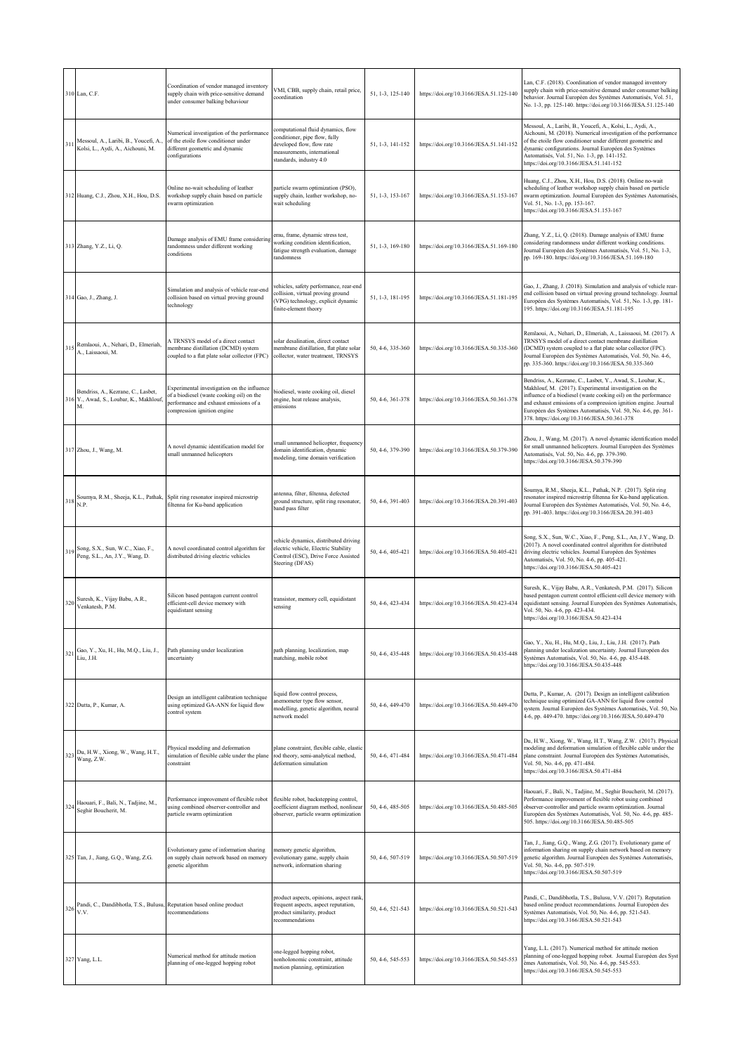|     | 310 Lan, C.F.                                                                       | Coordination of vendor managed inventory<br>supply chain with price-sensitive demand<br>under consumer balking behaviour                                          | VMI, CBB, supply chain, retail price,<br>coordination                                                                                                      | 51, 1-3, 125-140 | https://doi.org/10.3166/JESA.51.125-140 | Lan, C.F. (2018). Coordination of vendor managed inventory<br>supply chain with price-sensitive demand under consumer balking<br>behavior. Journal Européen des Systèmes Automatisés, Vol. 51,<br>No. 1-3, pp. 125-140. https://doi.org/10.3166/JESA.51.125-140                                                                                                               |
|-----|-------------------------------------------------------------------------------------|-------------------------------------------------------------------------------------------------------------------------------------------------------------------|------------------------------------------------------------------------------------------------------------------------------------------------------------|------------------|-----------------------------------------|-------------------------------------------------------------------------------------------------------------------------------------------------------------------------------------------------------------------------------------------------------------------------------------------------------------------------------------------------------------------------------|
| 311 | Messoul, A., Laribi, B., Youcefi, A.<br>Kolsi, L., Aydi, A., Aichouni, M.           | Numerical investigation of the performance<br>of the etoile flow conditioner under<br>different geometric and dynamic<br>configurations                           | computational fluid dynamics, flow<br>conditioner, pipe flow, fully<br>developed flow, flow rate<br>measurements, international<br>standards, industry 4.0 | 51, 1-3, 141-152 | https://doi.org/10.3166/JESA.51.141-152 | Messoul, A., Laribi, B., Youcefi, A., Kolsi, L., Aydi, A.,<br>Aichouni, M. (2018). Numerical investigation of the performance<br>of the etoile flow conditioner under different geometric and<br>dynamic configurations. Journal Européen des Systèmes<br>Automatisés, Vol. 51, No. 1-3, pp. 141-152.<br>https://doi.org/10.3166/JESA.51.141-152                              |
|     | 312 Huang, C.J., Zhou, X.H., Hou, D.S.                                              | Online no-wait scheduling of leather<br>workshop supply chain based on particle<br>swarm optimization                                                             | particle swarm optimization (PSO),<br>supply chain, leather workshop, no-<br>wait scheduling                                                               | 51, 1-3, 153-167 | https://doi.org/10.3166/JESA.51.153-167 | Huang, C.J., Zhou, X.H., Hou, D.S. (2018). Online no-wait<br>scheduling of leather workshop supply chain based on particle<br>swarm optimization. Journal Européen des Systèmes Automatisés,<br>Vol. 51, No. 1-3, pp. 153-167.<br>https://doi.org/10.3166/JESA.51.153-167                                                                                                     |
|     | 313 Zhang, Y.Z., Li, Q.                                                             | Damage analysis of EMU frame considering<br>randomness under different working<br>conditions                                                                      | emu, frame, dynamic stress test,<br>working condition identification,<br>fatigue strength evaluation, damage<br>randomness                                 | 51, 1-3, 169-180 | https://doi.org/10.3166/JESA.51.169-180 | Zhang, Y.Z., Li, Q. (2018). Damage analysis of EMU frame<br>considering randomness under different working conditions.<br>Journal Européen des Systèmes Automatisés, Vol. 51, No. 1-3,<br>pp. 169-180. https://doi.org/10.3166/JESA.51.169-180                                                                                                                                |
|     | 314 Gao, J., Zhang, J.                                                              | Simulation and analysis of vehicle rear-end<br>collision based on virtual proving ground<br>technology                                                            | vehicles, safety performance, rear-end<br>collision, virtual proving ground<br>VPG) technology, explicit dynamic<br>finite-element theory                  | 51, 1-3, 181-195 | https://doi.org/10.3166/JESA.51.181-195 | Gao, J., Zhang, J. (2018). Simulation and analysis of vehicle rear-<br>end collision based on virtual proving ground technology. Journal<br>Européen des Systèmes Automatisés, Vol. 51, No. 1-3, pp. 181-<br>195. https://doi.org/10.3166/JESA.51.181-195                                                                                                                     |
|     | 315 Remlaoui, A., Nehari, D., Elmeriah,<br>A., Laissaoui, M.                        | A TRNSYS model of a direct contact<br>nembrane distillation (DCMD) system<br>coupled to a flat plate solar collector (FPC)                                        | solar desalination, direct contact<br>membrane distillation, flat plate solar<br>collector, water treatment, TRNSYS                                        | 50, 4-6, 335-360 | https://doi.org/10.3166/JESA.50.335-360 | Remlaoui, A., Nehari, D., Elmeriah, A., Laissaoui, M. (2017). A<br>TRNSYS model of a direct contact membrane distillation<br>(DCMD) system coupled to a flat plate solar collector (FPC).<br>Journal Européen des Systèmes Automatisés, Vol. 50, No. 4-6,<br>pp. 335-360. https://doi.org/10.3166/JESA.50.335-360                                                             |
|     | Bendriss, A., Kezrane, C., Lasbet,<br>316 Y., Awad, S., Loubar, K., Makhlouf,<br>Μ. | Experimental investigation on the influence<br>of a biodiesel (waste cooking oil) on the<br>performance and exhaust emissions of a<br>compression ignition engine | biodiesel, waste cooking oil, diesel<br>engine, heat release analysis,<br>emissions                                                                        | 50, 4-6, 361-378 | https://doi.org/10.3166/JESA.50.361-378 | Bendriss, A., Kezrane, C., Lasbet, Y., Awad, S., Loubar, K.,<br>Makhlouf, M. (2017). Experimental investigation on the<br>influence of a biodiesel (waste cooking oil) on the performance<br>and exhaust emissions of a compression ignition engine. Journal<br>Européen des Systèmes Automatisés, Vol. 50, No. 4-6, pp. 361-<br>378. https://doi.org/10.3166/JESA.50.361-378 |
|     | 317 Zhou, J., Wang, M.                                                              | A novel dynamic identification model for<br>small unmanned helicopters                                                                                            | small unmanned helicopter, frequency<br>domain identification, dynamic<br>modeling, time domain verification                                               | 50, 4-6, 379-390 | https://doi.org/10.3166/JESA.50.379-390 | Zhou, J., Wang, M. (2017). A novel dynamic identification model<br>for small unmanned helicopters. Journal Européen des Systèmes<br>Automatisés, Vol. 50, No. 4-6, pp. 379-390.<br>https://doi.org/10.3166/JESA.50.379-390                                                                                                                                                    |
|     | N.P.                                                                                | 318 Soumya, R.M., Sheeja, K.L., Pathak, Split ring resonator inspired microstrip<br>filtenna for Ku-band application                                              | antenna, filter, filtenna, defected<br>ground structure, split ring resonator,<br>pand pass filter                                                         | 50, 4-6, 391-403 | https://doi.org/10.3166/JESA.20.391-403 | Soumya, R.M., Sheeja, K.L., Pathak, N.P. (2017). Split ring<br>resonator inspired microstrip filtenna for Ku-band application.<br>Journal Européen des Systèmes Automatisés, Vol. 50, No. 4-6,<br>pp. 391-403. https://doi.org/10.3166/JESA.20.391-403                                                                                                                        |
|     | 319 Song, S.X., Sun, W.C., Xiao, F.,<br>Peng, S.L., An, J.Y., Wang, D.              | A novel coordinated control algorithm for<br>distributed driving electric vehicles                                                                                | vehicle dynamics, distributed driving<br>electric vehicle, Electric Stability<br>Control (ESC), Drive Force Assisted<br>Steering (DFAS)                    | 50, 4-6, 405-421 | https://doi.org/10.3166/JESA.50.405-421 | Song, S.X., Sun, W.C., Xiao, F., Peng, S.L., An, J.Y., Wang, D.<br>(2017). A novel coordinated control algorithm for distributed<br>driving electric vehicles. Journal Européen des Systèmes<br>Automatisés, Vol. 50, No. 4-6, pp. 405-421.<br>https://doi.org/10.3166/JESA.50.405-421                                                                                        |
|     | 320 Suresh, K., Vijay Babu, A.R.,<br>Venkatesh, P.M.                                | Silicon based pentagon current control<br>efficient-cell device memory with<br>equidistant sensing                                                                | ransistor, memory cell, equidistant<br>sensing                                                                                                             | 50, 4-6, 423-434 | https://doi.org/10.3166/JESA.50.423-434 | Suresh, K., Vijay Babu, A.R., Venkatesh, P.M. (2017). Silicon<br>based pentagon current control efficient-cell device memory with<br>equidistant sensing. Journal Européen des Systèmes Automatisés,<br>Vol. 50, No. 4-6, pp. 423-434.<br>https://doi.org/10.3166/JESA.50.423-434                                                                                             |
| 321 | Gao, Y., Xu, H., Hu, M.Q., Liu, J.,<br>Liu, J.H.                                    | Path planning under localization<br>uncertainty                                                                                                                   | path planning, localization, map<br>matching, mobile robot                                                                                                 | 50, 4-6, 435-448 | https://doi.org/10.3166/JESA.50.435-448 | Gao, Y., Xu, H., Hu, M.Q., Liu, J., Liu, J.H. (2017). Path<br>planning under localization uncertainty. Journal Européen des<br>Systèmes Automatisés, Vol. 50, No. 4-6, pp. 435-448.<br>https://doi.org/10.3166/JESA.50.435-448                                                                                                                                                |
|     | 322 Dutta, P., Kumar, A.                                                            | Design an intelligent calibration technique<br>using optimized GA-ANN for liquid flow<br>control system                                                           | quid flow control process,<br>anemometer type flow sensor,<br>modelling, genetic algorithm, neural<br>network model                                        | 50, 4-6, 449-470 | https://doi.org/10.3166/JESA.50.449-470 | Dutta, P., Kumar, A. (2017). Design an intelligent calibration<br>technique using optimized GA-ANN for liquid flow control<br>system. Journal Européen des Systèmes Automatisés, Vol. 50, No.<br>4-6, pp. 449-470. https://doi.org/10.3166/JESA.50.449-470                                                                                                                    |
|     | 323 Du, H.W., Xiong, W., Wang, H.T.,<br>Wang, Z.W.                                  | Physical modeling and deformation<br>simulation of flexible cable under the plane<br>constraint                                                                   | plane constraint, flexible cable, elastic<br>rod theory, semi-analytical method,<br>deformation simulation                                                 | 50, 4-6, 471-484 | https://doi.org/10.3166/JESA.50.471-484 | Du, H.W., Xiong, W., Wang, H.T., Wang, Z.W. (2017). Physical<br>modeling and deformation simulation of flexible cable under the<br>plane constraint. Journal Européen des Systèmes Automatisés,<br>Vol. 50, No. 4-6, pp. 471-484.<br>https://doi.org/10.3166/JESA.50.471-484                                                                                                  |
|     | 324 Haouari, F., Bali, N., Tadjine, M.,<br>Seghir Boucherit, M.                     | Performance improvement of flexible robot<br>using combined observer-controller and<br>particle swarm optimization                                                | flexible robot, backstepping control,<br>coefficient diagram method, nonlinear<br>observer, particle swarm optimization                                    | 50, 4-6, 485-505 | https://doi.org/10.3166/JESA.50.485-505 | Haouari, F., Bali, N., Tadjine, M., Seghir Boucherit, M. (2017).<br>Performance improvement of flexible robot using combined<br>observer-controller and particle swarm optimization. Journal<br>Européen des Systèmes Automatisés, Vol. 50, No. 4-6, pp. 485-<br>505. https://doi.org/10.3166/JESA.50.485-505                                                                 |
|     | 325 Tan, J., Jiang, G.Q., Wang, Z.G.                                                | Evolutionary game of information sharing<br>on supply chain network based on memory<br>genetic algorithm                                                          | memory genetic algorithm,<br>evolutionary game, supply chain<br>network, information sharing                                                               | 50, 4-6, 507-519 | https://doi.org/10.3166/JESA.50.507-519 | Tan, J., Jiang, G.Q., Wang, Z.G. (2017). Evolutionary game of<br>information sharing on supply chain network based on memory<br>genetic algorithm. Journal Européen des Systèmes Automatisés,<br>Vol. 50, No. 4-6, pp. 507-519.<br>https://doi.org/10.3166/JESA.50.507-519                                                                                                    |
| 326 | Pandi, C., Dandibhotla, T.S., Bulusu, Reputation based online product<br>V.V.       | recommendations                                                                                                                                                   | product aspects, opinions, aspect rank<br>frequent aspects, aspect reputation,<br>product similarity, product<br>recommendations                           | 50, 4-6, 521-543 | https://doi.org/10.3166/JESA.50.521-543 | Pandi, C., Dandibhotla, T.S., Bulusu, V.V. (2017). Reputation<br>based online product recommendations. Journal Européen des<br>Systèmes Automatisés, Vol. 50, No. 4-6, pp. 521-543.<br>https://doi.org/10.3166/JESA.50.521-543                                                                                                                                                |
|     | 327 Yang, L.L.                                                                      | Numerical method for attitude motion<br>planning of one-legged hopping robot                                                                                      | one-legged hopping robot,<br>nonholonomic constraint, attitude<br>motion planning, optimization                                                            | 50, 4-6, 545-553 | https://doi.org/10.3166/JESA.50.545-553 | Yang, L.L. (2017). Numerical method for attitude motion<br>planning of one-legged hopping robot. Journal Européen des Syst<br>èmes Automatisés, Vol. 50, No. 4-6, pp. 545-553.<br>https://doi.org/10.3166/JESA.50.545-553                                                                                                                                                     |